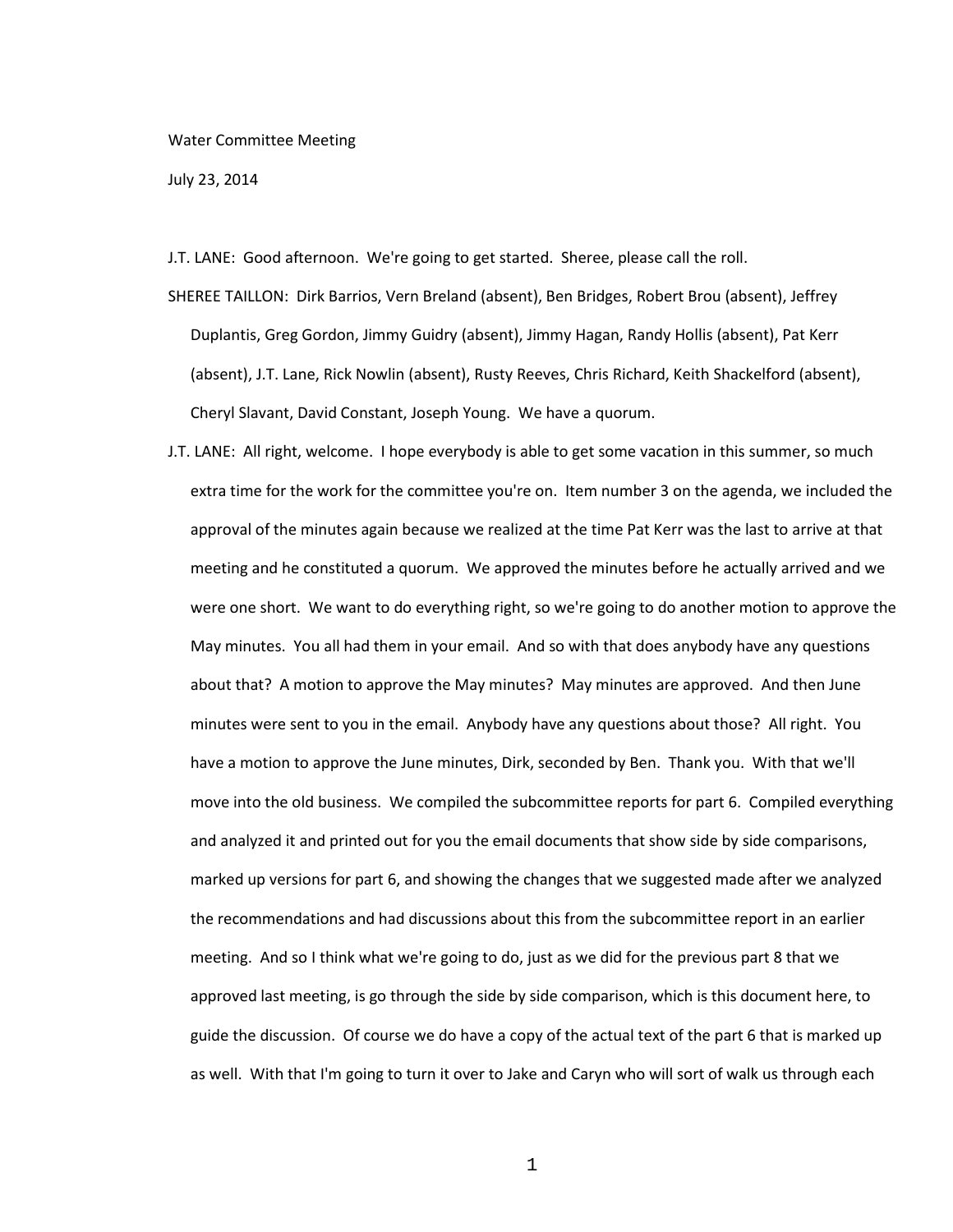## Water Committee Meeting

July 23, 2014

J.T. LANE: Good afternoon. We're going to get started. Sheree, please call the roll.

- SHEREE TAILLON: Dirk Barrios, Vern Breland (absent), Ben Bridges, Robert Brou (absent), Jeffrey Duplantis, Greg Gordon, Jimmy Guidry (absent), Jimmy Hagan, Randy Hollis (absent), Pat Kerr (absent), J.T. Lane, Rick Nowlin (absent), Rusty Reeves, Chris Richard, Keith Shackelford (absent), Cheryl Slavant, David Constant, Joseph Young. We have a quorum.
- J.T. LANE: All right, welcome. I hope everybody is able to get some vacation in this summer, so much extra time for the work for the committee you're on. Item number 3 on the agenda, we included the approval of the minutes again because we realized at the time Pat Kerr was the last to arrive at that meeting and he constituted a quorum. We approved the minutes before he actually arrived and we were one short. We want to do everything right, so we're going to do another motion to approve the May minutes. You all had them in your email. And so with that does anybody have any questions about that? A motion to approve the May minutes? May minutes are approved. And then June minutes were sent to you in the email. Anybody have any questions about those? All right. You have a motion to approve the June minutes, Dirk, seconded by Ben. Thank you. With that we'll move into the old business. We compiled the subcommittee reports for part 6. Compiled everything and analyzed it and printed out for you the email documents that show side by side comparisons, marked up versions for part 6, and showing the changes that we suggested made after we analyzed the recommendations and had discussions about this from the subcommittee report in an earlier meeting. And so I think what we're going to do, just as we did for the previous part 8 that we approved last meeting, is go through the side by side comparison, which is this document here, to guide the discussion. Of course we do have a copy of the actual text of the part 6 that is marked up as well. With that I'm going to turn it over to Jake and Caryn who will sort of walk us through each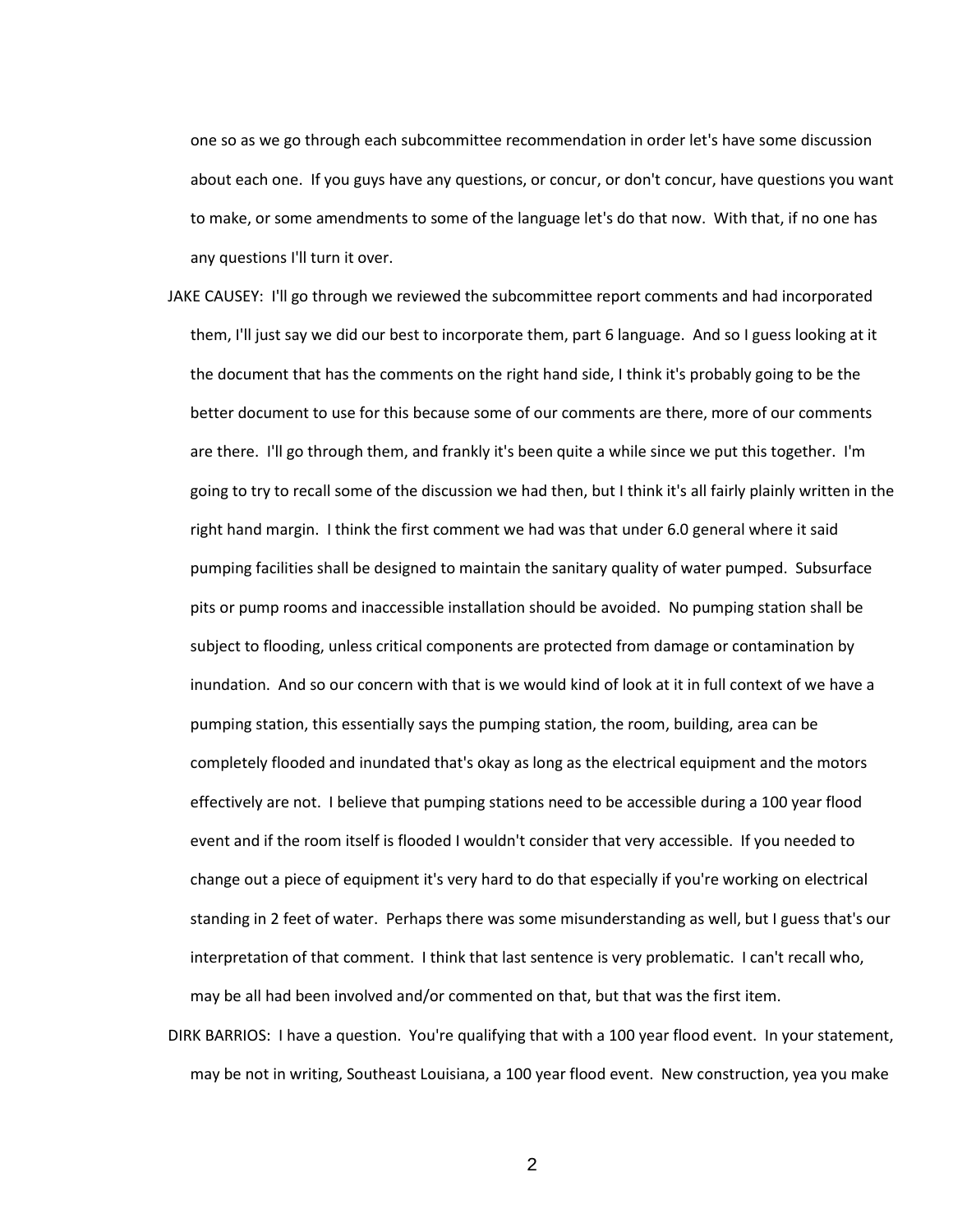one so as we go through each subcommittee recommendation in order let's have some discussion about each one. If you guys have any questions, or concur, or don't concur, have questions you want to make, or some amendments to some of the language let's do that now. With that, if no one has any questions I'll turn it over.

- JAKE CAUSEY: I'll go through we reviewed the subcommittee report comments and had incorporated them, I'll just say we did our best to incorporate them, part 6 language. And so I guess looking at it the document that has the comments on the right hand side, I think it's probably going to be the better document to use for this because some of our comments are there, more of our comments are there. I'll go through them, and frankly it's been quite a while since we put this together. I'm going to try to recall some of the discussion we had then, but I think it's all fairly plainly written in the right hand margin. I think the first comment we had was that under 6.0 general where it said pumping facilities shall be designed to maintain the sanitary quality of water pumped. Subsurface pits or pump rooms and inaccessible installation should be avoided. No pumping station shall be subject to flooding, unless critical components are protected from damage or contamination by inundation. And so our concern with that is we would kind of look at it in full context of we have a pumping station, this essentially says the pumping station, the room, building, area can be completely flooded and inundated that's okay as long as the electrical equipment and the motors effectively are not. I believe that pumping stations need to be accessible during a 100 year flood event and if the room itself is flooded I wouldn't consider that very accessible. If you needed to change out a piece of equipment it's very hard to do that especially if you're working on electrical standing in 2 feet of water. Perhaps there was some misunderstanding as well, but I guess that's our interpretation of that comment. I think that last sentence is very problematic. I can't recall who, may be all had been involved and/or commented on that, but that was the first item.
- DIRK BARRIOS: I have a question. You're qualifying that with a 100 year flood event. In your statement, may be not in writing, Southeast Louisiana, a 100 year flood event. New construction, yea you make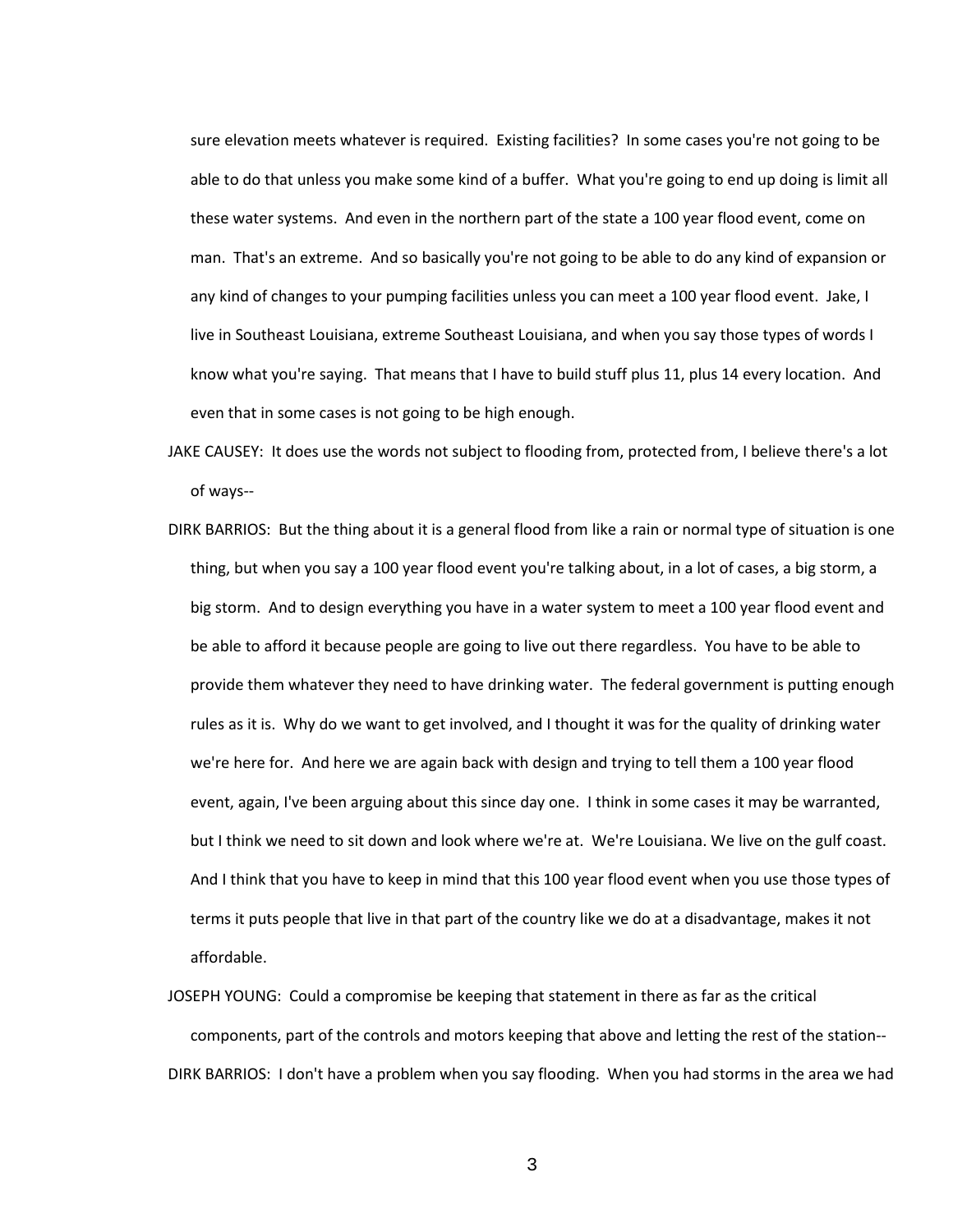sure elevation meets whatever is required. Existing facilities? In some cases you're not going to be able to do that unless you make some kind of a buffer. What you're going to end up doing is limit all these water systems. And even in the northern part of the state a 100 year flood event, come on man. That's an extreme. And so basically you're not going to be able to do any kind of expansion or any kind of changes to your pumping facilities unless you can meet a 100 year flood event. Jake, I live in Southeast Louisiana, extreme Southeast Louisiana, and when you say those types of words I know what you're saying. That means that I have to build stuff plus 11, plus 14 every location. And even that in some cases is not going to be high enough.

- JAKE CAUSEY: It does use the words not subject to flooding from, protected from, I believe there's a lot of ways--
- DIRK BARRIOS: But the thing about it is a general flood from like a rain or normal type of situation is one thing, but when you say a 100 year flood event you're talking about, in a lot of cases, a big storm, a big storm. And to design everything you have in a water system to meet a 100 year flood event and be able to afford it because people are going to live out there regardless. You have to be able to provide them whatever they need to have drinking water. The federal government is putting enough rules as it is. Why do we want to get involved, and I thought it was for the quality of drinking water we're here for. And here we are again back with design and trying to tell them a 100 year flood event, again, I've been arguing about this since day one. I think in some cases it may be warranted, but I think we need to sit down and look where we're at. We're Louisiana. We live on the gulf coast. And I think that you have to keep in mind that this 100 year flood event when you use those types of terms it puts people that live in that part of the country like we do at a disadvantage, makes it not affordable.
- JOSEPH YOUNG: Could a compromise be keeping that statement in there as far as the critical components, part of the controls and motors keeping that above and letting the rest of the station-- DIRK BARRIOS: I don't have a problem when you say flooding. When you had storms in the area we had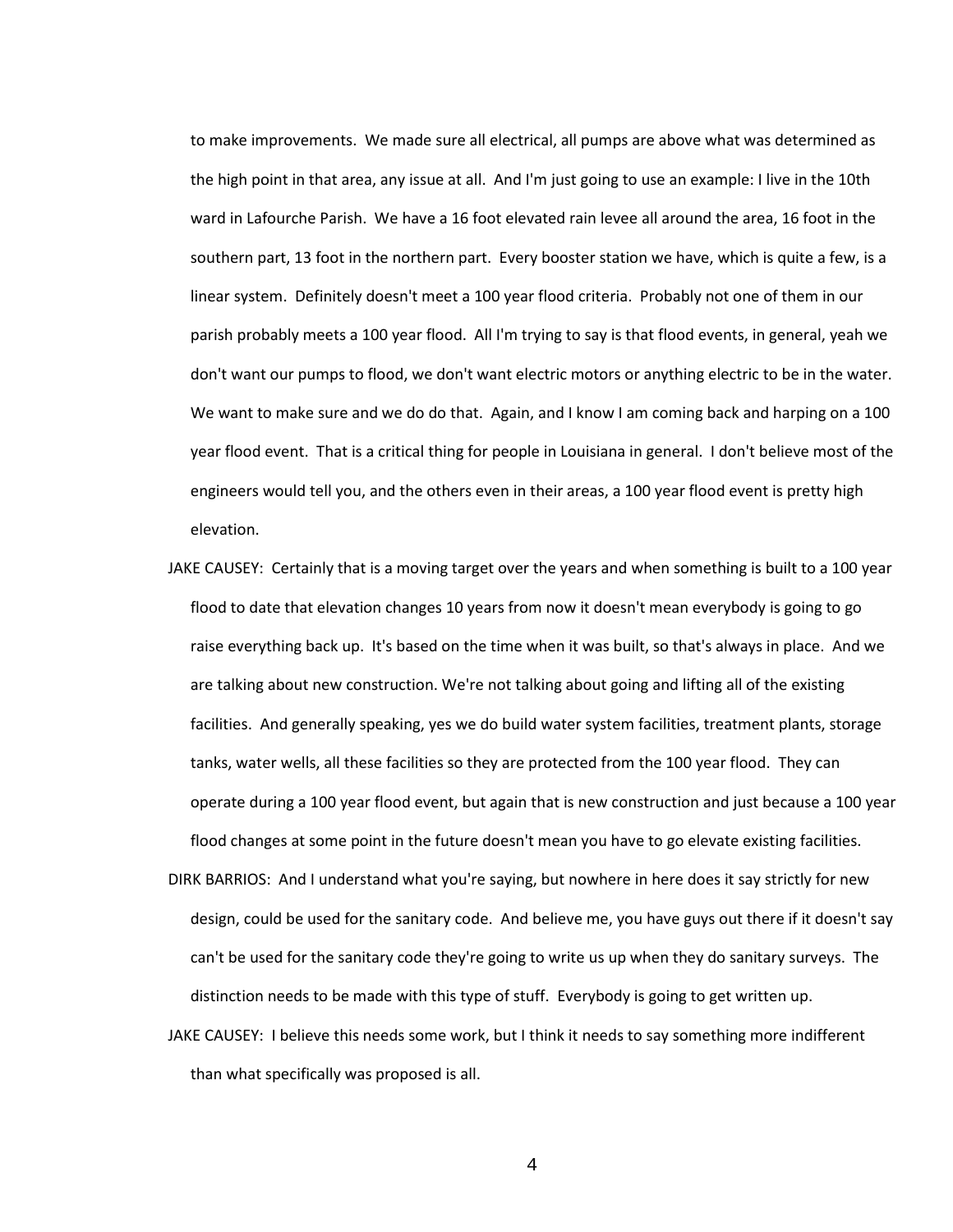to make improvements. We made sure all electrical, all pumps are above what was determined as the high point in that area, any issue at all. And I'm just going to use an example: I live in the 10th ward in Lafourche Parish. We have a 16 foot elevated rain levee all around the area, 16 foot in the southern part, 13 foot in the northern part. Every booster station we have, which is quite a few, is a linear system. Definitely doesn't meet a 100 year flood criteria. Probably not one of them in our parish probably meets a 100 year flood. All I'm trying to say is that flood events, in general, yeah we don't want our pumps to flood, we don't want electric motors or anything electric to be in the water. We want to make sure and we do do that. Again, and I know I am coming back and harping on a 100 year flood event. That is a critical thing for people in Louisiana in general. I don't believe most of the engineers would tell you, and the others even in their areas, a 100 year flood event is pretty high elevation.

- JAKE CAUSEY: Certainly that is a moving target over the years and when something is built to a 100 year flood to date that elevation changes 10 years from now it doesn't mean everybody is going to go raise everything back up. It's based on the time when it was built, so that's always in place. And we are talking about new construction. We're not talking about going and lifting all of the existing facilities. And generally speaking, yes we do build water system facilities, treatment plants, storage tanks, water wells, all these facilities so they are protected from the 100 year flood. They can operate during a 100 year flood event, but again that is new construction and just because a 100 year flood changes at some point in the future doesn't mean you have to go elevate existing facilities.
- DIRK BARRIOS: And I understand what you're saying, but nowhere in here does it say strictly for new design, could be used for the sanitary code. And believe me, you have guys out there if it doesn't say can't be used for the sanitary code they're going to write us up when they do sanitary surveys. The distinction needs to be made with this type of stuff. Everybody is going to get written up.
- JAKE CAUSEY: I believe this needs some work, but I think it needs to say something more indifferent than what specifically was proposed is all.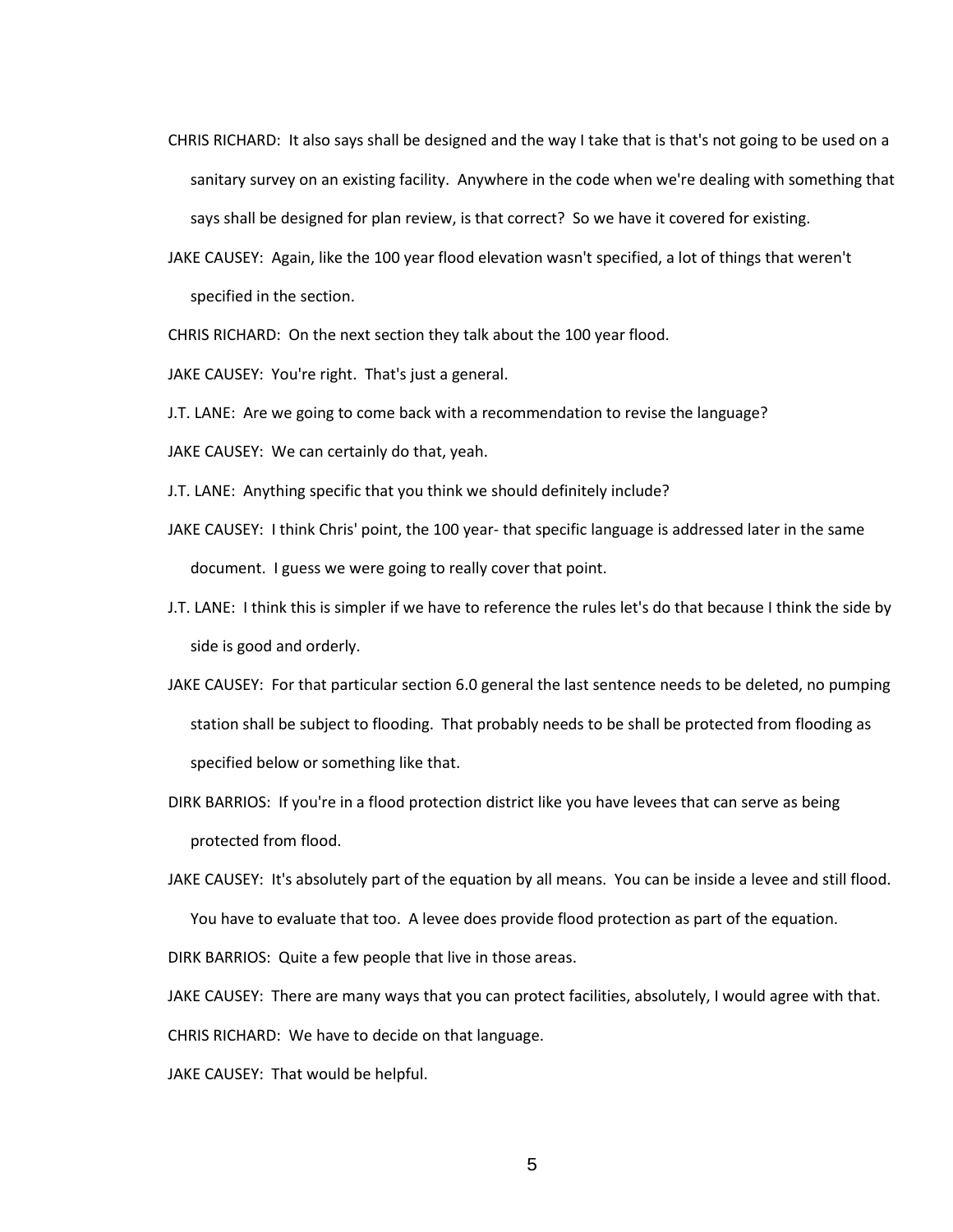- CHRIS RICHARD: It also says shall be designed and the way I take that is that's not going to be used on a sanitary survey on an existing facility. Anywhere in the code when we're dealing with something that says shall be designed for plan review, is that correct? So we have it covered for existing.
- JAKE CAUSEY: Again, like the 100 year flood elevation wasn't specified, a lot of things that weren't specified in the section.

CHRIS RICHARD: On the next section they talk about the 100 year flood.

JAKE CAUSEY: You're right. That's just a general.

J.T. LANE: Are we going to come back with a recommendation to revise the language?

JAKE CAUSEY: We can certainly do that, yeah.

J.T. LANE: Anything specific that you think we should definitely include?

- JAKE CAUSEY: I think Chris' point, the 100 year- that specific language is addressed later in the same document. I guess we were going to really cover that point.
- J.T. LANE: I think this is simpler if we have to reference the rules let's do that because I think the side by side is good and orderly.
- JAKE CAUSEY: For that particular section 6.0 general the last sentence needs to be deleted, no pumping station shall be subject to flooding. That probably needs to be shall be protected from flooding as specified below or something like that.
- DIRK BARRIOS: If you're in a flood protection district like you have levees that can serve as being protected from flood.

JAKE CAUSEY: It's absolutely part of the equation by all means. You can be inside a levee and still flood. You have to evaluate that too. A levee does provide flood protection as part of the equation.

DIRK BARRIOS: Quite a few people that live in those areas.

JAKE CAUSEY: There are many ways that you can protect facilities, absolutely, I would agree with that.

CHRIS RICHARD: We have to decide on that language.

JAKE CAUSEY: That would be helpful.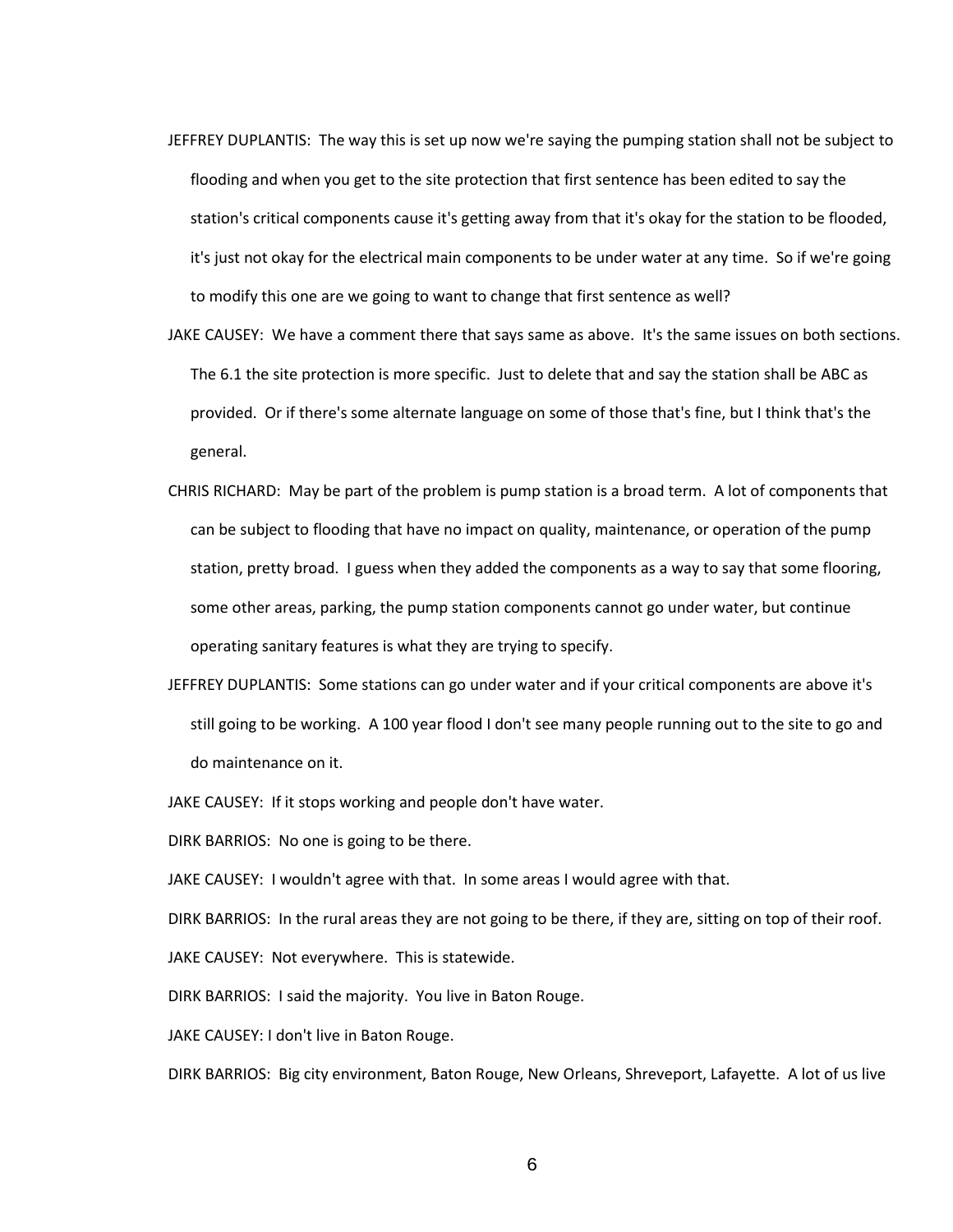- JEFFREY DUPLANTIS: The way this is set up now we're saying the pumping station shall not be subject to flooding and when you get to the site protection that first sentence has been edited to say the station's critical components cause it's getting away from that it's okay for the station to be flooded, it's just not okay for the electrical main components to be under water at any time. So if we're going to modify this one are we going to want to change that first sentence as well?
- JAKE CAUSEY: We have a comment there that says same as above. It's the same issues on both sections. The 6.1 the site protection is more specific. Just to delete that and say the station shall be ABC as provided. Or if there's some alternate language on some of those that's fine, but I think that's the general.
- CHRIS RICHARD: May be part of the problem is pump station is a broad term. A lot of components that can be subject to flooding that have no impact on quality, maintenance, or operation of the pump station, pretty broad. I guess when they added the components as a way to say that some flooring, some other areas, parking, the pump station components cannot go under water, but continue operating sanitary features is what they are trying to specify.
- JEFFREY DUPLANTIS: Some stations can go under water and if your critical components are above it's still going to be working. A 100 year flood I don't see many people running out to the site to go and do maintenance on it.
- JAKE CAUSEY: If it stops working and people don't have water.

DIRK BARRIOS: No one is going to be there.

JAKE CAUSEY: I wouldn't agree with that. In some areas I would agree with that.

DIRK BARRIOS: In the rural areas they are not going to be there, if they are, sitting on top of their roof. JAKE CAUSEY: Not everywhere. This is statewide.

DIRK BARRIOS: I said the majority. You live in Baton Rouge.

JAKE CAUSEY: I don't live in Baton Rouge.

DIRK BARRIOS: Big city environment, Baton Rouge, New Orleans, Shreveport, Lafayette. A lot of us live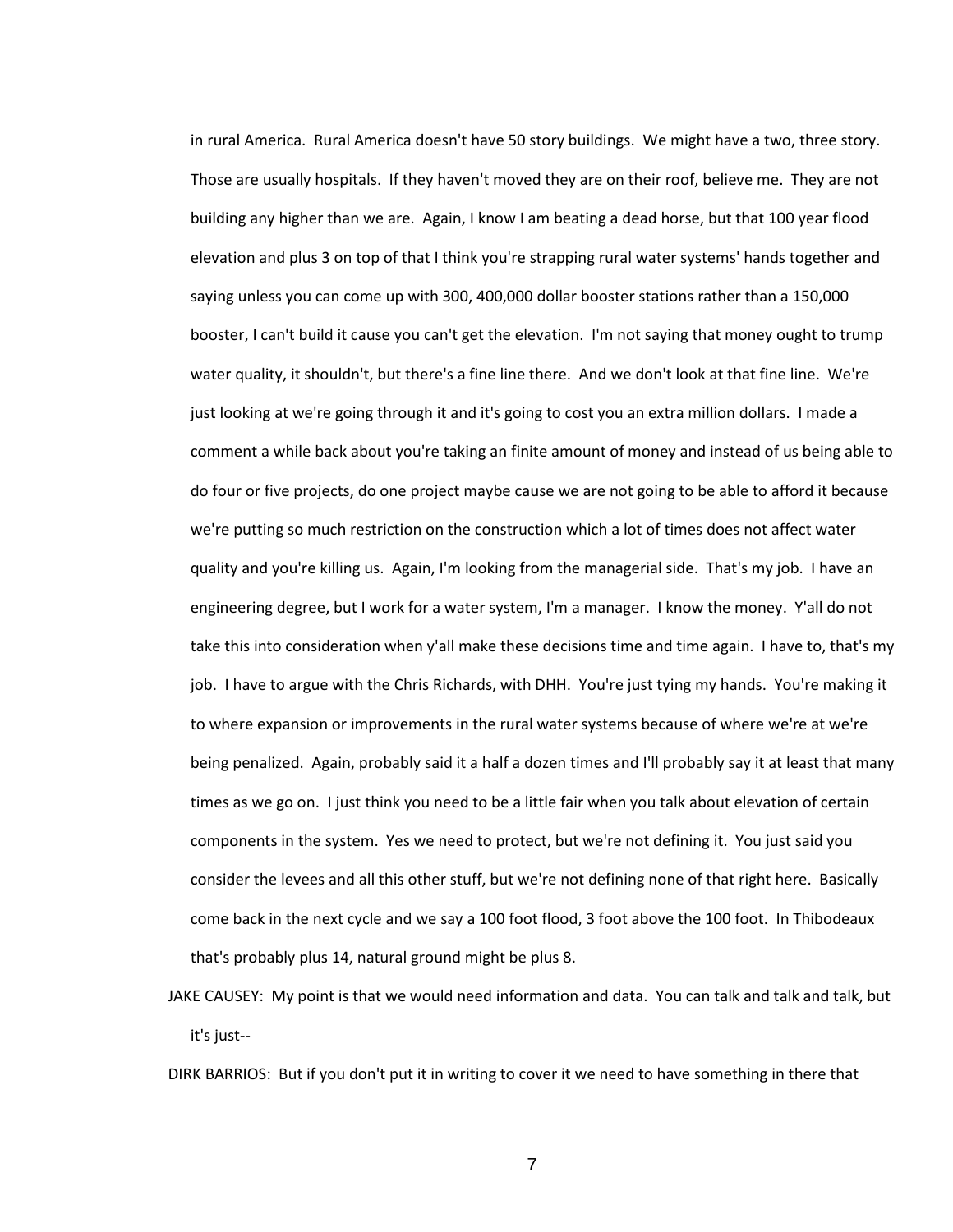in rural America. Rural America doesn't have 50 story buildings. We might have a two, three story. Those are usually hospitals. If they haven't moved they are on their roof, believe me. They are not building any higher than we are. Again, I know I am beating a dead horse, but that 100 year flood elevation and plus 3 on top of that I think you're strapping rural water systems' hands together and saying unless you can come up with 300, 400,000 dollar booster stations rather than a 150,000 booster, I can't build it cause you can't get the elevation. I'm not saying that money ought to trump water quality, it shouldn't, but there's a fine line there. And we don't look at that fine line. We're just looking at we're going through it and it's going to cost you an extra million dollars. I made a comment a while back about you're taking an finite amount of money and instead of us being able to do four or five projects, do one project maybe cause we are not going to be able to afford it because we're putting so much restriction on the construction which a lot of times does not affect water quality and you're killing us. Again, I'm looking from the managerial side. That's my job. I have an engineering degree, but I work for a water system, I'm a manager. I know the money. Y'all do not take this into consideration when y'all make these decisions time and time again. I have to, that's my job. I have to argue with the Chris Richards, with DHH. You're just tying my hands. You're making it to where expansion or improvements in the rural water systems because of where we're at we're being penalized. Again, probably said it a half a dozen times and I'll probably say it at least that many times as we go on. I just think you need to be a little fair when you talk about elevation of certain components in the system. Yes we need to protect, but we're not defining it. You just said you consider the levees and all this other stuff, but we're not defining none of that right here. Basically come back in the next cycle and we say a 100 foot flood, 3 foot above the 100 foot. In Thibodeaux that's probably plus 14, natural ground might be plus 8.

JAKE CAUSEY: My point is that we would need information and data. You can talk and talk and talk, but it's just--

DIRK BARRIOS: But if you don't put it in writing to cover it we need to have something in there that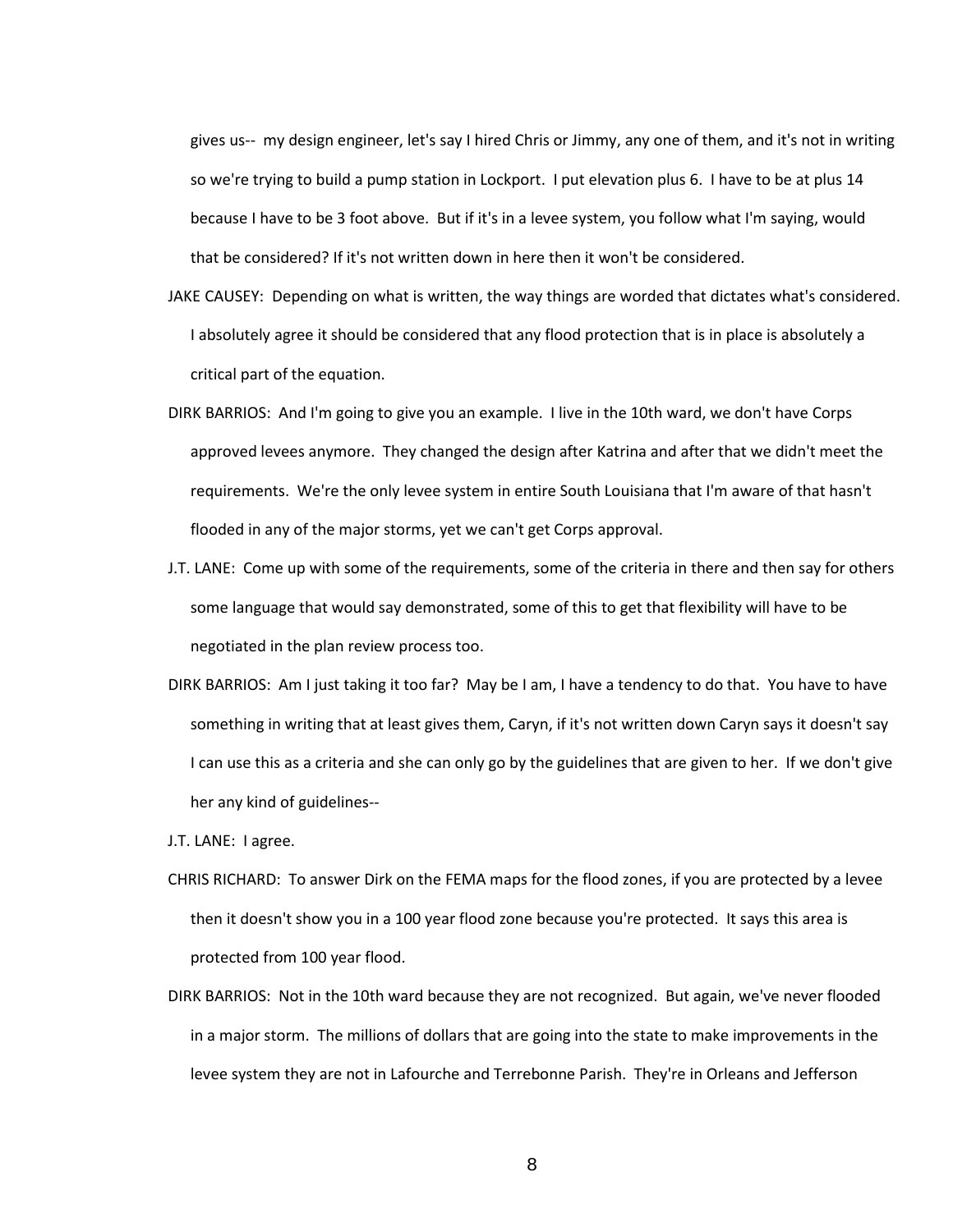gives us-- my design engineer, let's say I hired Chris or Jimmy, any one of them, and it's not in writing so we're trying to build a pump station in Lockport. I put elevation plus 6. I have to be at plus 14 because I have to be 3 foot above. But if it's in a levee system, you follow what I'm saying, would that be considered? If it's not written down in here then it won't be considered.

- JAKE CAUSEY: Depending on what is written, the way things are worded that dictates what's considered. I absolutely agree it should be considered that any flood protection that is in place is absolutely a critical part of the equation.
- DIRK BARRIOS: And I'm going to give you an example. I live in the 10th ward, we don't have Corps approved levees anymore. They changed the design after Katrina and after that we didn't meet the requirements. We're the only levee system in entire South Louisiana that I'm aware of that hasn't flooded in any of the major storms, yet we can't get Corps approval.
- J.T. LANE: Come up with some of the requirements, some of the criteria in there and then say for others some language that would say demonstrated, some of this to get that flexibility will have to be negotiated in the plan review process too.
- DIRK BARRIOS: Am I just taking it too far? May be I am, I have a tendency to do that. You have to have something in writing that at least gives them, Caryn, if it's not written down Caryn says it doesn't say I can use this as a criteria and she can only go by the guidelines that are given to her. If we don't give her any kind of guidelines--
- J.T. LANE: I agree.
- CHRIS RICHARD: To answer Dirk on the FEMA maps for the flood zones, if you are protected by a levee then it doesn't show you in a 100 year flood zone because you're protected. It says this area is protected from 100 year flood.
- DIRK BARRIOS: Not in the 10th ward because they are not recognized. But again, we've never flooded in a major storm. The millions of dollars that are going into the state to make improvements in the levee system they are not in Lafourche and Terrebonne Parish. They're in Orleans and Jefferson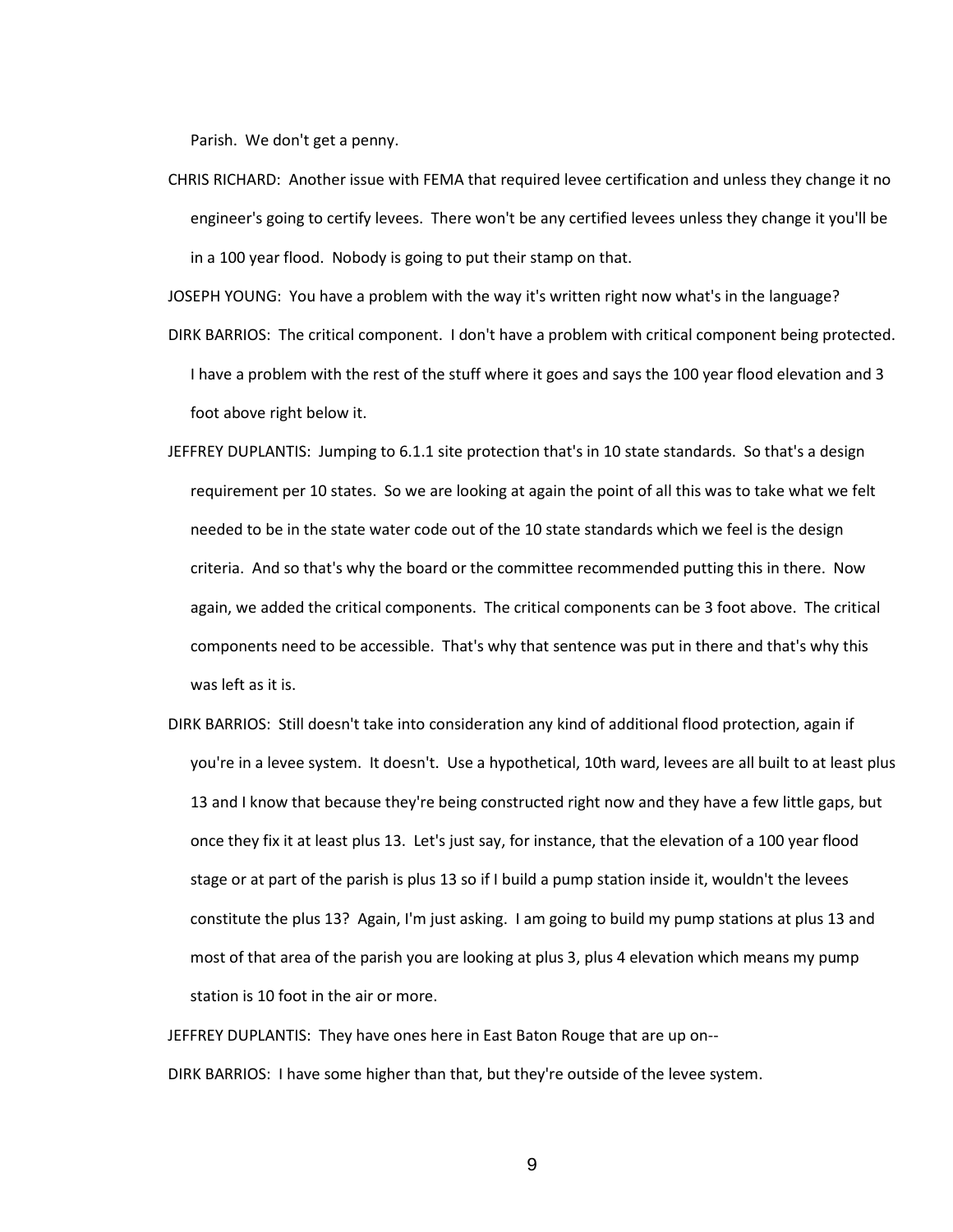Parish. We don't get a penny.

CHRIS RICHARD: Another issue with FEMA that required levee certification and unless they change it no engineer's going to certify levees. There won't be any certified levees unless they change it you'll be in a 100 year flood. Nobody is going to put their stamp on that.

JOSEPH YOUNG: You have a problem with the way it's written right now what's in the language?

- DIRK BARRIOS: The critical component. I don't have a problem with critical component being protected. I have a problem with the rest of the stuff where it goes and says the 100 year flood elevation and 3 foot above right below it.
- JEFFREY DUPLANTIS: Jumping to 6.1.1 site protection that's in 10 state standards. So that's a design requirement per 10 states. So we are looking at again the point of all this was to take what we felt needed to be in the state water code out of the 10 state standards which we feel is the design criteria. And so that's why the board or the committee recommended putting this in there. Now again, we added the critical components. The critical components can be 3 foot above. The critical components need to be accessible. That's why that sentence was put in there and that's why this was left as it is.
- DIRK BARRIOS: Still doesn't take into consideration any kind of additional flood protection, again if you're in a levee system. It doesn't. Use a hypothetical, 10th ward, levees are all built to at least plus 13 and I know that because they're being constructed right now and they have a few little gaps, but once they fix it at least plus 13. Let's just say, for instance, that the elevation of a 100 year flood stage or at part of the parish is plus 13 so if I build a pump station inside it, wouldn't the levees constitute the plus 13? Again, I'm just asking. I am going to build my pump stations at plus 13 and most of that area of the parish you are looking at plus 3, plus 4 elevation which means my pump station is 10 foot in the air or more.

JEFFREY DUPLANTIS: They have ones here in East Baton Rouge that are up on-- DIRK BARRIOS: I have some higher than that, but they're outside of the levee system.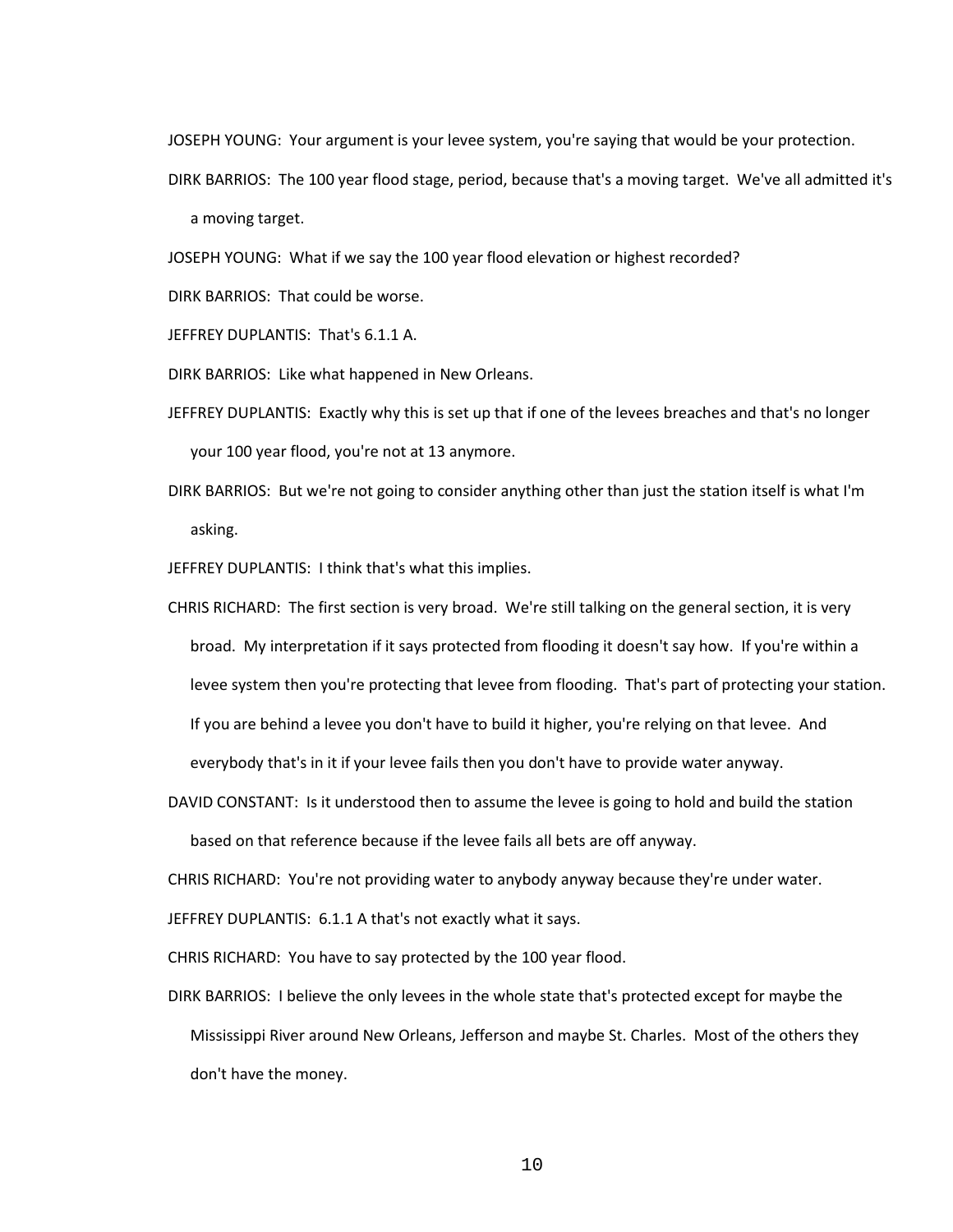JOSEPH YOUNG: Your argument is your levee system, you're saying that would be your protection.

DIRK BARRIOS: The 100 year flood stage, period, because that's a moving target. We've all admitted it's

a moving target.

JOSEPH YOUNG: What if we say the 100 year flood elevation or highest recorded?

DIRK BARRIOS: That could be worse.

JEFFREY DUPLANTIS: That's 6.1.1 A.

DIRK BARRIOS: Like what happened in New Orleans.

- JEFFREY DUPLANTIS: Exactly why this is set up that if one of the levees breaches and that's no longer your 100 year flood, you're not at 13 anymore.
- DIRK BARRIOS: But we're not going to consider anything other than just the station itself is what I'm asking.

JEFFREY DUPLANTIS: I think that's what this implies.

- CHRIS RICHARD: The first section is very broad. We're still talking on the general section, it is very broad. My interpretation if it says protected from flooding it doesn't say how. If you're within a levee system then you're protecting that levee from flooding. That's part of protecting your station. If you are behind a levee you don't have to build it higher, you're relying on that levee. And everybody that's in it if your levee fails then you don't have to provide water anyway.
- DAVID CONSTANT: Is it understood then to assume the levee is going to hold and build the station based on that reference because if the levee fails all bets are off anyway.

CHRIS RICHARD: You're not providing water to anybody anyway because they're under water.

JEFFREY DUPLANTIS: 6.1.1 A that's not exactly what it says.

CHRIS RICHARD: You have to say protected by the 100 year flood.

DIRK BARRIOS: I believe the only levees in the whole state that's protected except for maybe the Mississippi River around New Orleans, Jefferson and maybe St. Charles. Most of the others they don't have the money.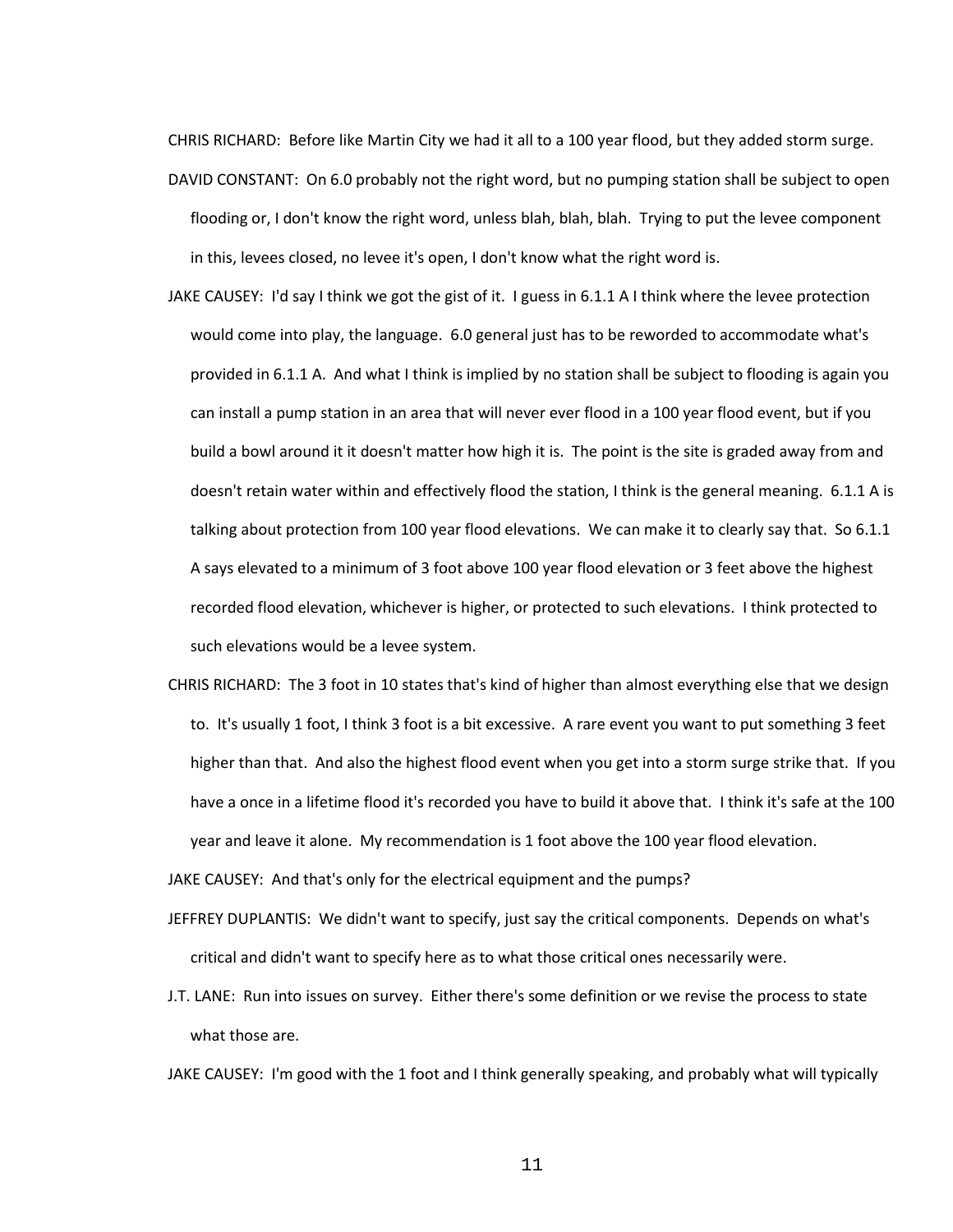CHRIS RICHARD: Before like Martin City we had it all to a 100 year flood, but they added storm surge.

- DAVID CONSTANT: On 6.0 probably not the right word, but no pumping station shall be subject to open flooding or, I don't know the right word, unless blah, blah, blah. Trying to put the levee component in this, levees closed, no levee it's open, I don't know what the right word is.
- JAKE CAUSEY: I'd say I think we got the gist of it. I guess in 6.1.1 A I think where the levee protection would come into play, the language. 6.0 general just has to be reworded to accommodate what's provided in 6.1.1 A. And what I think is implied by no station shall be subject to flooding is again you can install a pump station in an area that will never ever flood in a 100 year flood event, but if you build a bowl around it it doesn't matter how high it is. The point is the site is graded away from and doesn't retain water within and effectively flood the station, I think is the general meaning. 6.1.1 A is talking about protection from 100 year flood elevations. We can make it to clearly say that. So 6.1.1 A says elevated to a minimum of 3 foot above 100 year flood elevation or 3 feet above the highest recorded flood elevation, whichever is higher, or protected to such elevations. I think protected to such elevations would be a levee system.
- CHRIS RICHARD: The 3 foot in 10 states that's kind of higher than almost everything else that we design to. It's usually 1 foot, I think 3 foot is a bit excessive. A rare event you want to put something 3 feet higher than that. And also the highest flood event when you get into a storm surge strike that. If you have a once in a lifetime flood it's recorded you have to build it above that. I think it's safe at the 100 year and leave it alone. My recommendation is 1 foot above the 100 year flood elevation.

JAKE CAUSEY: And that's only for the electrical equipment and the pumps?

- JEFFREY DUPLANTIS: We didn't want to specify, just say the critical components. Depends on what's critical and didn't want to specify here as to what those critical ones necessarily were.
- J.T. LANE: Run into issues on survey. Either there's some definition or we revise the process to state what those are.
- JAKE CAUSEY: I'm good with the 1 foot and I think generally speaking, and probably what will typically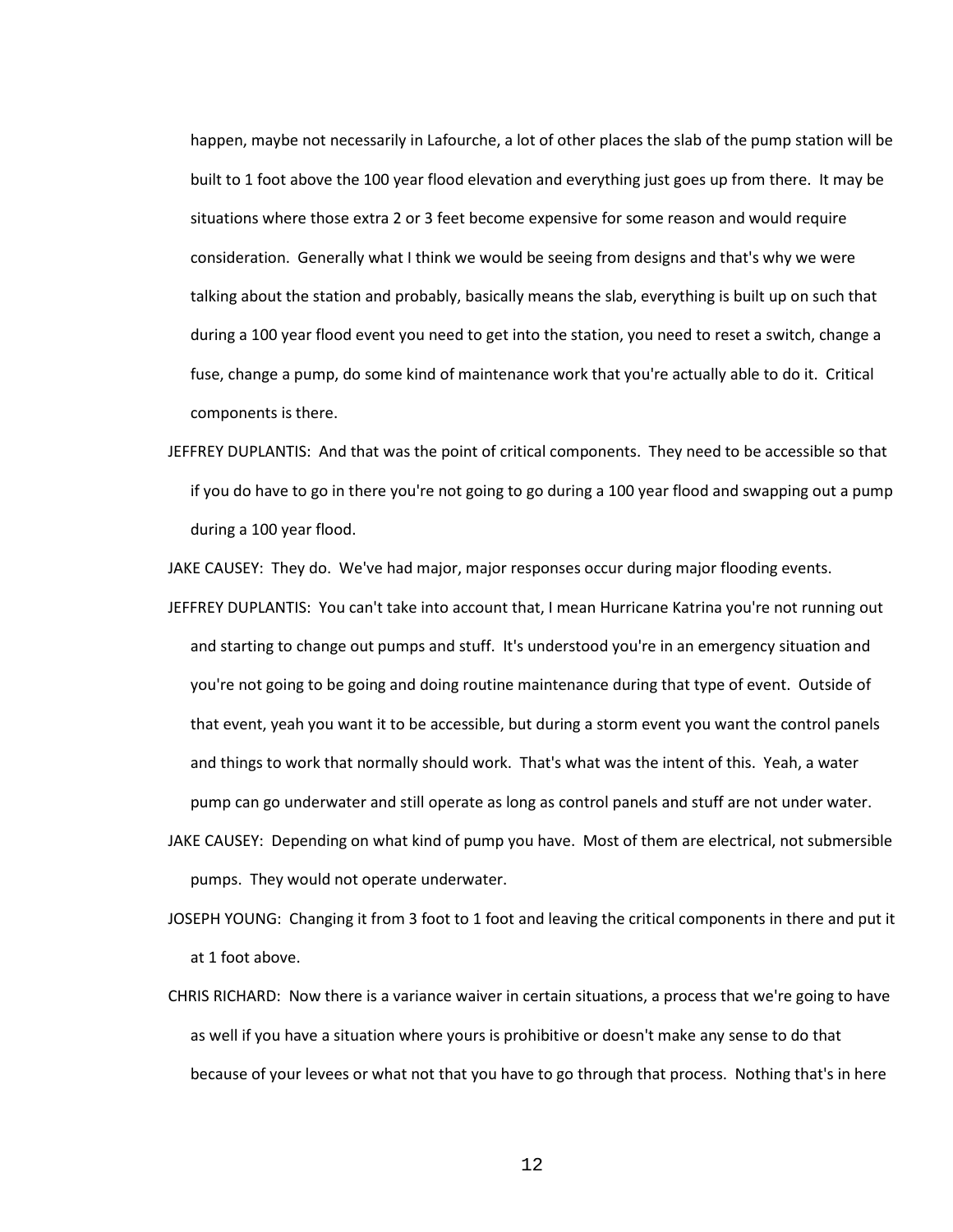happen, maybe not necessarily in Lafourche, a lot of other places the slab of the pump station will be built to 1 foot above the 100 year flood elevation and everything just goes up from there. It may be situations where those extra 2 or 3 feet become expensive for some reason and would require consideration. Generally what I think we would be seeing from designs and that's why we were talking about the station and probably, basically means the slab, everything is built up on such that during a 100 year flood event you need to get into the station, you need to reset a switch, change a fuse, change a pump, do some kind of maintenance work that you're actually able to do it. Critical components is there.

JEFFREY DUPLANTIS: And that was the point of critical components. They need to be accessible so that if you do have to go in there you're not going to go during a 100 year flood and swapping out a pump during a 100 year flood.

JAKE CAUSEY: They do. We've had major, major responses occur during major flooding events.

- JEFFREY DUPLANTIS: You can't take into account that, I mean Hurricane Katrina you're not running out and starting to change out pumps and stuff. It's understood you're in an emergency situation and you're not going to be going and doing routine maintenance during that type of event. Outside of that event, yeah you want it to be accessible, but during a storm event you want the control panels and things to work that normally should work. That's what was the intent of this. Yeah, a water pump can go underwater and still operate as long as control panels and stuff are not under water.
- JAKE CAUSEY: Depending on what kind of pump you have. Most of them are electrical, not submersible pumps. They would not operate underwater.
- JOSEPH YOUNG: Changing it from 3 foot to 1 foot and leaving the critical components in there and put it at 1 foot above.
- CHRIS RICHARD: Now there is a variance waiver in certain situations, a process that we're going to have as well if you have a situation where yours is prohibitive or doesn't make any sense to do that because of your levees or what not that you have to go through that process. Nothing that's in here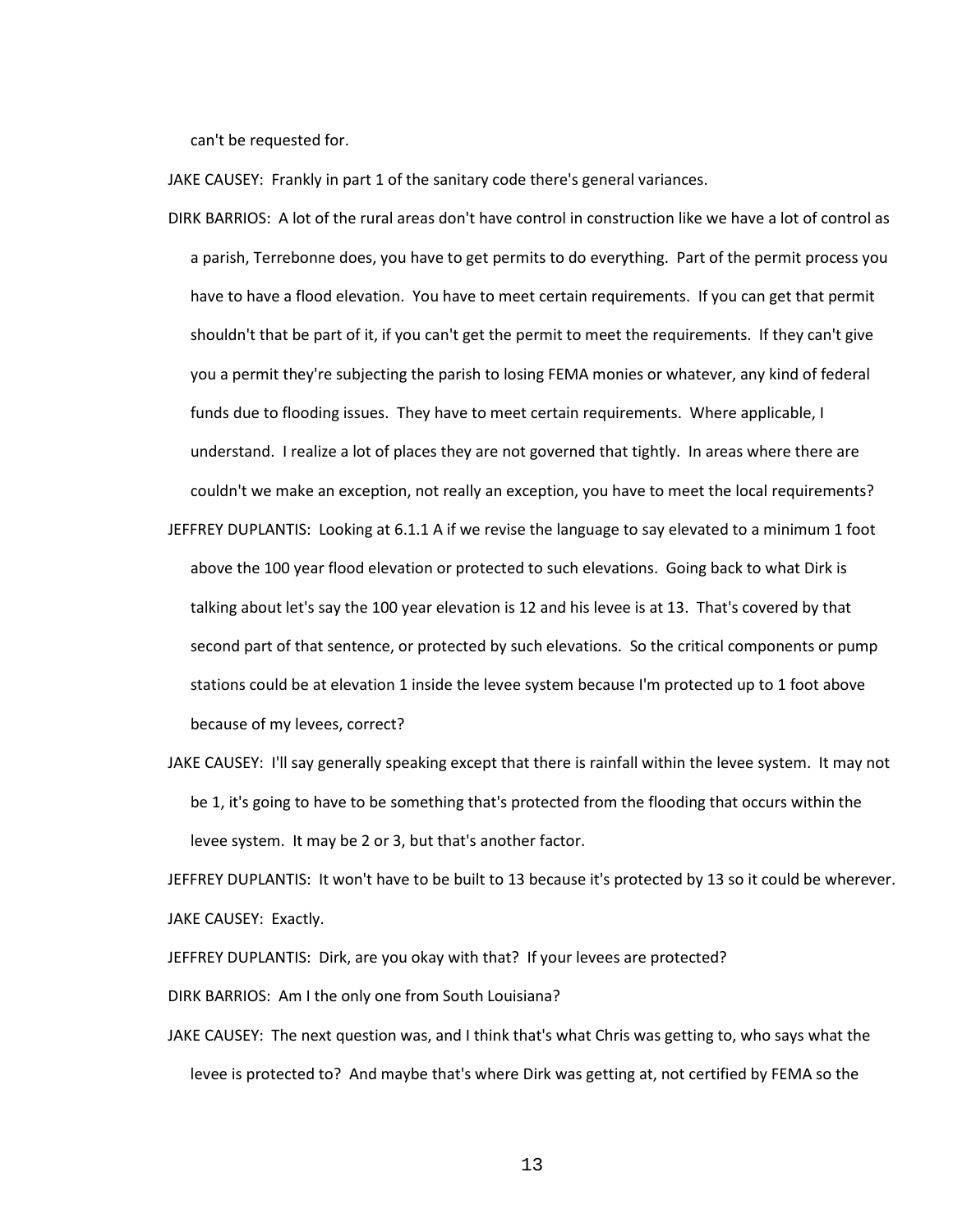can't be requested for.

JAKE CAUSEY: Frankly in part 1 of the sanitary code there's general variances.

- DIRK BARRIOS: A lot of the rural areas don't have control in construction like we have a lot of control as a parish, Terrebonne does, you have to get permits to do everything. Part of the permit process you have to have a flood elevation. You have to meet certain requirements. If you can get that permit shouldn't that be part of it, if you can't get the permit to meet the requirements. If they can't give you a permit they're subjecting the parish to losing FEMA monies or whatever, any kind of federal funds due to flooding issues. They have to meet certain requirements. Where applicable, I understand. I realize a lot of places they are not governed that tightly. In areas where there are couldn't we make an exception, not really an exception, you have to meet the local requirements?
- JEFFREY DUPLANTIS: Looking at 6.1.1 A if we revise the language to say elevated to a minimum 1 foot above the 100 year flood elevation or protected to such elevations. Going back to what Dirk is talking about let's say the 100 year elevation is 12 and his levee is at 13. That's covered by that second part of that sentence, or protected by such elevations. So the critical components or pump stations could be at elevation 1 inside the levee system because I'm protected up to 1 foot above because of my levees, correct?
- JAKE CAUSEY: I'll say generally speaking except that there is rainfall within the levee system. It may not be 1, it's going to have to be something that's protected from the flooding that occurs within the levee system. It may be 2 or 3, but that's another factor.

JEFFREY DUPLANTIS: It won't have to be built to 13 because it's protected by 13 so it could be wherever. JAKE CAUSEY: Exactly.

JEFFREY DUPLANTIS: Dirk, are you okay with that? If your levees are protected?

DIRK BARRIOS: Am I the only one from South Louisiana?

JAKE CAUSEY: The next question was, and I think that's what Chris was getting to, who says what the levee is protected to? And maybe that's where Dirk was getting at, not certified by FEMA so the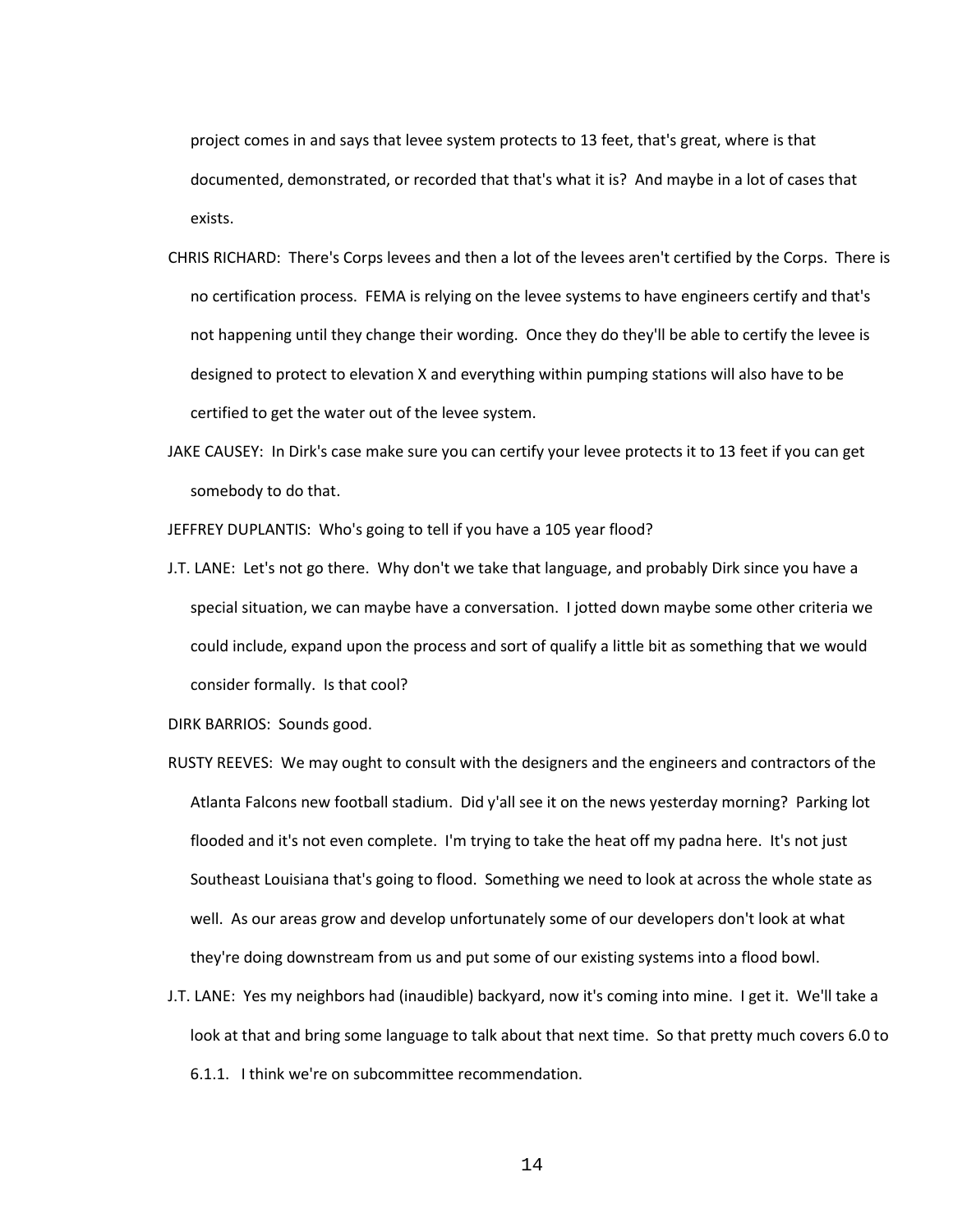project comes in and says that levee system protects to 13 feet, that's great, where is that documented, demonstrated, or recorded that that's what it is? And maybe in a lot of cases that exists.

- CHRIS RICHARD: There's Corps levees and then a lot of the levees aren't certified by the Corps. There is no certification process. FEMA is relying on the levee systems to have engineers certify and that's not happening until they change their wording. Once they do they'll be able to certify the levee is designed to protect to elevation X and everything within pumping stations will also have to be certified to get the water out of the levee system.
- JAKE CAUSEY: In Dirk's case make sure you can certify your levee protects it to 13 feet if you can get somebody to do that.

JEFFREY DUPLANTIS: Who's going to tell if you have a 105 year flood?

J.T. LANE: Let's not go there. Why don't we take that language, and probably Dirk since you have a special situation, we can maybe have a conversation. I jotted down maybe some other criteria we could include, expand upon the process and sort of qualify a little bit as something that we would consider formally. Is that cool?

DIRK BARRIOS: Sounds good.

- RUSTY REEVES: We may ought to consult with the designers and the engineers and contractors of the Atlanta Falcons new football stadium. Did y'all see it on the news yesterday morning? Parking lot flooded and it's not even complete. I'm trying to take the heat off my padna here. It's not just Southeast Louisiana that's going to flood. Something we need to look at across the whole state as well. As our areas grow and develop unfortunately some of our developers don't look at what they're doing downstream from us and put some of our existing systems into a flood bowl.
- J.T. LANE: Yes my neighbors had (inaudible) backyard, now it's coming into mine. I get it. We'll take a look at that and bring some language to talk about that next time. So that pretty much covers 6.0 to 6.1.1. I think we're on subcommittee recommendation.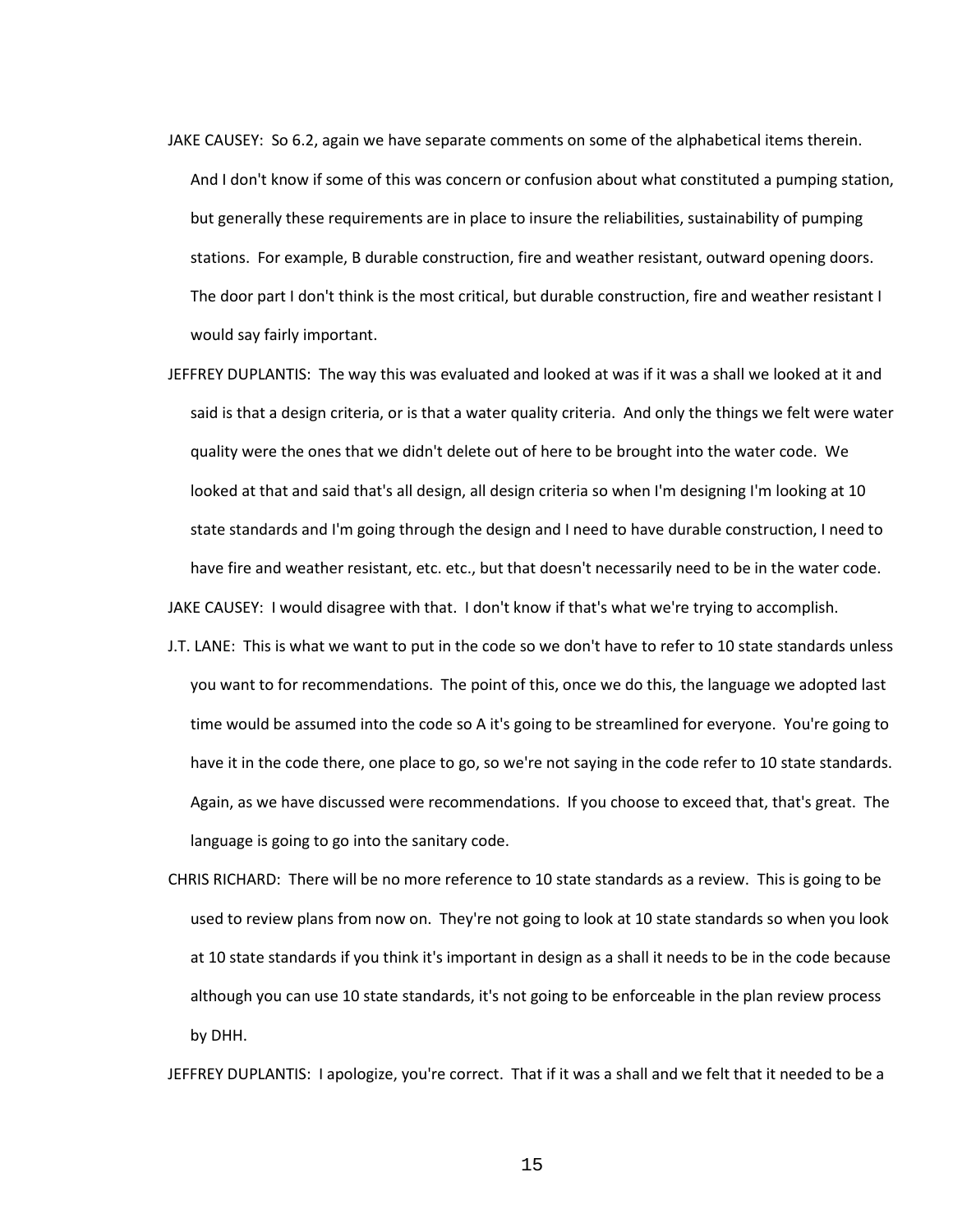- JAKE CAUSEY: So 6.2, again we have separate comments on some of the alphabetical items therein. And I don't know if some of this was concern or confusion about what constituted a pumping station, but generally these requirements are in place to insure the reliabilities, sustainability of pumping stations. For example, B durable construction, fire and weather resistant, outward opening doors. The door part I don't think is the most critical, but durable construction, fire and weather resistant I would say fairly important.
- JEFFREY DUPLANTIS: The way this was evaluated and looked at was if it was a shall we looked at it and said is that a design criteria, or is that a water quality criteria. And only the things we felt were water quality were the ones that we didn't delete out of here to be brought into the water code. We looked at that and said that's all design, all design criteria so when I'm designing I'm looking at 10 state standards and I'm going through the design and I need to have durable construction, I need to have fire and weather resistant, etc. etc., but that doesn't necessarily need to be in the water code. JAKE CAUSEY: I would disagree with that. I don't know if that's what we're trying to accomplish.
- J.T. LANE: This is what we want to put in the code so we don't have to refer to 10 state standards unless you want to for recommendations. The point of this, once we do this, the language we adopted last time would be assumed into the code so A it's going to be streamlined for everyone. You're going to have it in the code there, one place to go, so we're not saying in the code refer to 10 state standards. Again, as we have discussed were recommendations. If you choose to exceed that, that's great. The language is going to go into the sanitary code.
- CHRIS RICHARD: There will be no more reference to 10 state standards as a review. This is going to be used to review plans from now on. They're not going to look at 10 state standards so when you look at 10 state standards if you think it's important in design as a shall it needs to be in the code because although you can use 10 state standards, it's not going to be enforceable in the plan review process by DHH.

JEFFREY DUPLANTIS: I apologize, you're correct. That if it was a shall and we felt that it needed to be a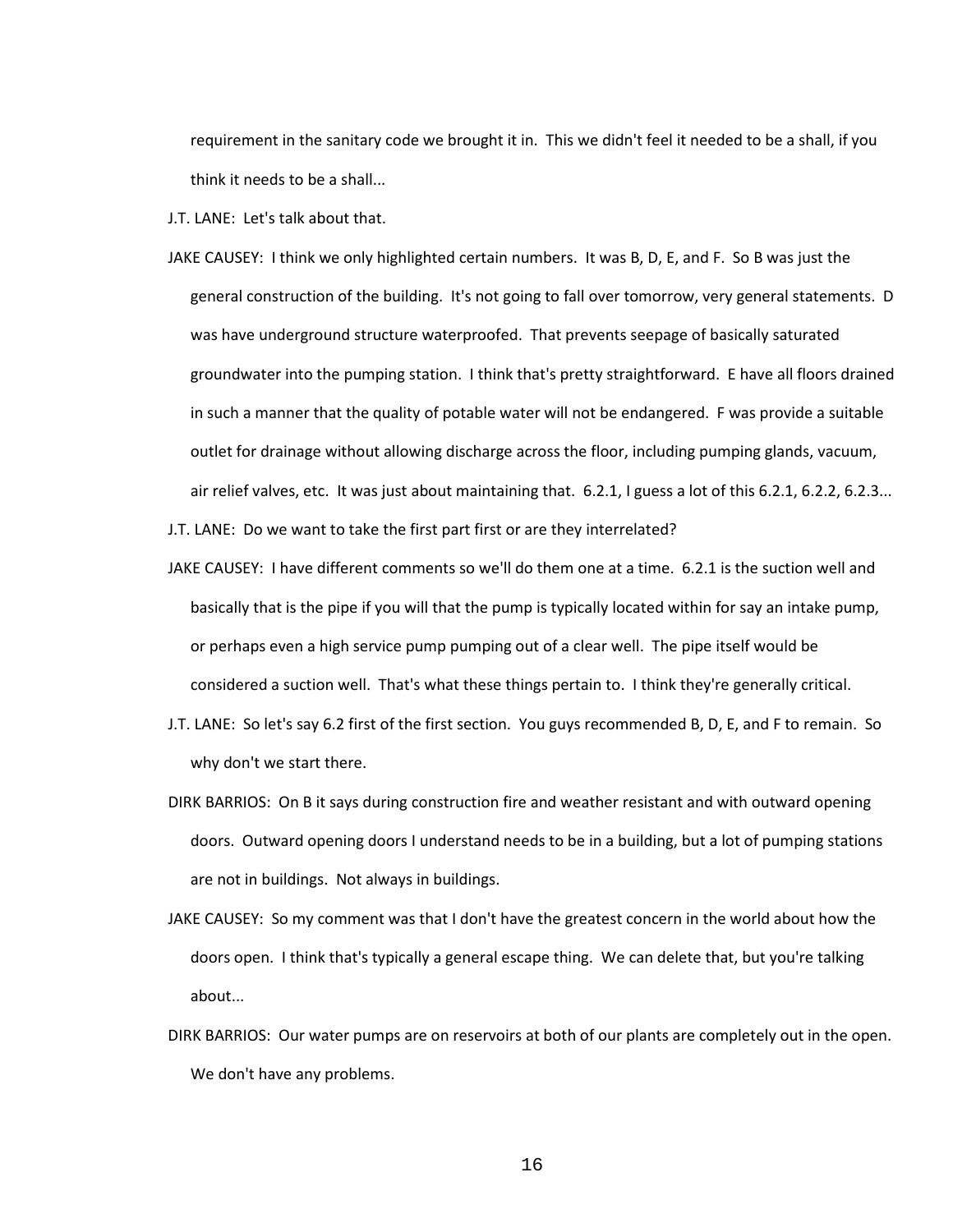requirement in the sanitary code we brought it in. This we didn't feel it needed to be a shall, if you think it needs to be a shall...

J.T. LANE: Let's talk about that.

JAKE CAUSEY: I think we only highlighted certain numbers. It was B, D, E, and F. So B was just the general construction of the building. It's not going to fall over tomorrow, very general statements. D was have underground structure waterproofed. That prevents seepage of basically saturated groundwater into the pumping station. I think that's pretty straightforward. E have all floors drained in such a manner that the quality of potable water will not be endangered. F was provide a suitable outlet for drainage without allowing discharge across the floor, including pumping glands, vacuum, air relief valves, etc. It was just about maintaining that. 6.2.1, I guess a lot of this 6.2.1, 6.2.2, 6.2.3...

J.T. LANE: Do we want to take the first part first or are they interrelated?

- JAKE CAUSEY: I have different comments so we'll do them one at a time. 6.2.1 is the suction well and basically that is the pipe if you will that the pump is typically located within for say an intake pump, or perhaps even a high service pump pumping out of a clear well. The pipe itself would be considered a suction well. That's what these things pertain to. I think they're generally critical.
- J.T. LANE: So let's say 6.2 first of the first section. You guys recommended B, D, E, and F to remain. So why don't we start there.
- DIRK BARRIOS: On B it says during construction fire and weather resistant and with outward opening doors. Outward opening doors I understand needs to be in a building, but a lot of pumping stations are not in buildings. Not always in buildings.
- JAKE CAUSEY: So my comment was that I don't have the greatest concern in the world about how the doors open. I think that's typically a general escape thing. We can delete that, but you're talking about...
- DIRK BARRIOS: Our water pumps are on reservoirs at both of our plants are completely out in the open. We don't have any problems.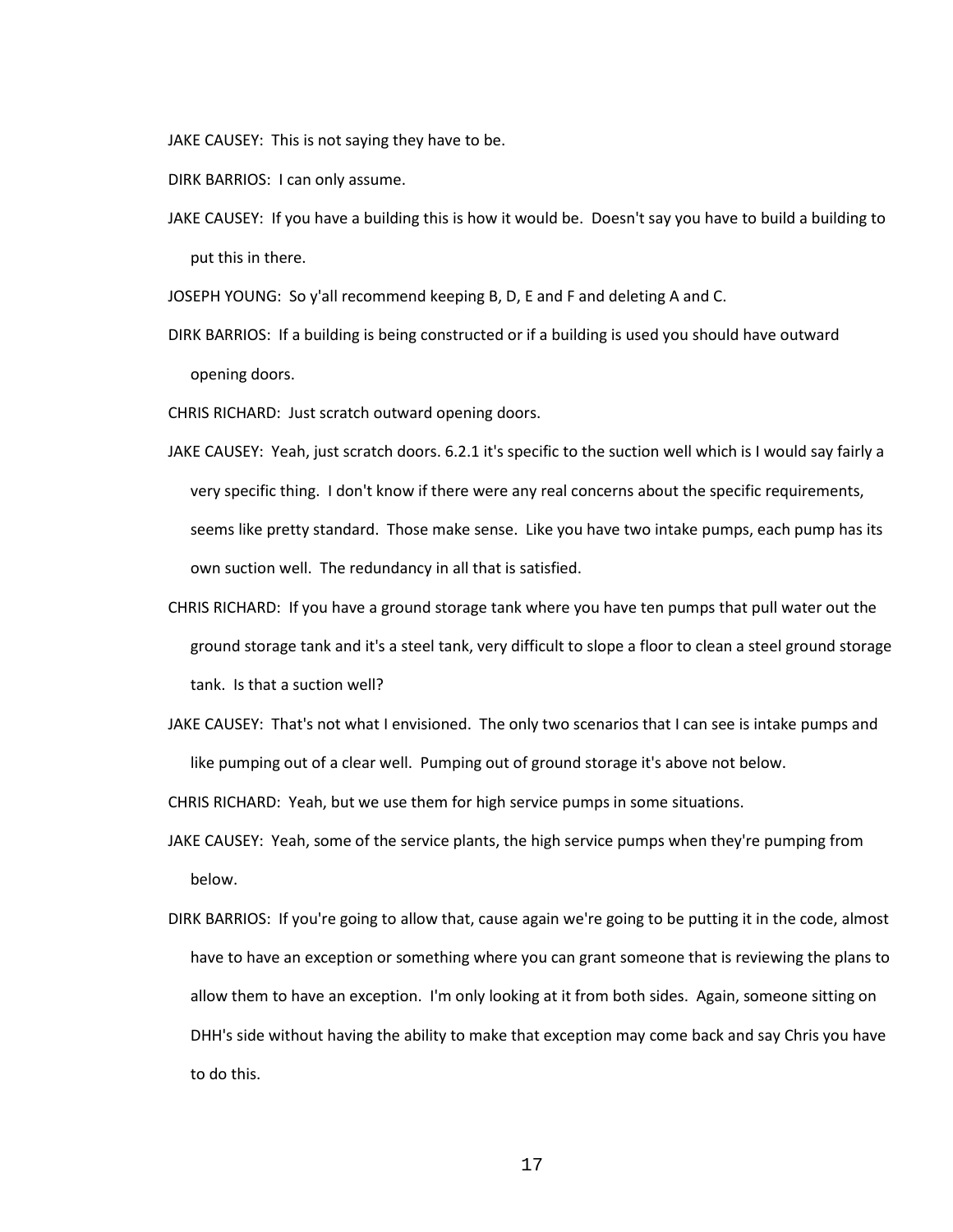JAKE CAUSEY: This is not saying they have to be.

DIRK BARRIOS: I can only assume.

JAKE CAUSEY: If you have a building this is how it would be. Doesn't say you have to build a building to put this in there.

JOSEPH YOUNG: So y'all recommend keeping B, D, E and F and deleting A and C.

DIRK BARRIOS: If a building is being constructed or if a building is used you should have outward opening doors.

CHRIS RICHARD: Just scratch outward opening doors.

- JAKE CAUSEY: Yeah, just scratch doors. 6.2.1 it's specific to the suction well which is I would say fairly a very specific thing. I don't know if there were any real concerns about the specific requirements, seems like pretty standard. Those make sense. Like you have two intake pumps, each pump has its own suction well. The redundancy in all that is satisfied.
- CHRIS RICHARD: If you have a ground storage tank where you have ten pumps that pull water out the ground storage tank and it's a steel tank, very difficult to slope a floor to clean a steel ground storage tank. Is that a suction well?
- JAKE CAUSEY: That's not what I envisioned. The only two scenarios that I can see is intake pumps and like pumping out of a clear well. Pumping out of ground storage it's above not below.

CHRIS RICHARD: Yeah, but we use them for high service pumps in some situations.

- JAKE CAUSEY: Yeah, some of the service plants, the high service pumps when they're pumping from below.
- DIRK BARRIOS: If you're going to allow that, cause again we're going to be putting it in the code, almost have to have an exception or something where you can grant someone that is reviewing the plans to allow them to have an exception. I'm only looking at it from both sides. Again, someone sitting on DHH's side without having the ability to make that exception may come back and say Chris you have to do this.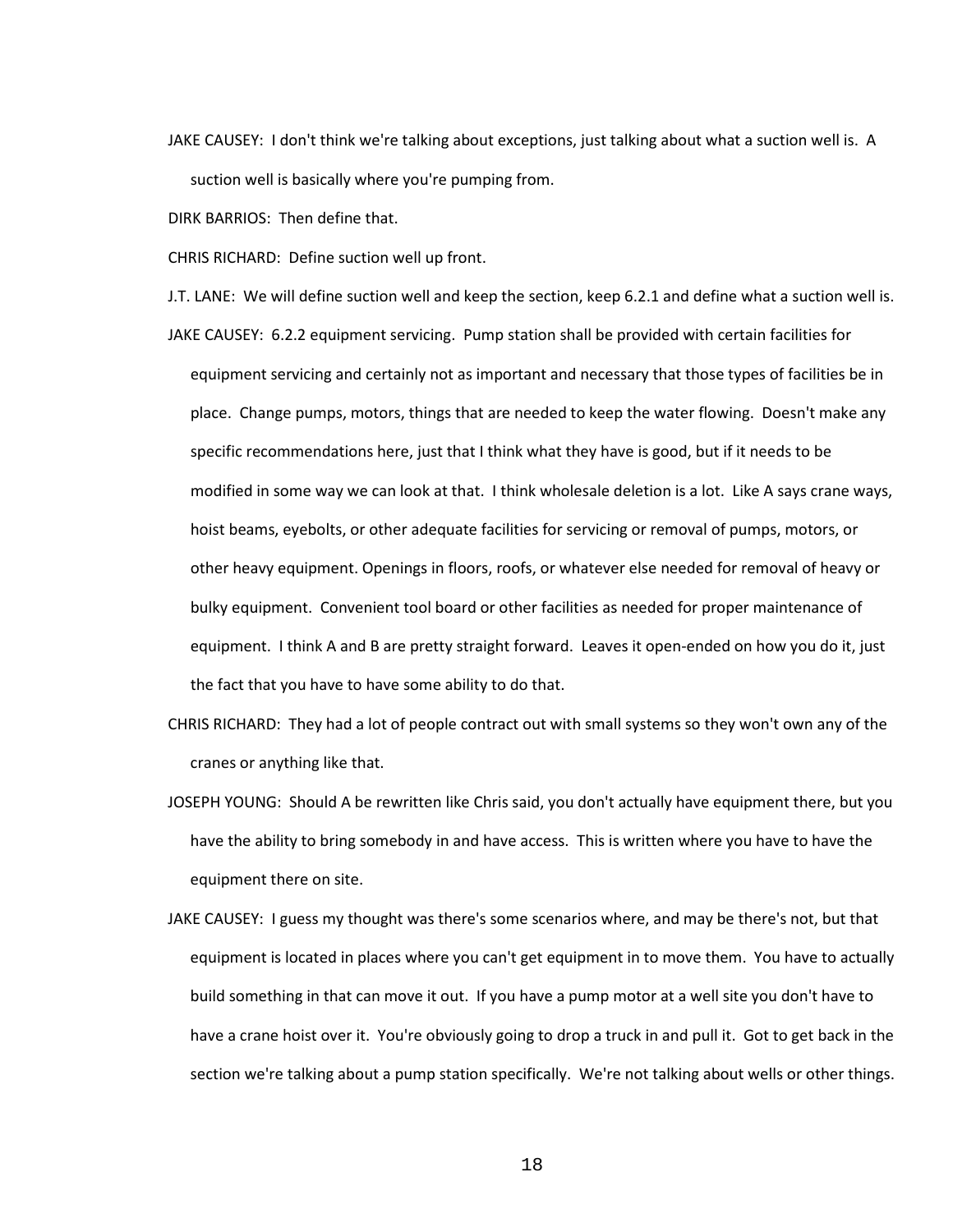JAKE CAUSEY: I don't think we're talking about exceptions, just talking about what a suction well is. A suction well is basically where you're pumping from.

DIRK BARRIOS: Then define that.

CHRIS RICHARD: Define suction well up front.

J.T. LANE: We will define suction well and keep the section, keep 6.2.1 and define what a suction well is.

- JAKE CAUSEY: 6.2.2 equipment servicing. Pump station shall be provided with certain facilities for equipment servicing and certainly not as important and necessary that those types of facilities be in place. Change pumps, motors, things that are needed to keep the water flowing. Doesn't make any specific recommendations here, just that I think what they have is good, but if it needs to be modified in some way we can look at that. I think wholesale deletion is a lot. Like A says crane ways, hoist beams, eyebolts, or other adequate facilities for servicing or removal of pumps, motors, or other heavy equipment. Openings in floors, roofs, or whatever else needed for removal of heavy or bulky equipment. Convenient tool board or other facilities as needed for proper maintenance of equipment. I think A and B are pretty straight forward. Leaves it open-ended on how you do it, just the fact that you have to have some ability to do that.
- CHRIS RICHARD: They had a lot of people contract out with small systems so they won't own any of the cranes or anything like that.
- JOSEPH YOUNG: Should A be rewritten like Chris said, you don't actually have equipment there, but you have the ability to bring somebody in and have access. This is written where you have to have the equipment there on site.
- JAKE CAUSEY: I guess my thought was there's some scenarios where, and may be there's not, but that equipment is located in places where you can't get equipment in to move them. You have to actually build something in that can move it out. If you have a pump motor at a well site you don't have to have a crane hoist over it. You're obviously going to drop a truck in and pull it. Got to get back in the section we're talking about a pump station specifically. We're not talking about wells or other things.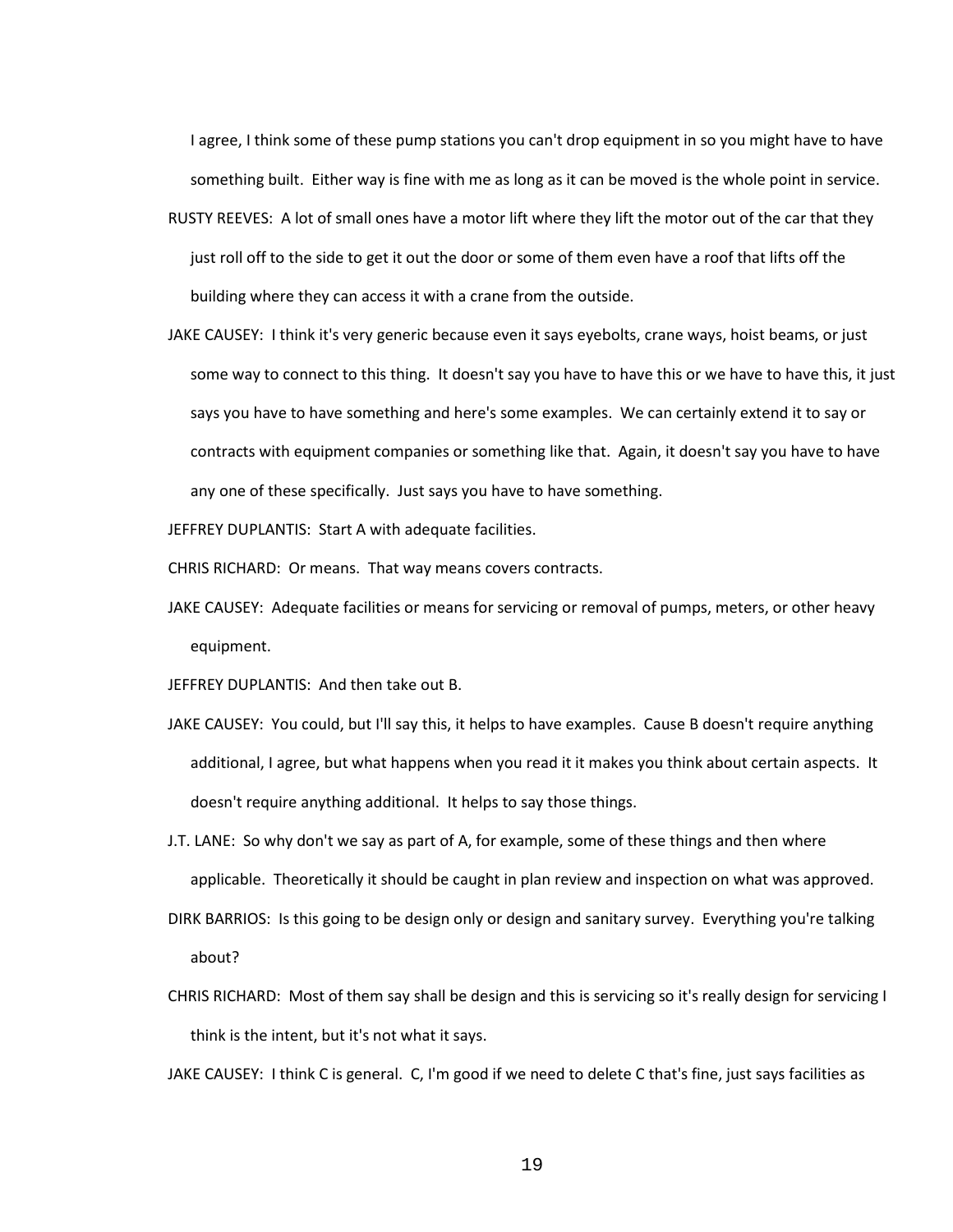I agree, I think some of these pump stations you can't drop equipment in so you might have to have something built. Either way is fine with me as long as it can be moved is the whole point in service.

- RUSTY REEVES: A lot of small ones have a motor lift where they lift the motor out of the car that they just roll off to the side to get it out the door or some of them even have a roof that lifts off the building where they can access it with a crane from the outside.
- JAKE CAUSEY: I think it's very generic because even it says eyebolts, crane ways, hoist beams, or just some way to connect to this thing. It doesn't say you have to have this or we have to have this, it just says you have to have something and here's some examples. We can certainly extend it to say or contracts with equipment companies or something like that. Again, it doesn't say you have to have any one of these specifically. Just says you have to have something.

JEFFREY DUPLANTIS: Start A with adequate facilities.

CHRIS RICHARD: Or means. That way means covers contracts.

JAKE CAUSEY: Adequate facilities or means for servicing or removal of pumps, meters, or other heavy equipment.

JEFFREY DUPLANTIS: And then take out B.

- JAKE CAUSEY: You could, but I'll say this, it helps to have examples. Cause B doesn't require anything additional, I agree, but what happens when you read it it makes you think about certain aspects. It doesn't require anything additional. It helps to say those things.
- J.T. LANE: So why don't we say as part of A, for example, some of these things and then where applicable. Theoretically it should be caught in plan review and inspection on what was approved.
- DIRK BARRIOS: Is this going to be design only or design and sanitary survey. Everything you're talking about?
- CHRIS RICHARD: Most of them say shall be design and this is servicing so it's really design for servicing I think is the intent, but it's not what it says.

JAKE CAUSEY: I think C is general. C, I'm good if we need to delete C that's fine, just says facilities as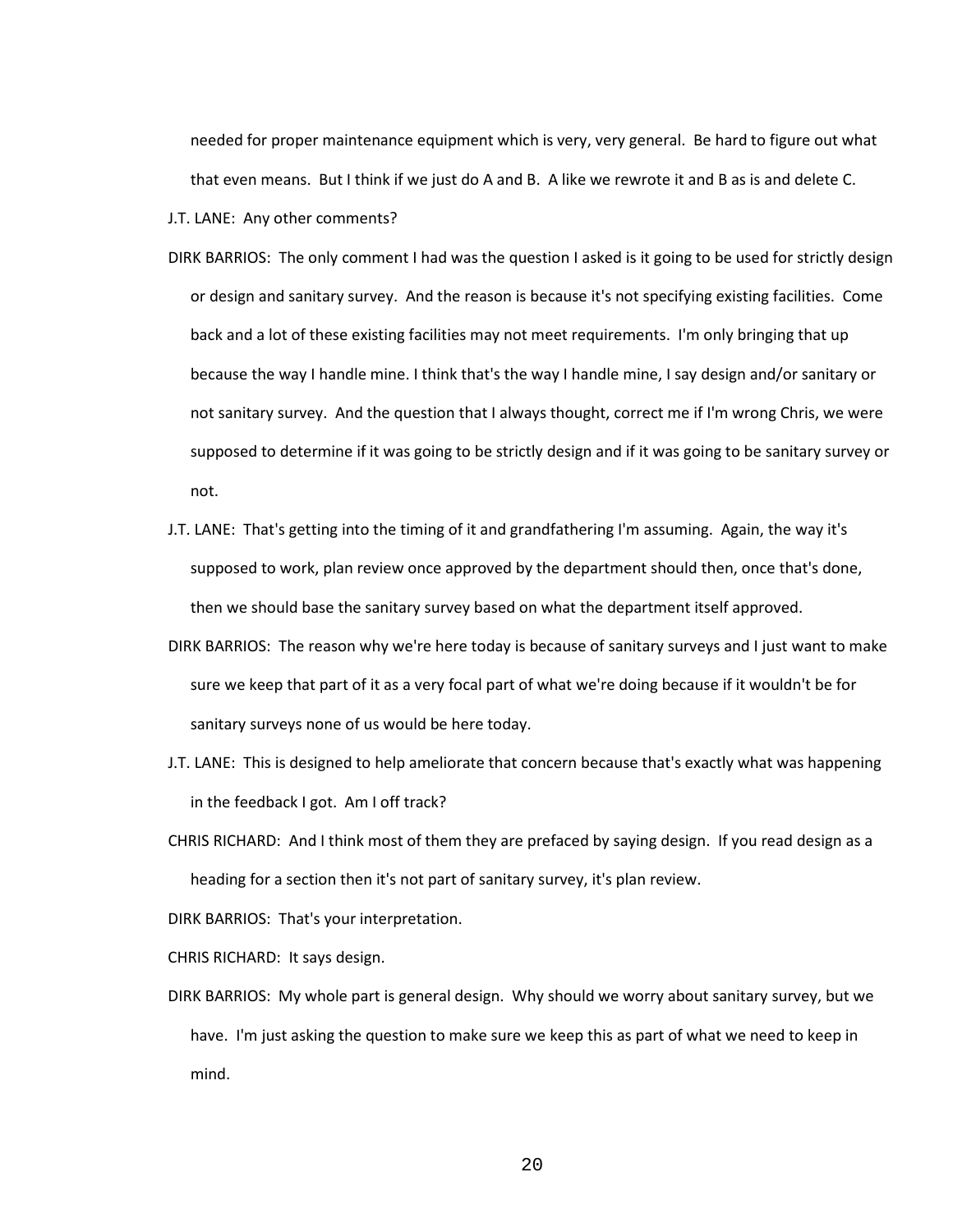needed for proper maintenance equipment which is very, very general. Be hard to figure out what that even means. But I think if we just do A and B. A like we rewrote it and B as is and delete C.

J.T. LANE: Any other comments?

- DIRK BARRIOS: The only comment I had was the question I asked is it going to be used for strictly design or design and sanitary survey. And the reason is because it's not specifying existing facilities. Come back and a lot of these existing facilities may not meet requirements. I'm only bringing that up because the way I handle mine. I think that's the way I handle mine, I say design and/or sanitary or not sanitary survey. And the question that I always thought, correct me if I'm wrong Chris, we were supposed to determine if it was going to be strictly design and if it was going to be sanitary survey or not.
- J.T. LANE: That's getting into the timing of it and grandfathering I'm assuming. Again, the way it's supposed to work, plan review once approved by the department should then, once that's done, then we should base the sanitary survey based on what the department itself approved.
- DIRK BARRIOS: The reason why we're here today is because of sanitary surveys and I just want to make sure we keep that part of it as a very focal part of what we're doing because if it wouldn't be for sanitary surveys none of us would be here today.
- J.T. LANE: This is designed to help ameliorate that concern because that's exactly what was happening in the feedback I got. Am I off track?
- CHRIS RICHARD: And I think most of them they are prefaced by saying design. If you read design as a heading for a section then it's not part of sanitary survey, it's plan review.

DIRK BARRIOS: That's your interpretation.

CHRIS RICHARD: It says design.

DIRK BARRIOS: My whole part is general design. Why should we worry about sanitary survey, but we have. I'm just asking the question to make sure we keep this as part of what we need to keep in mind.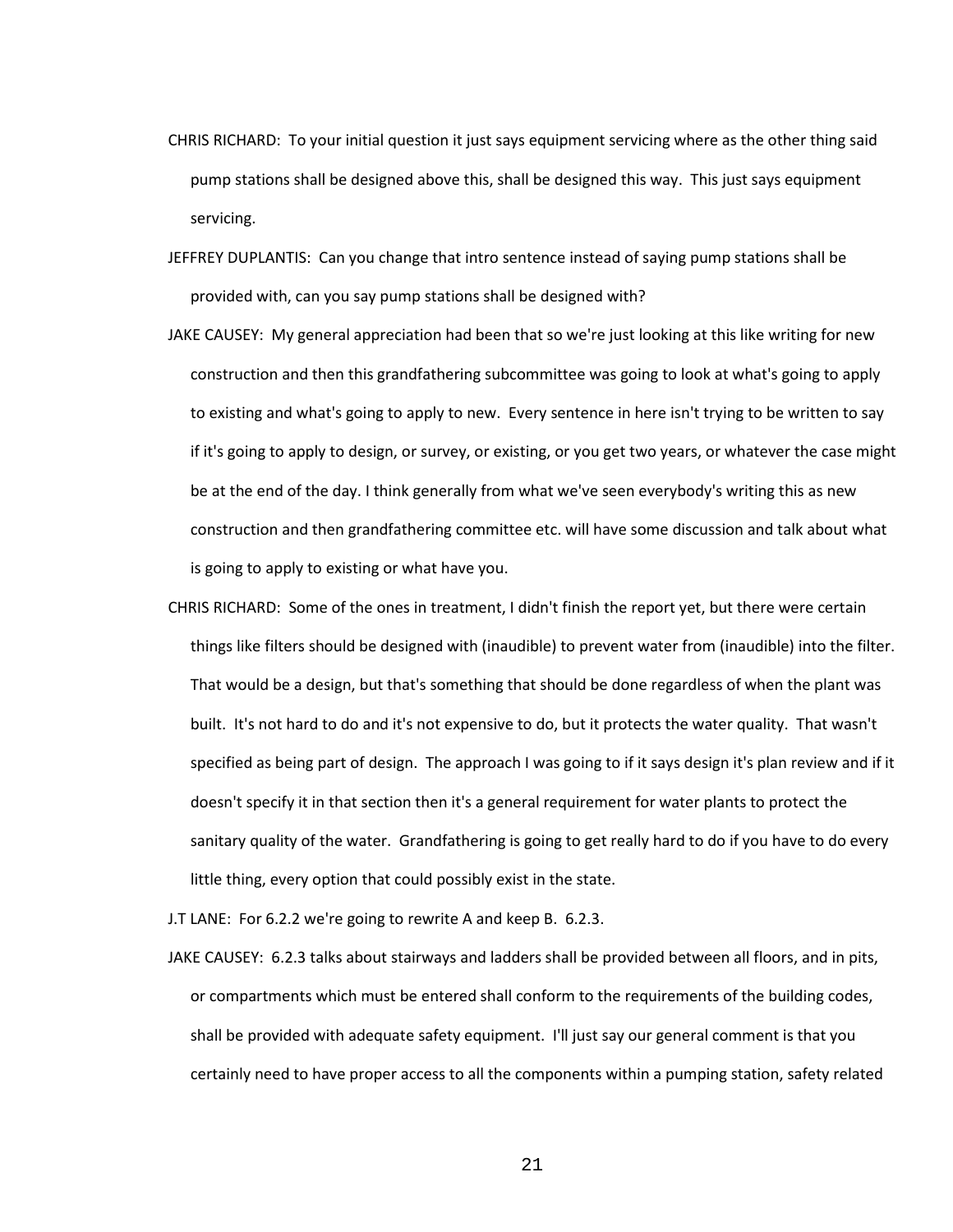- CHRIS RICHARD: To your initial question it just says equipment servicing where as the other thing said pump stations shall be designed above this, shall be designed this way. This just says equipment servicing.
- JEFFREY DUPLANTIS: Can you change that intro sentence instead of saying pump stations shall be provided with, can you say pump stations shall be designed with?
- JAKE CAUSEY: My general appreciation had been that so we're just looking at this like writing for new construction and then this grandfathering subcommittee was going to look at what's going to apply to existing and what's going to apply to new. Every sentence in here isn't trying to be written to say if it's going to apply to design, or survey, or existing, or you get two years, or whatever the case might be at the end of the day. I think generally from what we've seen everybody's writing this as new construction and then grandfathering committee etc. will have some discussion and talk about what is going to apply to existing or what have you.
- CHRIS RICHARD: Some of the ones in treatment, I didn't finish the report yet, but there were certain things like filters should be designed with (inaudible) to prevent water from (inaudible) into the filter. That would be a design, but that's something that should be done regardless of when the plant was built. It's not hard to do and it's not expensive to do, but it protects the water quality. That wasn't specified as being part of design. The approach I was going to if it says design it's plan review and if it doesn't specify it in that section then it's a general requirement for water plants to protect the sanitary quality of the water. Grandfathering is going to get really hard to do if you have to do every little thing, every option that could possibly exist in the state.

J.T LANE: For 6.2.2 we're going to rewrite A and keep B. 6.2.3.

JAKE CAUSEY: 6.2.3 talks about stairways and ladders shall be provided between all floors, and in pits, or compartments which must be entered shall conform to the requirements of the building codes, shall be provided with adequate safety equipment. I'll just say our general comment is that you certainly need to have proper access to all the components within a pumping station, safety related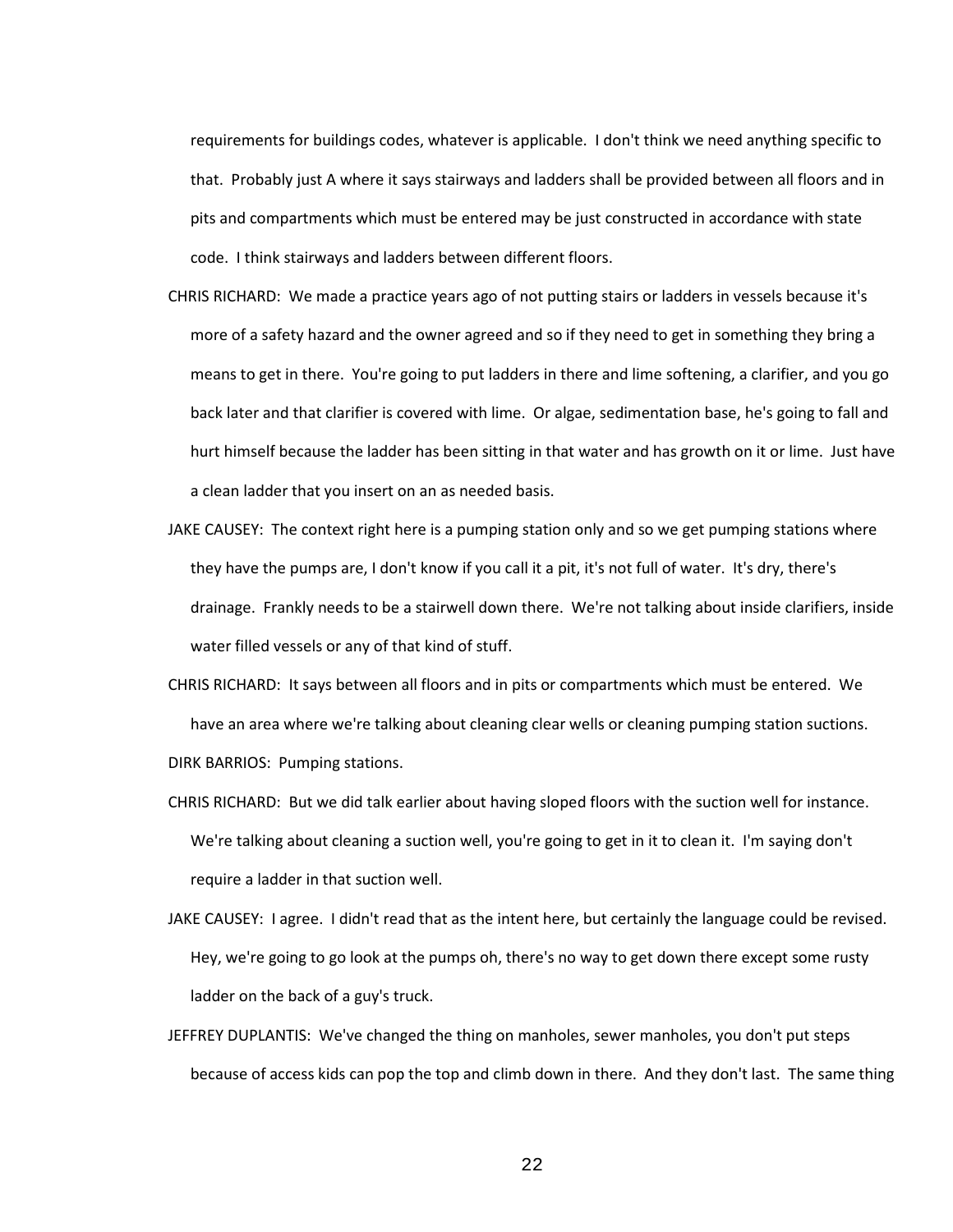requirements for buildings codes, whatever is applicable. I don't think we need anything specific to that. Probably just A where it says stairways and ladders shall be provided between all floors and in pits and compartments which must be entered may be just constructed in accordance with state code. I think stairways and ladders between different floors.

- CHRIS RICHARD: We made a practice years ago of not putting stairs or ladders in vessels because it's more of a safety hazard and the owner agreed and so if they need to get in something they bring a means to get in there. You're going to put ladders in there and lime softening, a clarifier, and you go back later and that clarifier is covered with lime. Or algae, sedimentation base, he's going to fall and hurt himself because the ladder has been sitting in that water and has growth on it or lime. Just have a clean ladder that you insert on an as needed basis.
- JAKE CAUSEY: The context right here is a pumping station only and so we get pumping stations where they have the pumps are, I don't know if you call it a pit, it's not full of water. It's dry, there's drainage. Frankly needs to be a stairwell down there. We're not talking about inside clarifiers, inside water filled vessels or any of that kind of stuff.
- CHRIS RICHARD: It says between all floors and in pits or compartments which must be entered. We have an area where we're talking about cleaning clear wells or cleaning pumping station suctions. DIRK BARRIOS: Pumping stations.
- CHRIS RICHARD: But we did talk earlier about having sloped floors with the suction well for instance. We're talking about cleaning a suction well, you're going to get in it to clean it. I'm saying don't require a ladder in that suction well.
- JAKE CAUSEY: I agree. I didn't read that as the intent here, but certainly the language could be revised. Hey, we're going to go look at the pumps oh, there's no way to get down there except some rusty ladder on the back of a guy's truck.
- JEFFREY DUPLANTIS: We've changed the thing on manholes, sewer manholes, you don't put steps because of access kids can pop the top and climb down in there. And they don't last. The same thing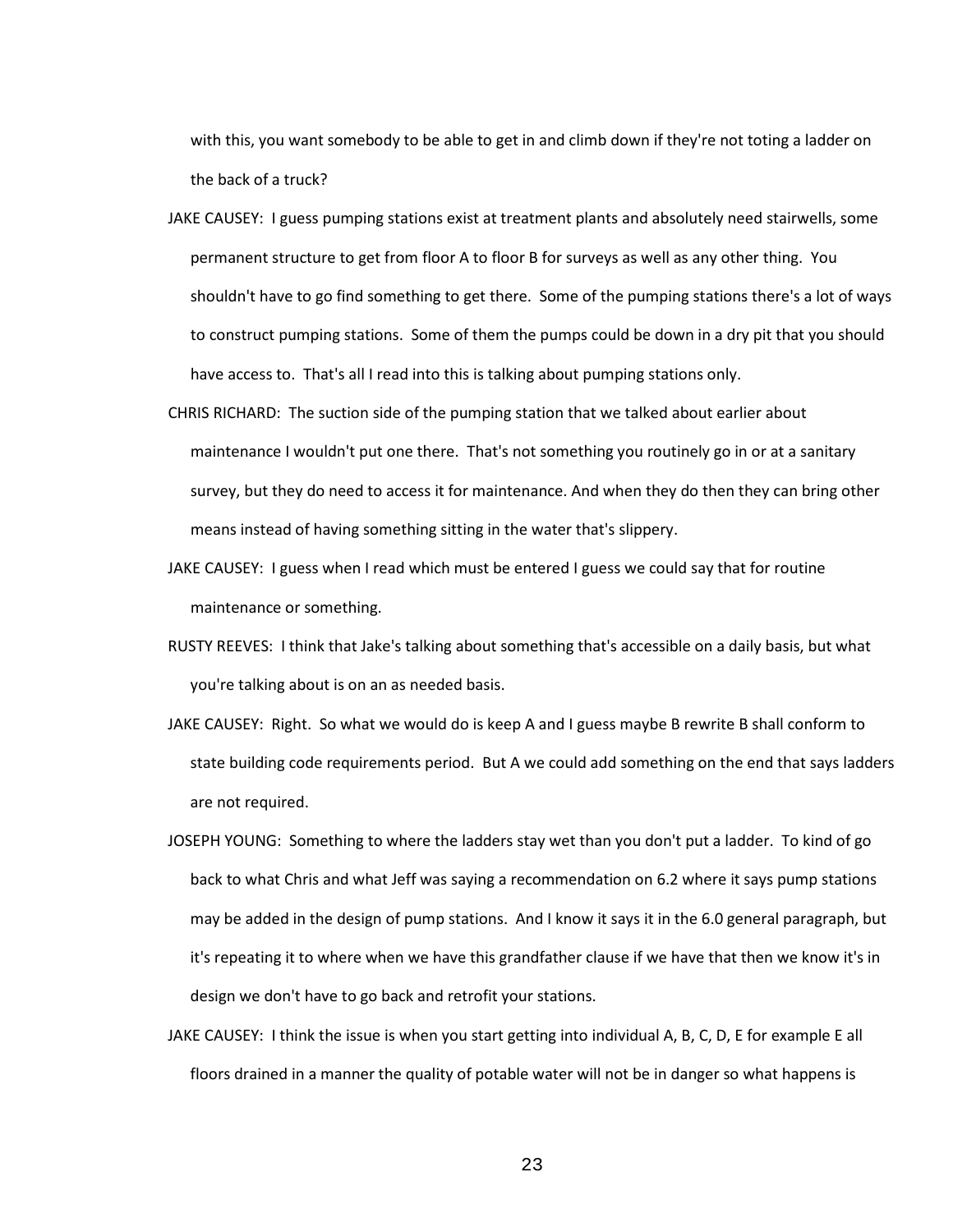with this, you want somebody to be able to get in and climb down if they're not toting a ladder on the back of a truck?

- JAKE CAUSEY: I guess pumping stations exist at treatment plants and absolutely need stairwells, some permanent structure to get from floor A to floor B for surveys as well as any other thing. You shouldn't have to go find something to get there. Some of the pumping stations there's a lot of ways to construct pumping stations. Some of them the pumps could be down in a dry pit that you should have access to. That's all I read into this is talking about pumping stations only.
- CHRIS RICHARD: The suction side of the pumping station that we talked about earlier about maintenance I wouldn't put one there. That's not something you routinely go in or at a sanitary survey, but they do need to access it for maintenance. And when they do then they can bring other means instead of having something sitting in the water that's slippery.
- JAKE CAUSEY: I guess when I read which must be entered I guess we could say that for routine maintenance or something.
- RUSTY REEVES: I think that Jake's talking about something that's accessible on a daily basis, but what you're talking about is on an as needed basis.
- JAKE CAUSEY: Right. So what we would do is keep A and I guess maybe B rewrite B shall conform to state building code requirements period. But A we could add something on the end that says ladders are not required.
- JOSEPH YOUNG: Something to where the ladders stay wet than you don't put a ladder. To kind of go back to what Chris and what Jeff was saying a recommendation on 6.2 where it says pump stations may be added in the design of pump stations. And I know it says it in the 6.0 general paragraph, but it's repeating it to where when we have this grandfather clause if we have that then we know it's in design we don't have to go back and retrofit your stations.
- JAKE CAUSEY: I think the issue is when you start getting into individual A, B, C, D, E for example E all floors drained in a manner the quality of potable water will not be in danger so what happens is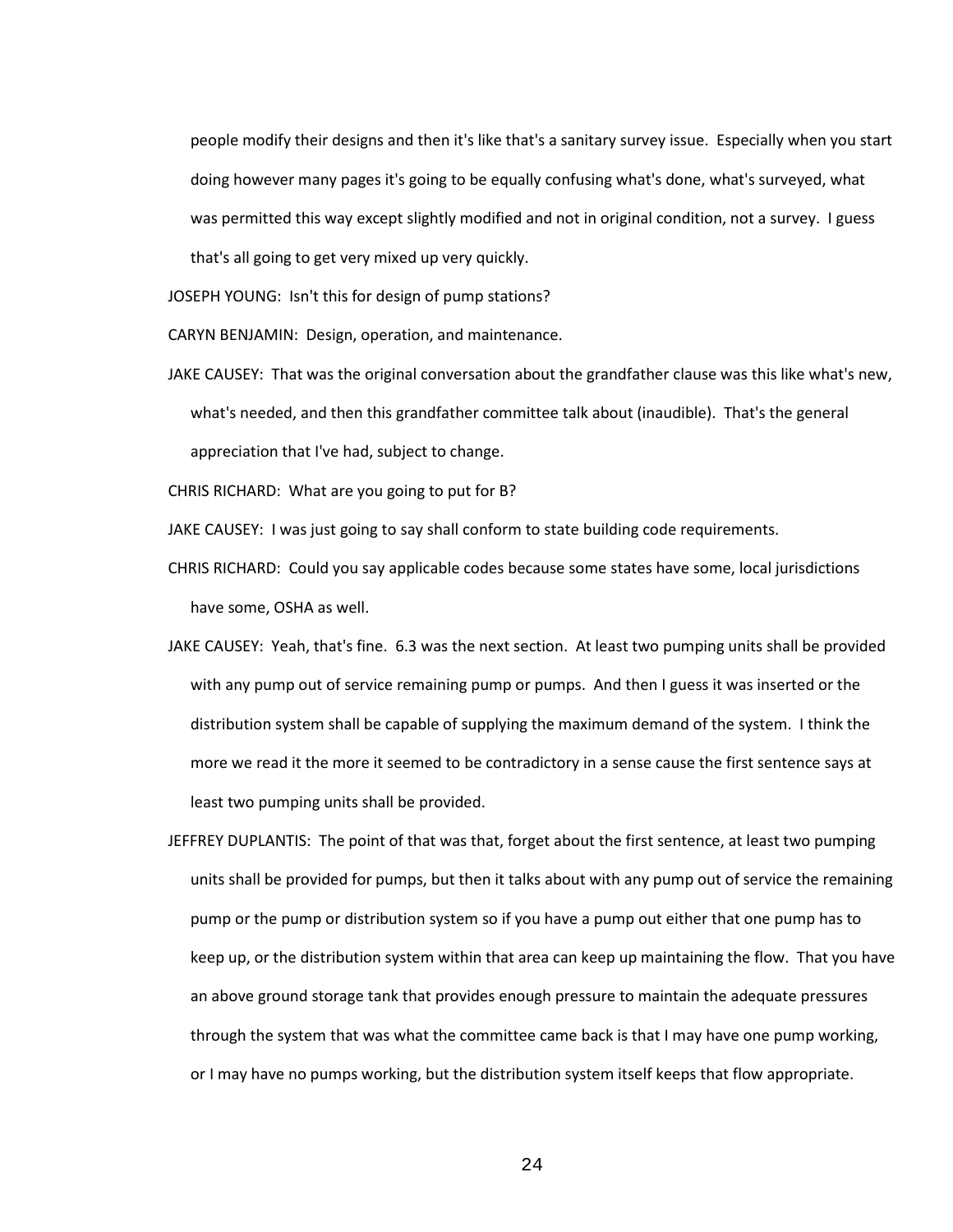people modify their designs and then it's like that's a sanitary survey issue. Especially when you start doing however many pages it's going to be equally confusing what's done, what's surveyed, what was permitted this way except slightly modified and not in original condition, not a survey. I guess that's all going to get very mixed up very quickly.

JOSEPH YOUNG: Isn't this for design of pump stations?

CARYN BENJAMIN: Design, operation, and maintenance.

JAKE CAUSEY: That was the original conversation about the grandfather clause was this like what's new, what's needed, and then this grandfather committee talk about (inaudible). That's the general appreciation that I've had, subject to change.

CHRIS RICHARD: What are you going to put for B?

JAKE CAUSEY: I was just going to say shall conform to state building code requirements.

- CHRIS RICHARD: Could you say applicable codes because some states have some, local jurisdictions have some, OSHA as well.
- JAKE CAUSEY: Yeah, that's fine. 6.3 was the next section. At least two pumping units shall be provided with any pump out of service remaining pump or pumps. And then I guess it was inserted or the distribution system shall be capable of supplying the maximum demand of the system. I think the more we read it the more it seemed to be contradictory in a sense cause the first sentence says at least two pumping units shall be provided.
- JEFFREY DUPLANTIS: The point of that was that, forget about the first sentence, at least two pumping units shall be provided for pumps, but then it talks about with any pump out of service the remaining pump or the pump or distribution system so if you have a pump out either that one pump has to keep up, or the distribution system within that area can keep up maintaining the flow. That you have an above ground storage tank that provides enough pressure to maintain the adequate pressures through the system that was what the committee came back is that I may have one pump working, or I may have no pumps working, but the distribution system itself keeps that flow appropriate.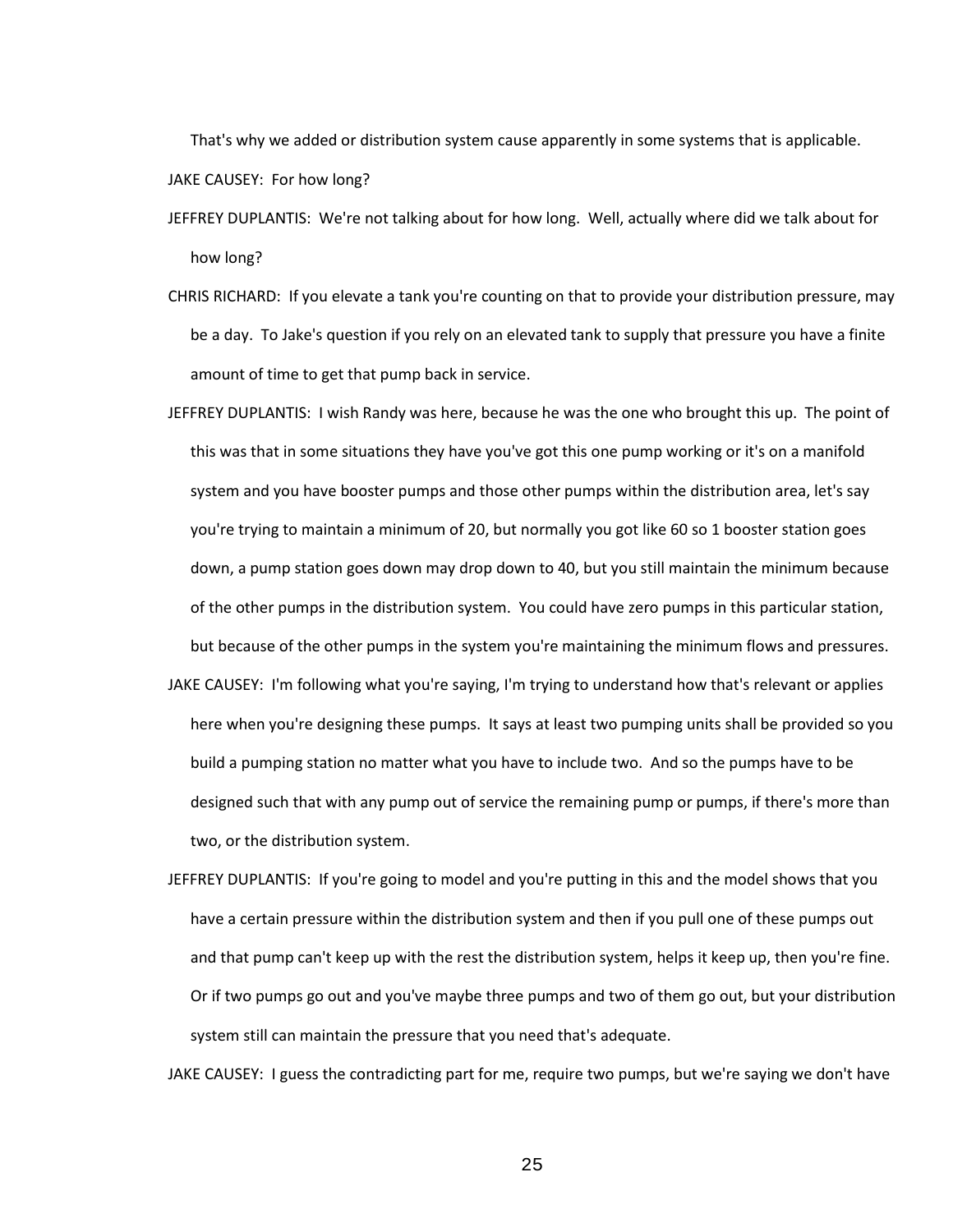That's why we added or distribution system cause apparently in some systems that is applicable. JAKE CAUSEY: For how long?

- JEFFREY DUPLANTIS: We're not talking about for how long. Well, actually where did we talk about for how long?
- CHRIS RICHARD: If you elevate a tank you're counting on that to provide your distribution pressure, may be a day. To Jake's question if you rely on an elevated tank to supply that pressure you have a finite amount of time to get that pump back in service.
- JEFFREY DUPLANTIS: I wish Randy was here, because he was the one who brought this up. The point of this was that in some situations they have you've got this one pump working or it's on a manifold system and you have booster pumps and those other pumps within the distribution area, let's say you're trying to maintain a minimum of 20, but normally you got like 60 so 1 booster station goes down, a pump station goes down may drop down to 40, but you still maintain the minimum because of the other pumps in the distribution system. You could have zero pumps in this particular station, but because of the other pumps in the system you're maintaining the minimum flows and pressures. JAKE CAUSEY: I'm following what you're saying, I'm trying to understand how that's relevant or applies here when you're designing these pumps. It says at least two pumping units shall be provided so you build a pumping station no matter what you have to include two. And so the pumps have to be designed such that with any pump out of service the remaining pump or pumps, if there's more than

two, or the distribution system.

JEFFREY DUPLANTIS: If you're going to model and you're putting in this and the model shows that you have a certain pressure within the distribution system and then if you pull one of these pumps out and that pump can't keep up with the rest the distribution system, helps it keep up, then you're fine. Or if two pumps go out and you've maybe three pumps and two of them go out, but your distribution system still can maintain the pressure that you need that's adequate.

JAKE CAUSEY: I guess the contradicting part for me, require two pumps, but we're saying we don't have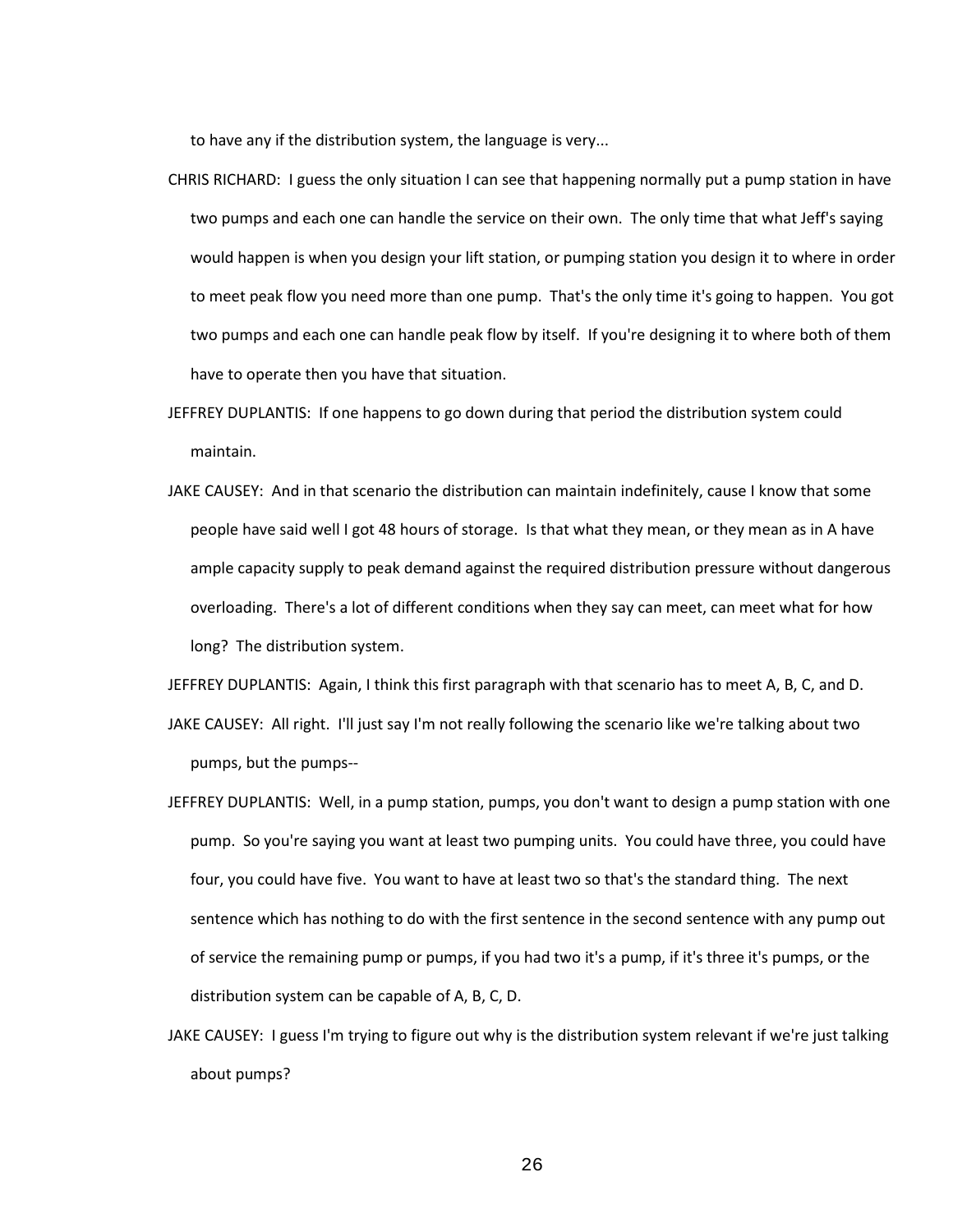to have any if the distribution system, the language is very...

- CHRIS RICHARD: I guess the only situation I can see that happening normally put a pump station in have two pumps and each one can handle the service on their own. The only time that what Jeff's saying would happen is when you design your lift station, or pumping station you design it to where in order to meet peak flow you need more than one pump. That's the only time it's going to happen. You got two pumps and each one can handle peak flow by itself. If you're designing it to where both of them have to operate then you have that situation.
- JEFFREY DUPLANTIS: If one happens to go down during that period the distribution system could maintain.
- JAKE CAUSEY: And in that scenario the distribution can maintain indefinitely, cause I know that some people have said well I got 48 hours of storage. Is that what they mean, or they mean as in A have ample capacity supply to peak demand against the required distribution pressure without dangerous overloading. There's a lot of different conditions when they say can meet, can meet what for how long? The distribution system.

JEFFREY DUPLANTIS: Again, I think this first paragraph with that scenario has to meet A, B, C, and D.

- JAKE CAUSEY: All right. I'll just say I'm not really following the scenario like we're talking about two pumps, but the pumps--
- JEFFREY DUPLANTIS: Well, in a pump station, pumps, you don't want to design a pump station with one pump. So you're saying you want at least two pumping units. You could have three, you could have four, you could have five. You want to have at least two so that's the standard thing. The next sentence which has nothing to do with the first sentence in the second sentence with any pump out of service the remaining pump or pumps, if you had two it's a pump, if it's three it's pumps, or the distribution system can be capable of A, B, C, D.
- JAKE CAUSEY: I guess I'm trying to figure out why is the distribution system relevant if we're just talking about pumps?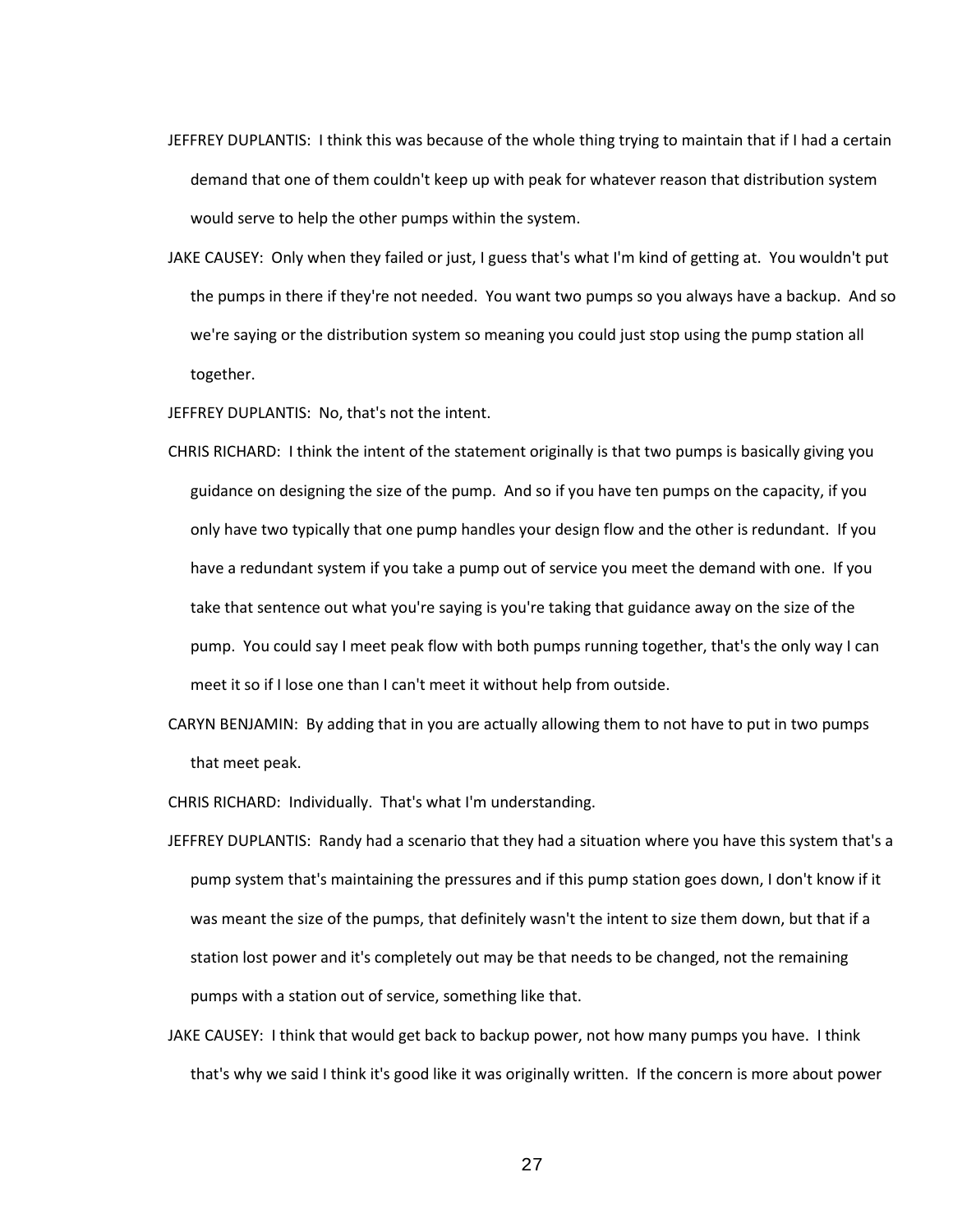- JEFFREY DUPLANTIS: I think this was because of the whole thing trying to maintain that if I had a certain demand that one of them couldn't keep up with peak for whatever reason that distribution system would serve to help the other pumps within the system.
- JAKE CAUSEY: Only when they failed or just, I guess that's what I'm kind of getting at. You wouldn't put the pumps in there if they're not needed. You want two pumps so you always have a backup. And so we're saying or the distribution system so meaning you could just stop using the pump station all together.

JEFFREY DUPLANTIS: No, that's not the intent.

- CHRIS RICHARD: I think the intent of the statement originally is that two pumps is basically giving you guidance on designing the size of the pump. And so if you have ten pumps on the capacity, if you only have two typically that one pump handles your design flow and the other is redundant. If you have a redundant system if you take a pump out of service you meet the demand with one. If you take that sentence out what you're saying is you're taking that guidance away on the size of the pump. You could say I meet peak flow with both pumps running together, that's the only way I can meet it so if I lose one than I can't meet it without help from outside.
- CARYN BENJAMIN: By adding that in you are actually allowing them to not have to put in two pumps that meet peak.

CHRIS RICHARD: Individually. That's what I'm understanding.

- JEFFREY DUPLANTIS: Randy had a scenario that they had a situation where you have this system that's a pump system that's maintaining the pressures and if this pump station goes down, I don't know if it was meant the size of the pumps, that definitely wasn't the intent to size them down, but that if a station lost power and it's completely out may be that needs to be changed, not the remaining pumps with a station out of service, something like that.
- JAKE CAUSEY: I think that would get back to backup power, not how many pumps you have. I think that's why we said I think it's good like it was originally written. If the concern is more about power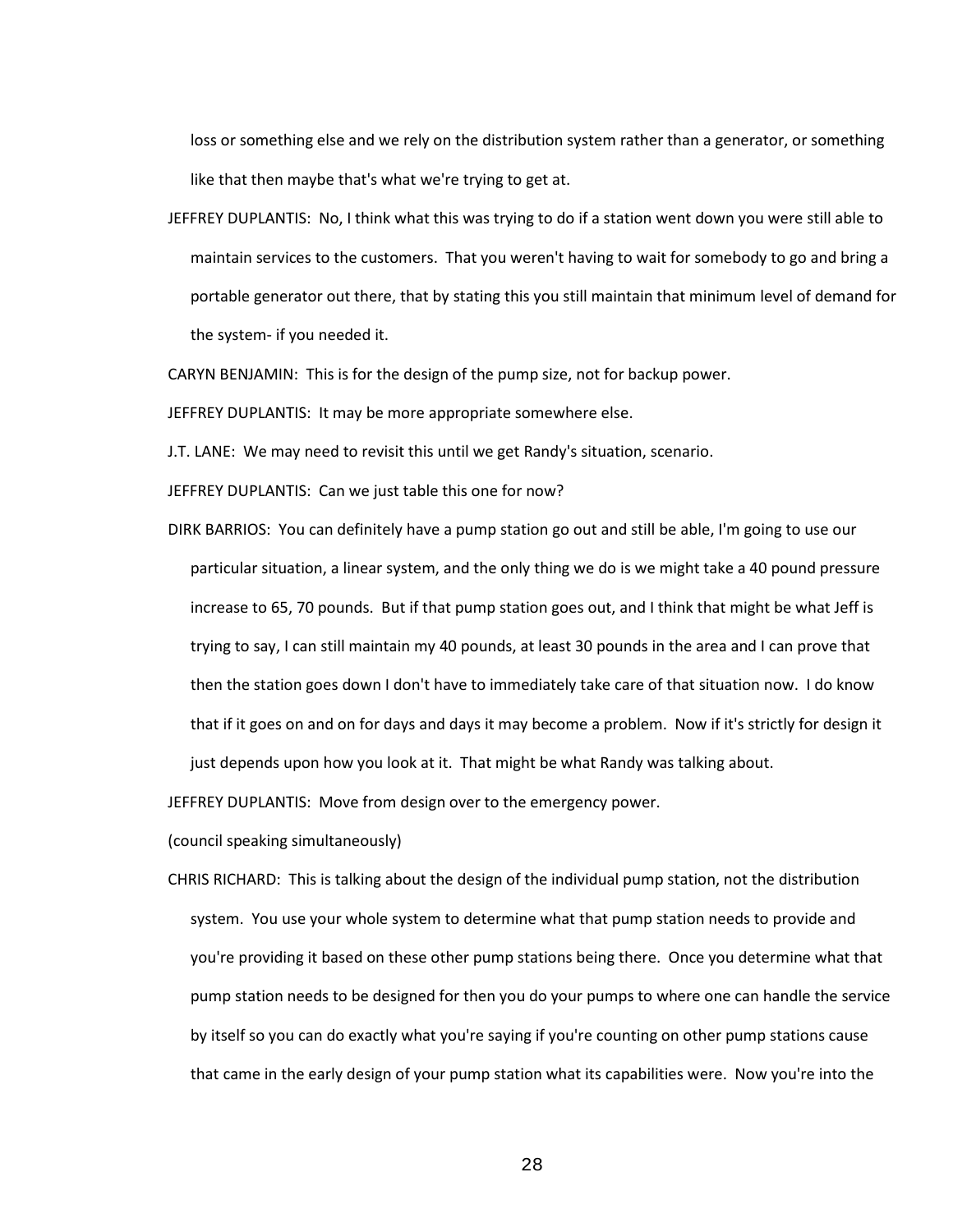loss or something else and we rely on the distribution system rather than a generator, or something like that then maybe that's what we're trying to get at.

JEFFREY DUPLANTIS: No, I think what this was trying to do if a station went down you were still able to maintain services to the customers. That you weren't having to wait for somebody to go and bring a portable generator out there, that by stating this you still maintain that minimum level of demand for the system- if you needed it.

CARYN BENJAMIN: This is for the design of the pump size, not for backup power.

JEFFREY DUPLANTIS: It may be more appropriate somewhere else.

J.T. LANE: We may need to revisit this until we get Randy's situation, scenario.

JEFFREY DUPLANTIS: Can we just table this one for now?

DIRK BARRIOS: You can definitely have a pump station go out and still be able, I'm going to use our particular situation, a linear system, and the only thing we do is we might take a 40 pound pressure increase to 65, 70 pounds. But if that pump station goes out, and I think that might be what Jeff is trying to say, I can still maintain my 40 pounds, at least 30 pounds in the area and I can prove that then the station goes down I don't have to immediately take care of that situation now. I do know that if it goes on and on for days and days it may become a problem. Now if it's strictly for design it just depends upon how you look at it. That might be what Randy was talking about.

JEFFREY DUPLANTIS: Move from design over to the emergency power.

(council speaking simultaneously)

CHRIS RICHARD: This is talking about the design of the individual pump station, not the distribution system. You use your whole system to determine what that pump station needs to provide and you're providing it based on these other pump stations being there. Once you determine what that pump station needs to be designed for then you do your pumps to where one can handle the service by itself so you can do exactly what you're saying if you're counting on other pump stations cause that came in the early design of your pump station what its capabilities were. Now you're into the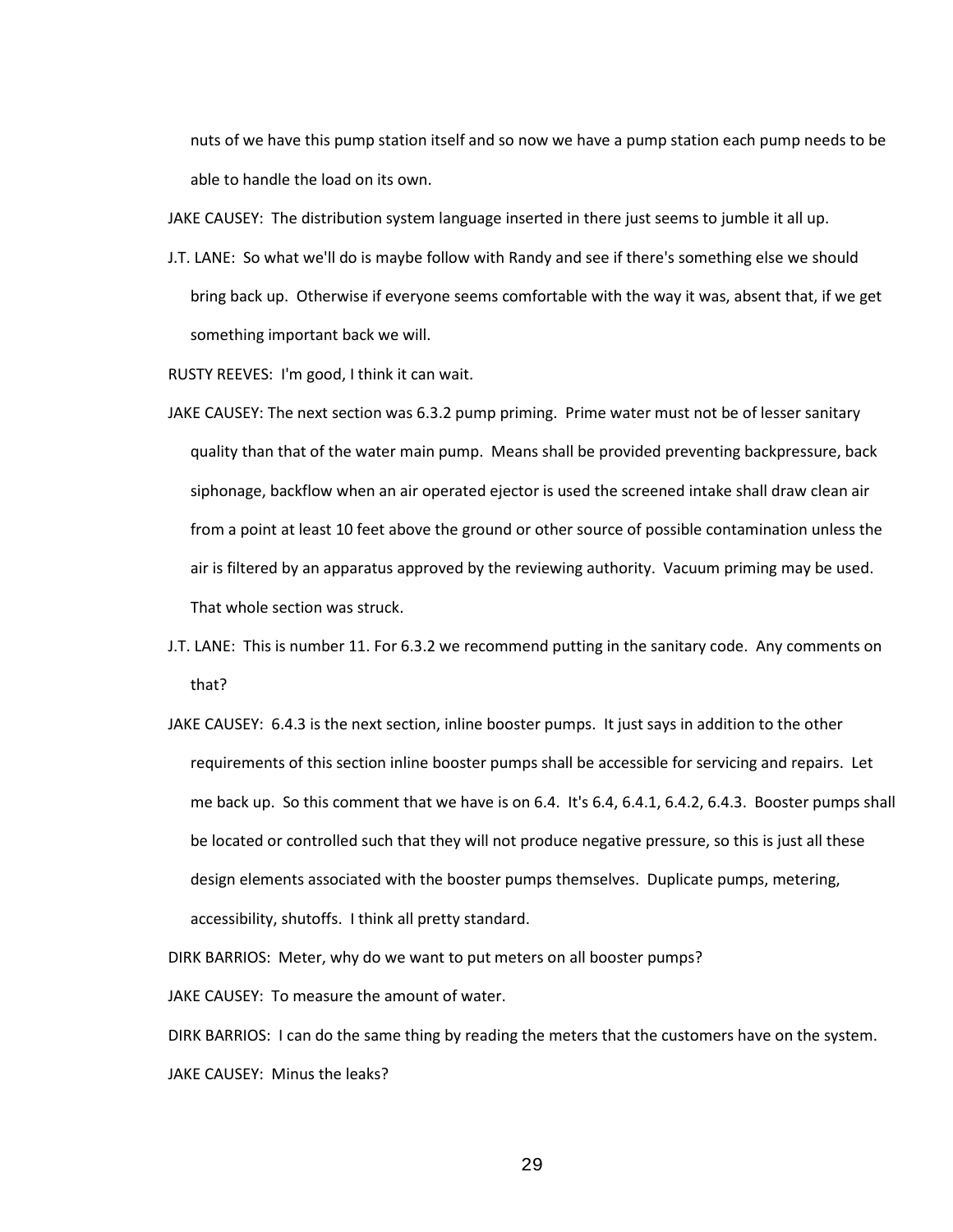nuts of we have this pump station itself and so now we have a pump station each pump needs to be able to handle the load on its own.

JAKE CAUSEY: The distribution system language inserted in there just seems to jumble it all up.

J.T. LANE: So what we'll do is maybe follow with Randy and see if there's something else we should bring back up. Otherwise if everyone seems comfortable with the way it was, absent that, if we get something important back we will.

RUSTY REEVES: I'm good, I think it can wait.

- JAKE CAUSEY: The next section was 6.3.2 pump priming. Prime water must not be of lesser sanitary quality than that of the water main pump. Means shall be provided preventing backpressure, back siphonage, backflow when an air operated ejector is used the screened intake shall draw clean air from a point at least 10 feet above the ground or other source of possible contamination unless the air is filtered by an apparatus approved by the reviewing authority. Vacuum priming may be used. That whole section was struck.
- J.T. LANE: This is number 11. For 6.3.2 we recommend putting in the sanitary code. Any comments on that?
- JAKE CAUSEY: 6.4.3 is the next section, inline booster pumps. It just says in addition to the other requirements of this section inline booster pumps shall be accessible for servicing and repairs. Let me back up. So this comment that we have is on 6.4. It's 6.4, 6.4.1, 6.4.2, 6.4.3. Booster pumps shall be located or controlled such that they will not produce negative pressure, so this is just all these design elements associated with the booster pumps themselves. Duplicate pumps, metering, accessibility, shutoffs. I think all pretty standard.

DIRK BARRIOS: Meter, why do we want to put meters on all booster pumps?

JAKE CAUSEY: To measure the amount of water.

DIRK BARRIOS: I can do the same thing by reading the meters that the customers have on the system. JAKE CAUSEY: Minus the leaks?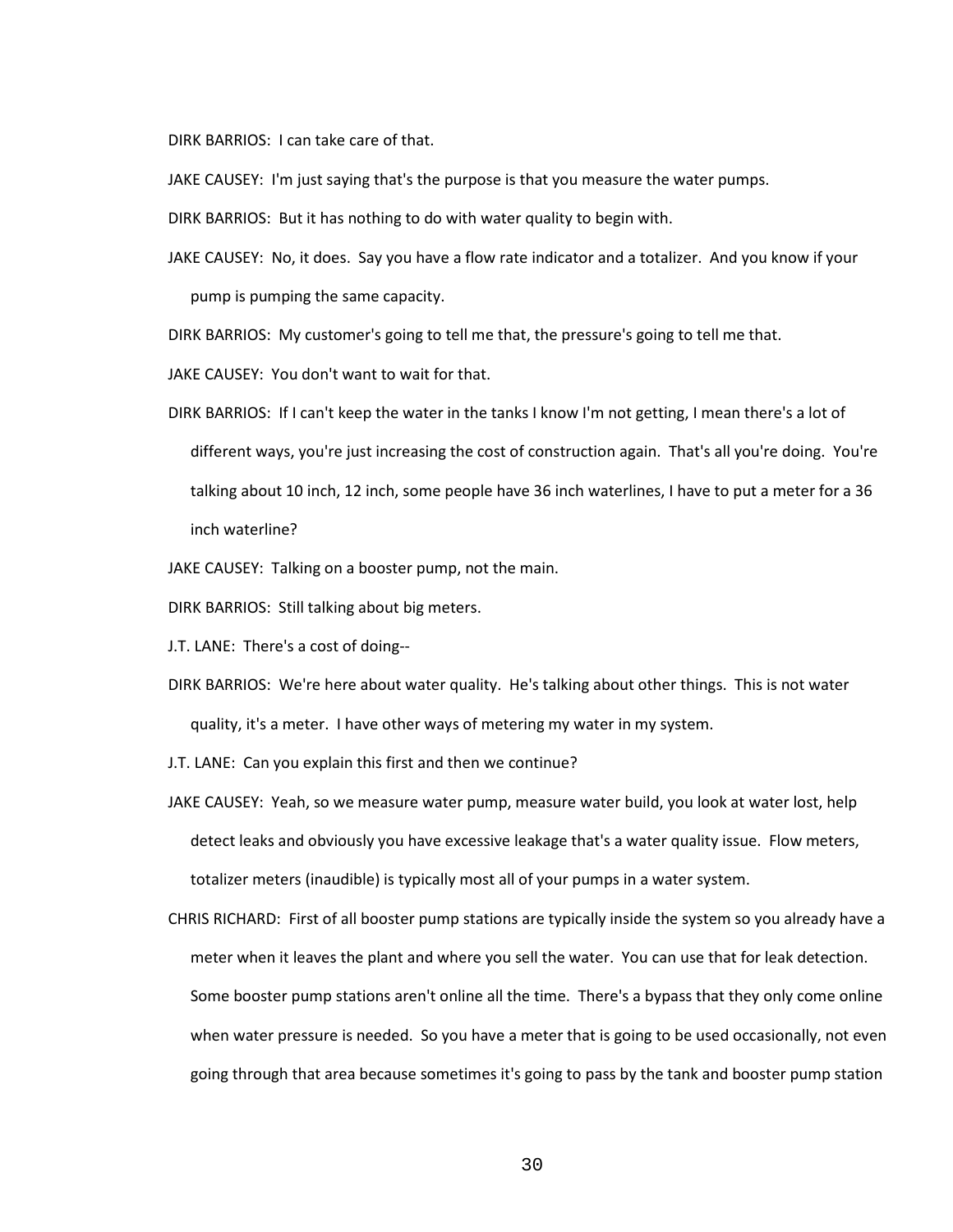DIRK BARRIOS: I can take care of that.

JAKE CAUSEY: I'm just saying that's the purpose is that you measure the water pumps.

DIRK BARRIOS: But it has nothing to do with water quality to begin with.

JAKE CAUSEY: No, it does. Say you have a flow rate indicator and a totalizer. And you know if your pump is pumping the same capacity.

DIRK BARRIOS: My customer's going to tell me that, the pressure's going to tell me that.

JAKE CAUSEY: You don't want to wait for that.

- DIRK BARRIOS: If I can't keep the water in the tanks I know I'm not getting, I mean there's a lot of different ways, you're just increasing the cost of construction again. That's all you're doing. You're talking about 10 inch, 12 inch, some people have 36 inch waterlines, I have to put a meter for a 36 inch waterline?
- JAKE CAUSEY: Talking on a booster pump, not the main.
- DIRK BARRIOS: Still talking about big meters.
- J.T. LANE: There's a cost of doing--
- DIRK BARRIOS: We're here about water quality. He's talking about other things. This is not water quality, it's a meter. I have other ways of metering my water in my system.
- J.T. LANE: Can you explain this first and then we continue?
- JAKE CAUSEY: Yeah, so we measure water pump, measure water build, you look at water lost, help detect leaks and obviously you have excessive leakage that's a water quality issue. Flow meters, totalizer meters (inaudible) is typically most all of your pumps in a water system.
- CHRIS RICHARD: First of all booster pump stations are typically inside the system so you already have a meter when it leaves the plant and where you sell the water. You can use that for leak detection. Some booster pump stations aren't online all the time. There's a bypass that they only come online when water pressure is needed. So you have a meter that is going to be used occasionally, not even going through that area because sometimes it's going to pass by the tank and booster pump station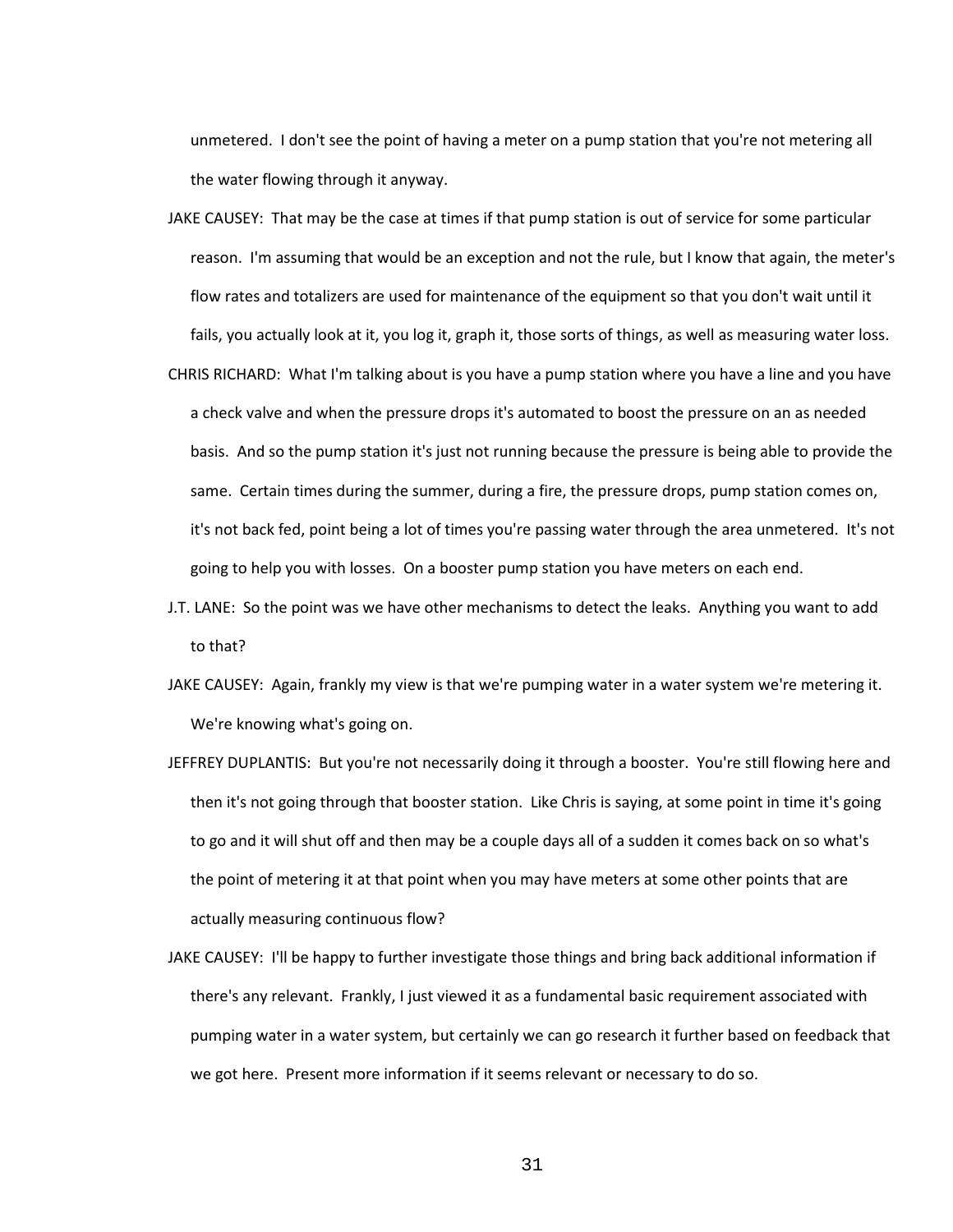unmetered. I don't see the point of having a meter on a pump station that you're not metering all the water flowing through it anyway.

- JAKE CAUSEY: That may be the case at times if that pump station is out of service for some particular reason. I'm assuming that would be an exception and not the rule, but I know that again, the meter's flow rates and totalizers are used for maintenance of the equipment so that you don't wait until it fails, you actually look at it, you log it, graph it, those sorts of things, as well as measuring water loss.
- CHRIS RICHARD: What I'm talking about is you have a pump station where you have a line and you have a check valve and when the pressure drops it's automated to boost the pressure on an as needed basis. And so the pump station it's just not running because the pressure is being able to provide the same. Certain times during the summer, during a fire, the pressure drops, pump station comes on, it's not back fed, point being a lot of times you're passing water through the area unmetered. It's not going to help you with losses. On a booster pump station you have meters on each end.
- J.T. LANE: So the point was we have other mechanisms to detect the leaks. Anything you want to add to that?
- JAKE CAUSEY: Again, frankly my view is that we're pumping water in a water system we're metering it. We're knowing what's going on.
- JEFFREY DUPLANTIS: But you're not necessarily doing it through a booster. You're still flowing here and then it's not going through that booster station. Like Chris is saying, at some point in time it's going to go and it will shut off and then may be a couple days all of a sudden it comes back on so what's the point of metering it at that point when you may have meters at some other points that are actually measuring continuous flow?
- JAKE CAUSEY: I'll be happy to further investigate those things and bring back additional information if there's any relevant. Frankly, I just viewed it as a fundamental basic requirement associated with pumping water in a water system, but certainly we can go research it further based on feedback that we got here. Present more information if it seems relevant or necessary to do so.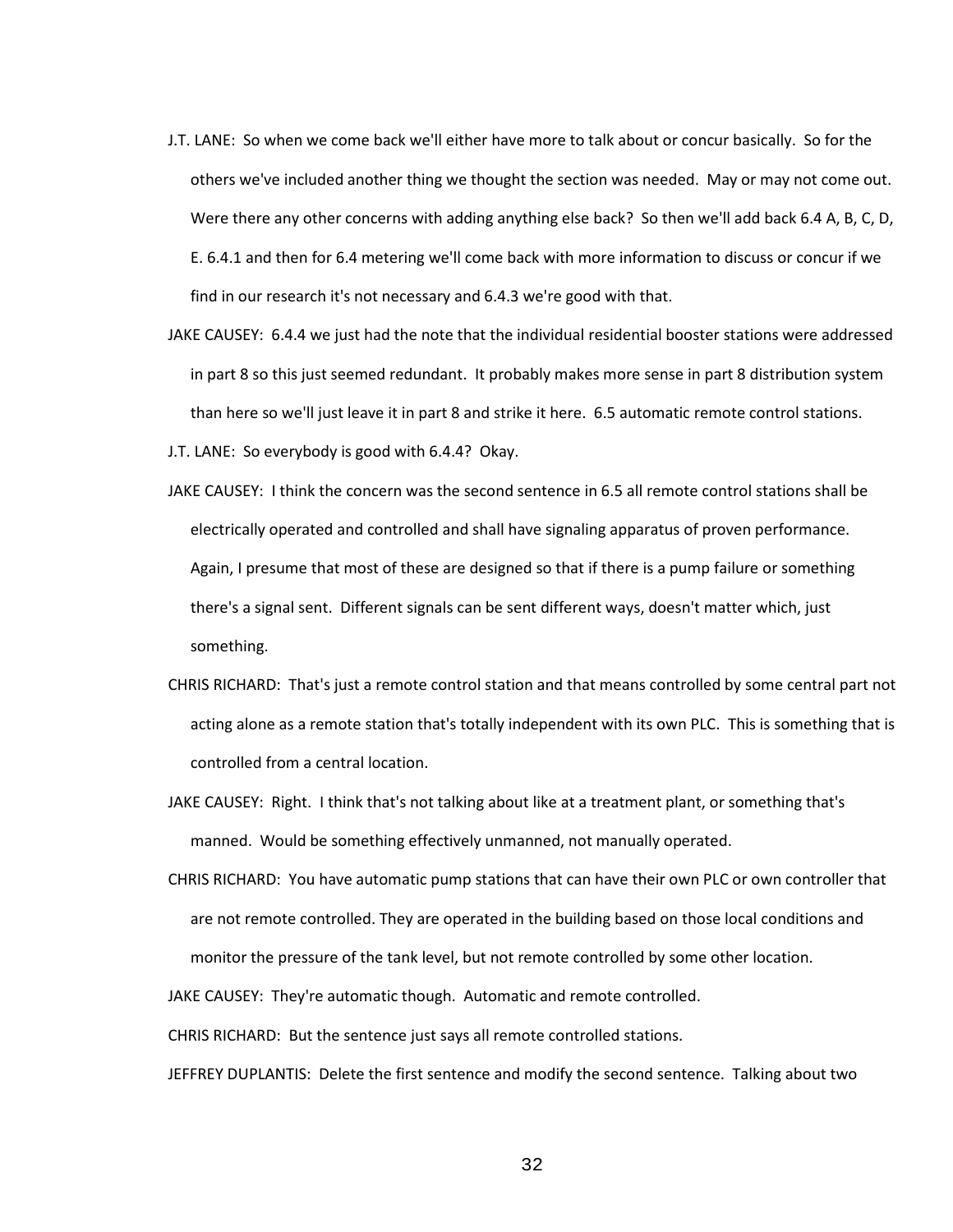- J.T. LANE: So when we come back we'll either have more to talk about or concur basically. So for the others we've included another thing we thought the section was needed. May or may not come out. Were there any other concerns with adding anything else back? So then we'll add back 6.4 A, B, C, D, E. 6.4.1 and then for 6.4 metering we'll come back with more information to discuss or concur if we find in our research it's not necessary and 6.4.3 we're good with that.
- JAKE CAUSEY: 6.4.4 we just had the note that the individual residential booster stations were addressed in part 8 so this just seemed redundant. It probably makes more sense in part 8 distribution system than here so we'll just leave it in part 8 and strike it here. 6.5 automatic remote control stations.
- J.T. LANE: So everybody is good with 6.4.4? Okay.
- JAKE CAUSEY: I think the concern was the second sentence in 6.5 all remote control stations shall be electrically operated and controlled and shall have signaling apparatus of proven performance. Again, I presume that most of these are designed so that if there is a pump failure or something there's a signal sent. Different signals can be sent different ways, doesn't matter which, just something.
- CHRIS RICHARD: That's just a remote control station and that means controlled by some central part not acting alone as a remote station that's totally independent with its own PLC. This is something that is controlled from a central location.
- JAKE CAUSEY: Right. I think that's not talking about like at a treatment plant, or something that's manned. Would be something effectively unmanned, not manually operated.
- CHRIS RICHARD: You have automatic pump stations that can have their own PLC or own controller that are not remote controlled. They are operated in the building based on those local conditions and monitor the pressure of the tank level, but not remote controlled by some other location.

JAKE CAUSEY: They're automatic though. Automatic and remote controlled.

CHRIS RICHARD: But the sentence just says all remote controlled stations.

JEFFREY DUPLANTIS: Delete the first sentence and modify the second sentence. Talking about two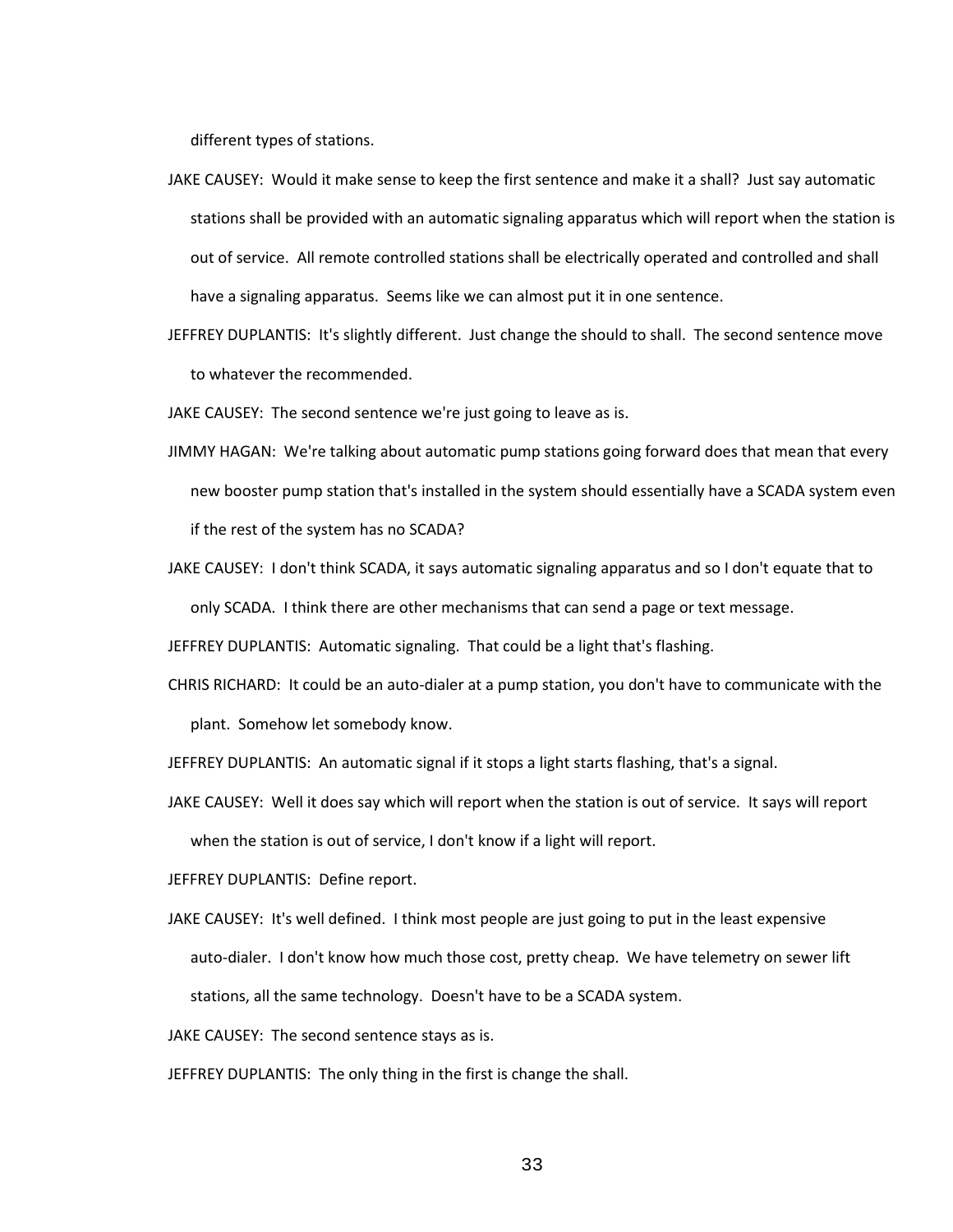different types of stations.

- JAKE CAUSEY: Would it make sense to keep the first sentence and make it a shall? Just say automatic stations shall be provided with an automatic signaling apparatus which will report when the station is out of service. All remote controlled stations shall be electrically operated and controlled and shall have a signaling apparatus. Seems like we can almost put it in one sentence.
- JEFFREY DUPLANTIS: It's slightly different. Just change the should to shall. The second sentence move to whatever the recommended.
- JAKE CAUSEY: The second sentence we're just going to leave as is.
- JIMMY HAGAN: We're talking about automatic pump stations going forward does that mean that every new booster pump station that's installed in the system should essentially have a SCADA system even if the rest of the system has no SCADA?
- JAKE CAUSEY: I don't think SCADA, it says automatic signaling apparatus and so I don't equate that to only SCADA. I think there are other mechanisms that can send a page or text message.

JEFFREY DUPLANTIS: Automatic signaling. That could be a light that's flashing.

CHRIS RICHARD: It could be an auto-dialer at a pump station, you don't have to communicate with the plant. Somehow let somebody know.

JEFFREY DUPLANTIS: An automatic signal if it stops a light starts flashing, that's a signal.

JAKE CAUSEY: Well it does say which will report when the station is out of service. It says will report when the station is out of service, I don't know if a light will report.

JEFFREY DUPLANTIS: Define report.

JAKE CAUSEY: It's well defined. I think most people are just going to put in the least expensive auto-dialer. I don't know how much those cost, pretty cheap. We have telemetry on sewer lift stations, all the same technology. Doesn't have to be a SCADA system.

JAKE CAUSEY: The second sentence stays as is.

JEFFREY DUPLANTIS: The only thing in the first is change the shall.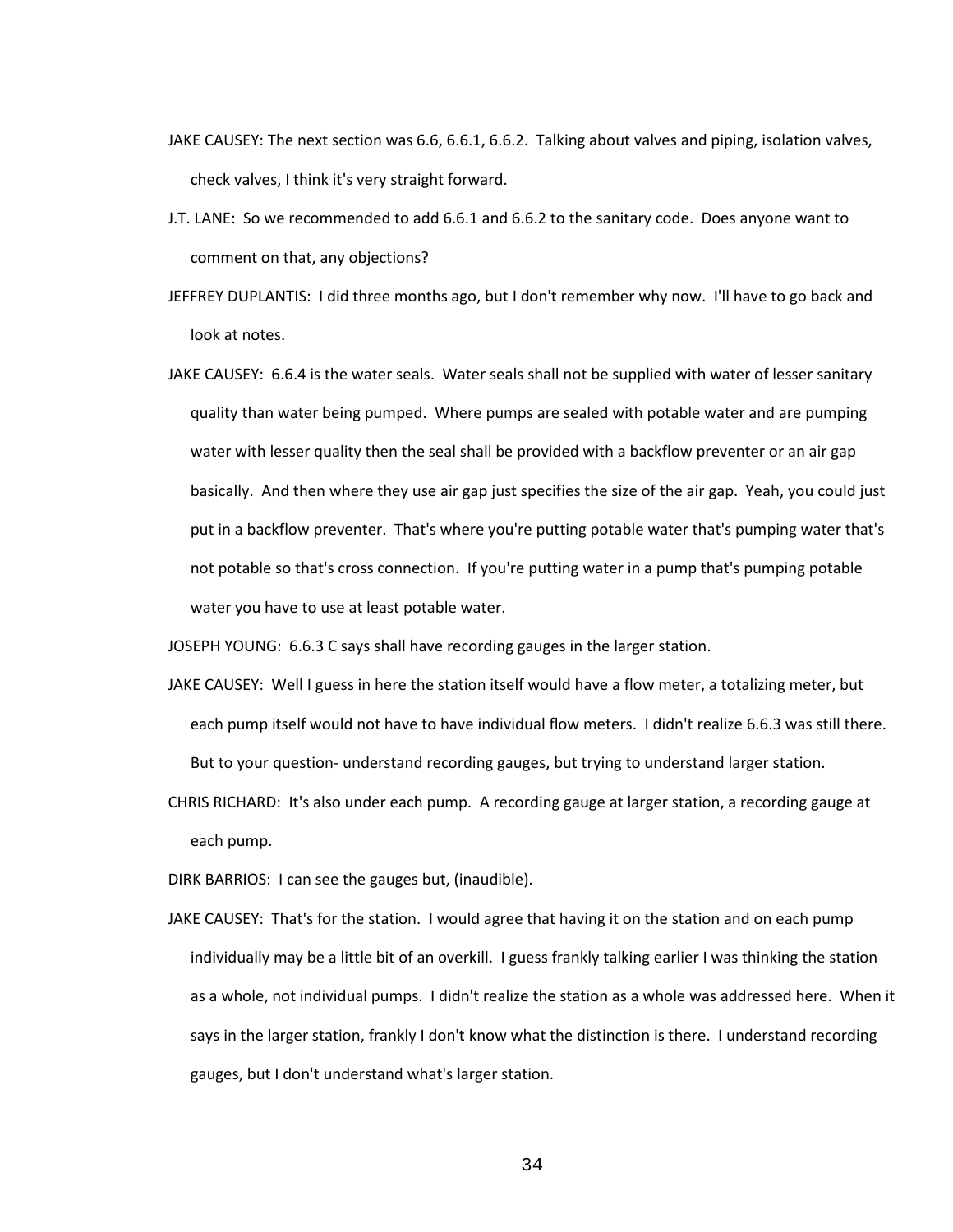- JAKE CAUSEY: The next section was 6.6, 6.6.1, 6.6.2. Talking about valves and piping, isolation valves, check valves, I think it's very straight forward.
- J.T. LANE: So we recommended to add 6.6.1 and 6.6.2 to the sanitary code. Does anyone want to comment on that, any objections?
- JEFFREY DUPLANTIS: I did three months ago, but I don't remember why now. I'll have to go back and look at notes.
- JAKE CAUSEY: 6.6.4 is the water seals. Water seals shall not be supplied with water of lesser sanitary quality than water being pumped. Where pumps are sealed with potable water and are pumping water with lesser quality then the seal shall be provided with a backflow preventer or an air gap basically. And then where they use air gap just specifies the size of the air gap. Yeah, you could just put in a backflow preventer. That's where you're putting potable water that's pumping water that's not potable so that's cross connection. If you're putting water in a pump that's pumping potable water you have to use at least potable water.

JOSEPH YOUNG: 6.6.3 C says shall have recording gauges in the larger station.

- JAKE CAUSEY: Well I guess in here the station itself would have a flow meter, a totalizing meter, but each pump itself would not have to have individual flow meters. I didn't realize 6.6.3 was still there. But to your question- understand recording gauges, but trying to understand larger station.
- CHRIS RICHARD: It's also under each pump. A recording gauge at larger station, a recording gauge at each pump.

DIRK BARRIOS: I can see the gauges but, (inaudible).

JAKE CAUSEY: That's for the station. I would agree that having it on the station and on each pump individually may be a little bit of an overkill. I guess frankly talking earlier I was thinking the station as a whole, not individual pumps. I didn't realize the station as a whole was addressed here. When it says in the larger station, frankly I don't know what the distinction is there. I understand recording gauges, but I don't understand what's larger station.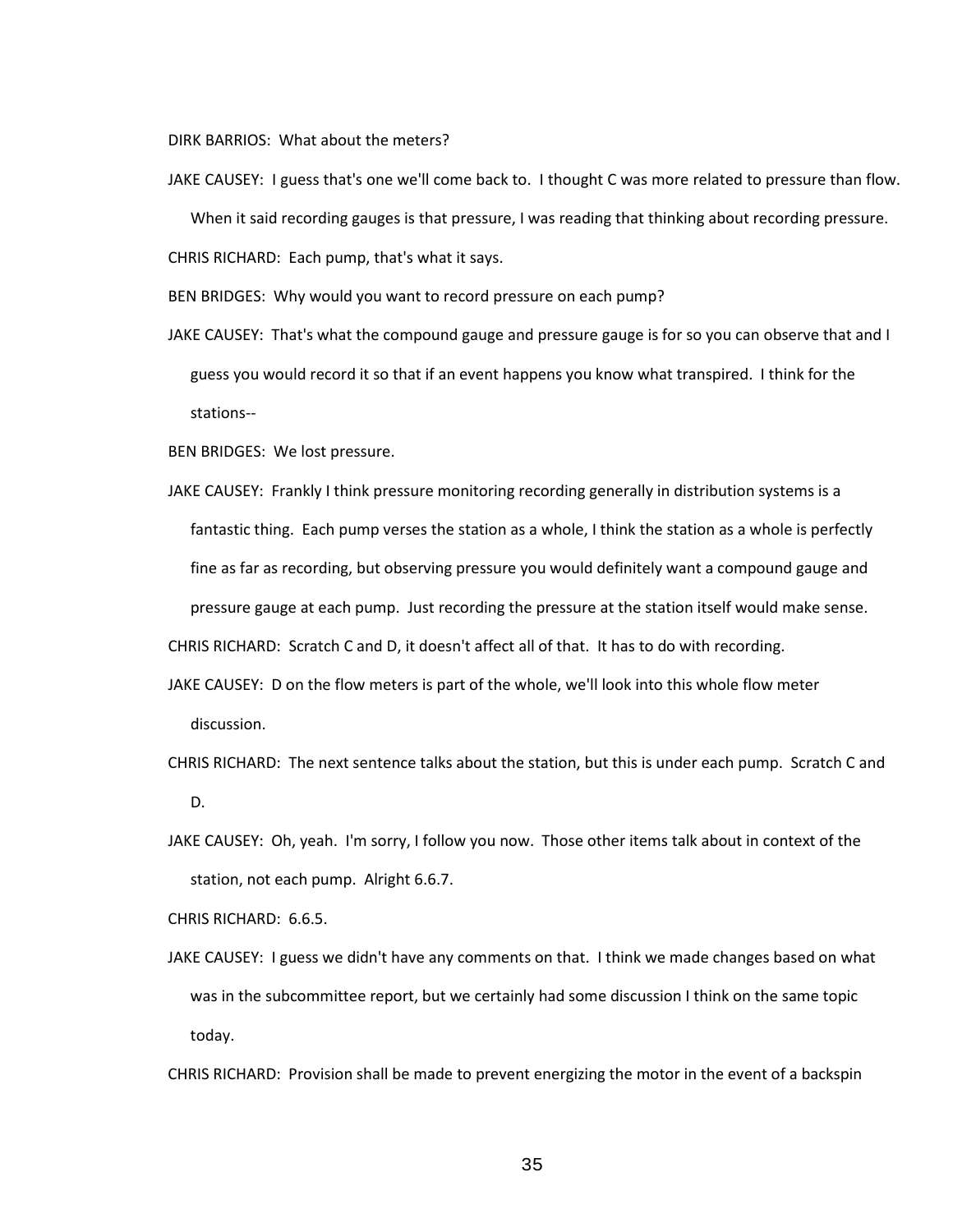DIRK BARRIOS: What about the meters?

JAKE CAUSEY: I guess that's one we'll come back to. I thought C was more related to pressure than flow. When it said recording gauges is that pressure, I was reading that thinking about recording pressure. CHRIS RICHARD: Each pump, that's what it says.

BEN BRIDGES: Why would you want to record pressure on each pump?

JAKE CAUSEY: That's what the compound gauge and pressure gauge is for so you can observe that and I guess you would record it so that if an event happens you know what transpired. I think for the stations--

BEN BRIDGES: We lost pressure.

JAKE CAUSEY: Frankly I think pressure monitoring recording generally in distribution systems is a fantastic thing. Each pump verses the station as a whole, I think the station as a whole is perfectly fine as far as recording, but observing pressure you would definitely want a compound gauge and pressure gauge at each pump. Just recording the pressure at the station itself would make sense.

CHRIS RICHARD: Scratch C and D, it doesn't affect all of that. It has to do with recording.

- JAKE CAUSEY: D on the flow meters is part of the whole, we'll look into this whole flow meter discussion.
- CHRIS RICHARD: The next sentence talks about the station, but this is under each pump. Scratch C and D.
- JAKE CAUSEY: Oh, yeah. I'm sorry, I follow you now. Those other items talk about in context of the station, not each pump. Alright 6.6.7.

CHRIS RICHARD: 6.6.5.

JAKE CAUSEY: I guess we didn't have any comments on that. I think we made changes based on what was in the subcommittee report, but we certainly had some discussion I think on the same topic today.

CHRIS RICHARD: Provision shall be made to prevent energizing the motor in the event of a backspin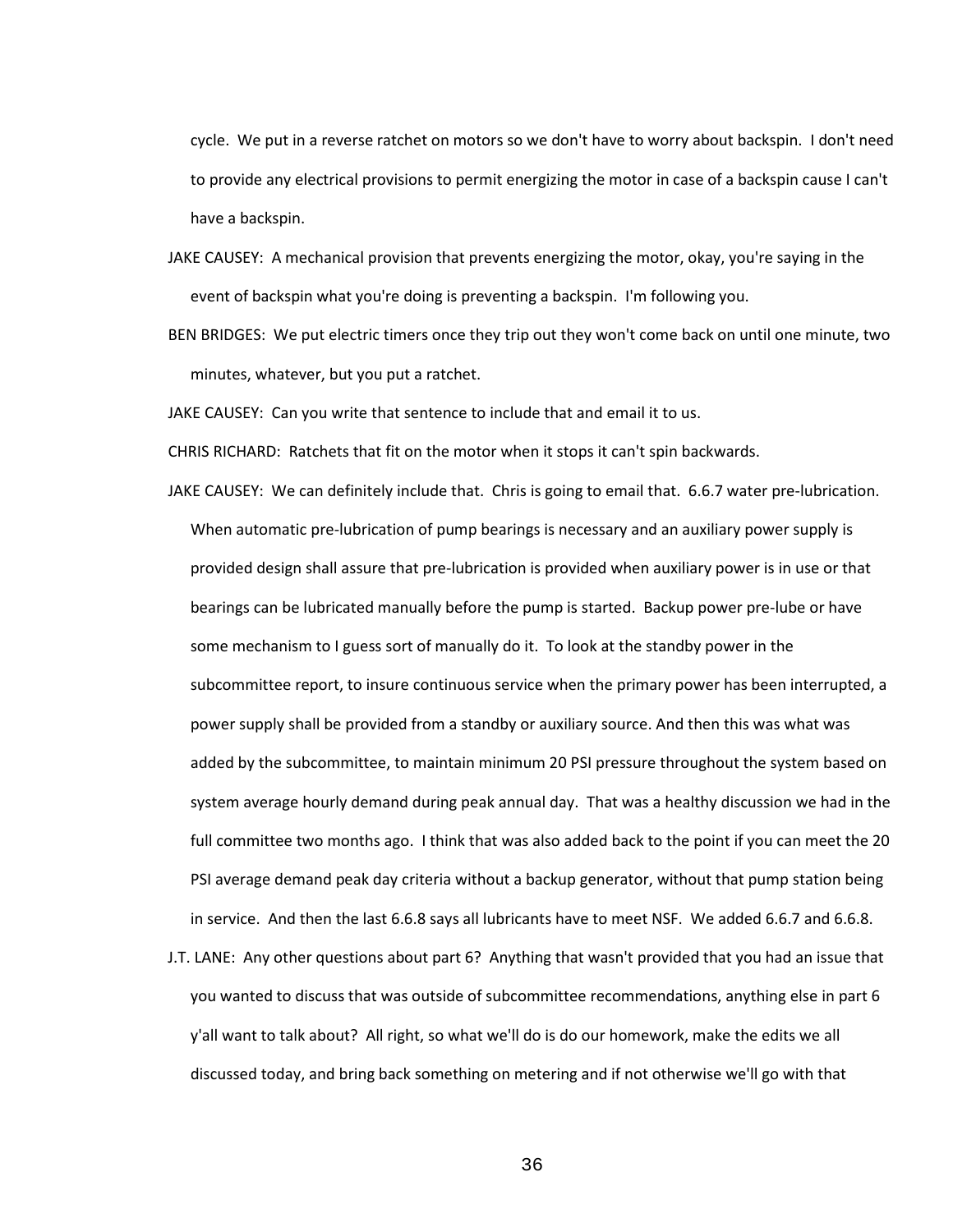cycle. We put in a reverse ratchet on motors so we don't have to worry about backspin. I don't need to provide any electrical provisions to permit energizing the motor in case of a backspin cause I can't have a backspin.

- JAKE CAUSEY: A mechanical provision that prevents energizing the motor, okay, you're saying in the event of backspin what you're doing is preventing a backspin. I'm following you.
- BEN BRIDGES: We put electric timers once they trip out they won't come back on until one minute, two minutes, whatever, but you put a ratchet.

JAKE CAUSEY: Can you write that sentence to include that and email it to us.

CHRIS RICHARD: Ratchets that fit on the motor when it stops it can't spin backwards.

- JAKE CAUSEY: We can definitely include that. Chris is going to email that. 6.6.7 water pre-lubrication. When automatic pre-lubrication of pump bearings is necessary and an auxiliary power supply is provided design shall assure that pre-lubrication is provided when auxiliary power is in use or that bearings can be lubricated manually before the pump is started. Backup power pre-lube or have some mechanism to I guess sort of manually do it. To look at the standby power in the subcommittee report, to insure continuous service when the primary power has been interrupted, a power supply shall be provided from a standby or auxiliary source. And then this was what was added by the subcommittee, to maintain minimum 20 PSI pressure throughout the system based on system average hourly demand during peak annual day. That was a healthy discussion we had in the full committee two months ago. I think that was also added back to the point if you can meet the 20 PSI average demand peak day criteria without a backup generator, without that pump station being in service. And then the last 6.6.8 says all lubricants have to meet NSF. We added 6.6.7 and 6.6.8.
- J.T. LANE: Any other questions about part 6? Anything that wasn't provided that you had an issue that you wanted to discuss that was outside of subcommittee recommendations, anything else in part 6 y'all want to talk about? All right, so what we'll do is do our homework, make the edits we all discussed today, and bring back something on metering and if not otherwise we'll go with that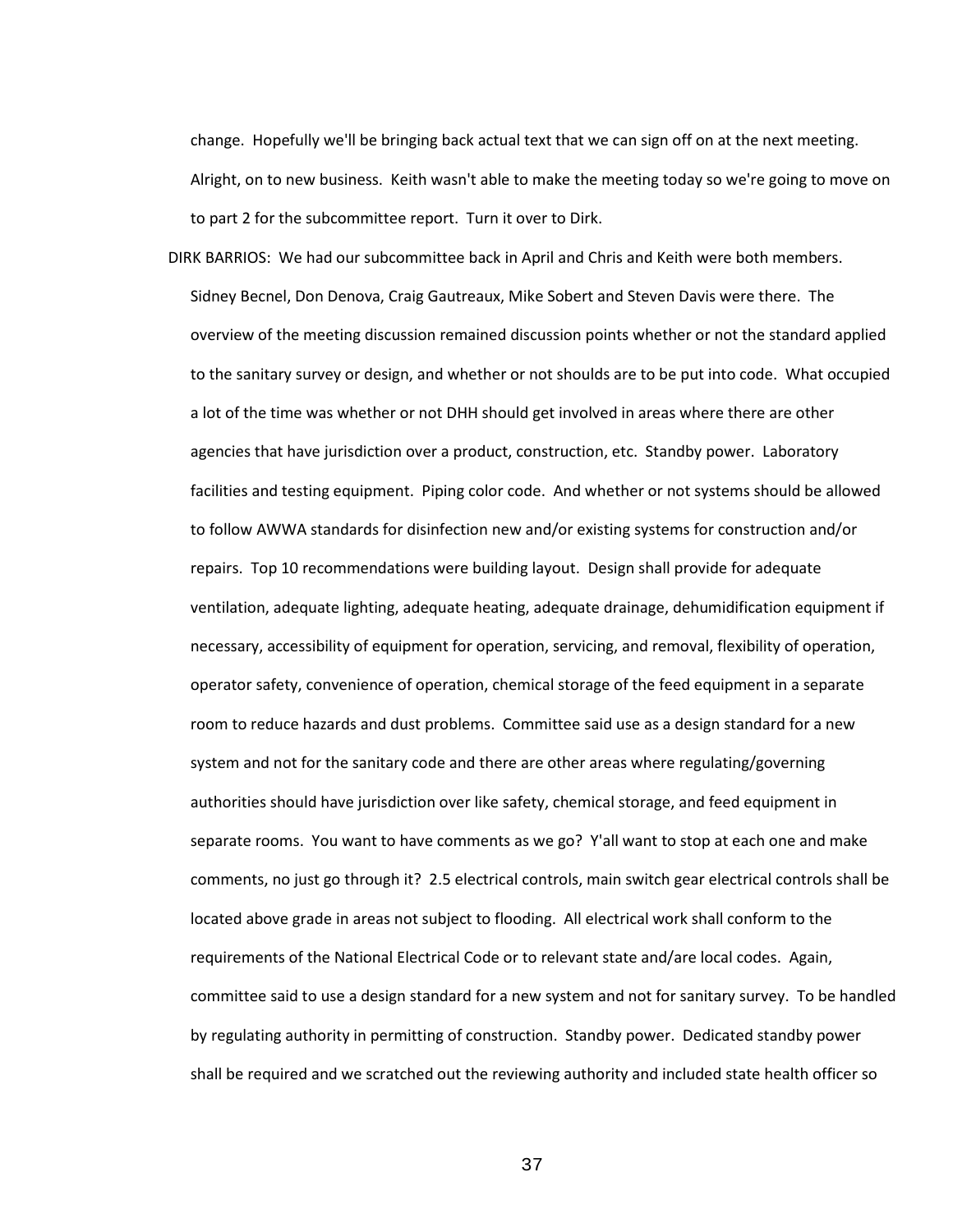change. Hopefully we'll be bringing back actual text that we can sign off on at the next meeting. Alright, on to new business. Keith wasn't able to make the meeting today so we're going to move on to part 2 for the subcommittee report. Turn it over to Dirk.

DIRK BARRIOS: We had our subcommittee back in April and Chris and Keith were both members. Sidney Becnel, Don Denova, Craig Gautreaux, Mike Sobert and Steven Davis were there. The overview of the meeting discussion remained discussion points whether or not the standard applied to the sanitary survey or design, and whether or not shoulds are to be put into code. What occupied a lot of the time was whether or not DHH should get involved in areas where there are other agencies that have jurisdiction over a product, construction, etc. Standby power. Laboratory facilities and testing equipment. Piping color code. And whether or not systems should be allowed to follow AWWA standards for disinfection new and/or existing systems for construction and/or repairs. Top 10 recommendations were building layout. Design shall provide for adequate ventilation, adequate lighting, adequate heating, adequate drainage, dehumidification equipment if necessary, accessibility of equipment for operation, servicing, and removal, flexibility of operation, operator safety, convenience of operation, chemical storage of the feed equipment in a separate room to reduce hazards and dust problems. Committee said use as a design standard for a new system and not for the sanitary code and there are other areas where regulating/governing authorities should have jurisdiction over like safety, chemical storage, and feed equipment in separate rooms. You want to have comments as we go? Y'all want to stop at each one and make comments, no just go through it? 2.5 electrical controls, main switch gear electrical controls shall be located above grade in areas not subject to flooding. All electrical work shall conform to the requirements of the National Electrical Code or to relevant state and/are local codes. Again, committee said to use a design standard for a new system and not for sanitary survey. To be handled by regulating authority in permitting of construction. Standby power. Dedicated standby power shall be required and we scratched out the reviewing authority and included state health officer so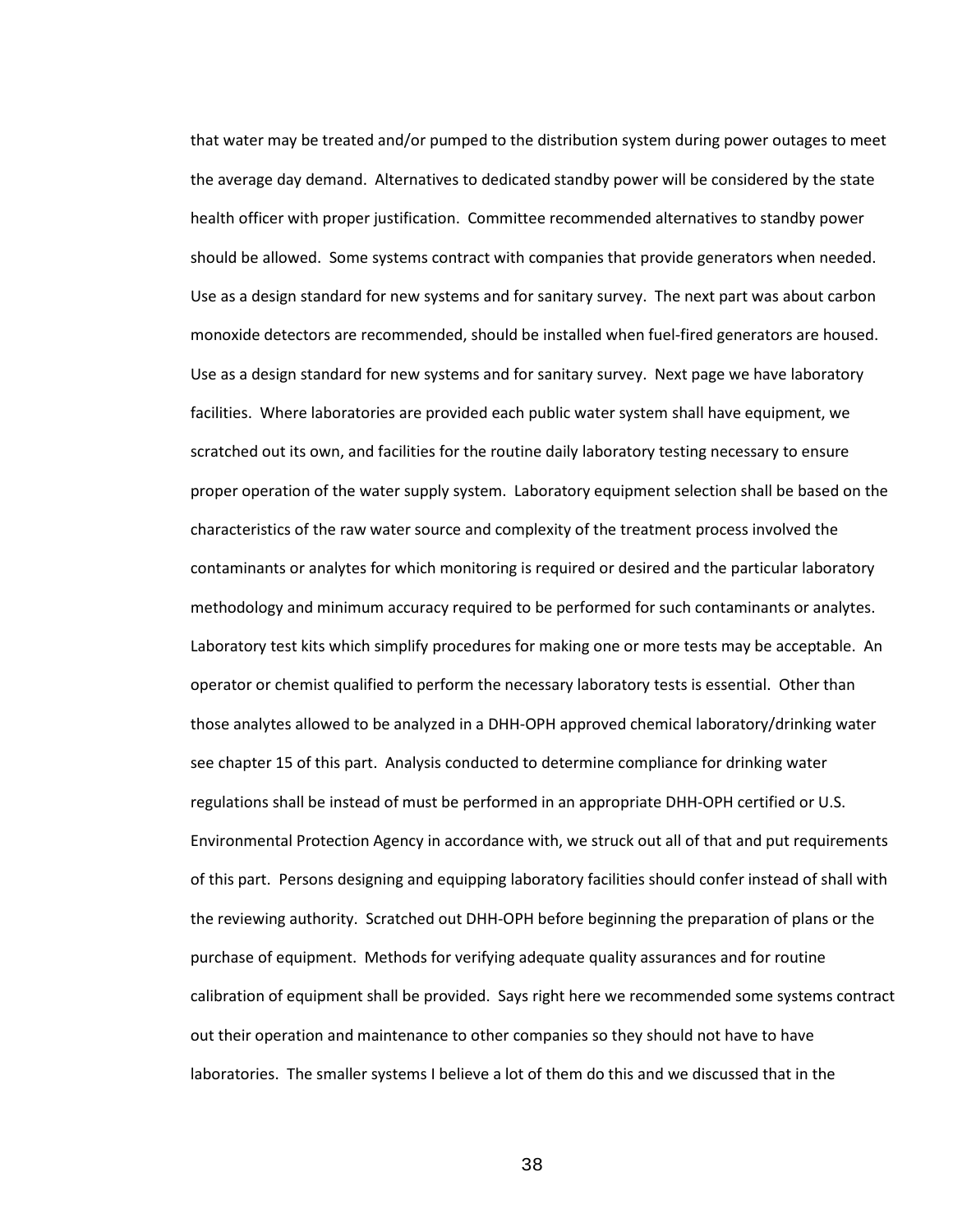that water may be treated and/or pumped to the distribution system during power outages to meet the average day demand. Alternatives to dedicated standby power will be considered by the state health officer with proper justification. Committee recommended alternatives to standby power should be allowed. Some systems contract with companies that provide generators when needed. Use as a design standard for new systems and for sanitary survey. The next part was about carbon monoxide detectors are recommended, should be installed when fuel-fired generators are housed. Use as a design standard for new systems and for sanitary survey. Next page we have laboratory facilities. Where laboratories are provided each public water system shall have equipment, we scratched out its own, and facilities for the routine daily laboratory testing necessary to ensure proper operation of the water supply system. Laboratory equipment selection shall be based on the characteristics of the raw water source and complexity of the treatment process involved the contaminants or analytes for which monitoring is required or desired and the particular laboratory methodology and minimum accuracy required to be performed for such contaminants or analytes. Laboratory test kits which simplify procedures for making one or more tests may be acceptable. An operator or chemist qualified to perform the necessary laboratory tests is essential. Other than those analytes allowed to be analyzed in a DHH-OPH approved chemical laboratory/drinking water see chapter 15 of this part. Analysis conducted to determine compliance for drinking water regulations shall be instead of must be performed in an appropriate DHH-OPH certified or U.S. Environmental Protection Agency in accordance with, we struck out all of that and put requirements of this part. Persons designing and equipping laboratory facilities should confer instead of shall with the reviewing authority. Scratched out DHH-OPH before beginning the preparation of plans or the purchase of equipment. Methods for verifying adequate quality assurances and for routine calibration of equipment shall be provided. Says right here we recommended some systems contract out their operation and maintenance to other companies so they should not have to have laboratories. The smaller systems I believe a lot of them do this and we discussed that in the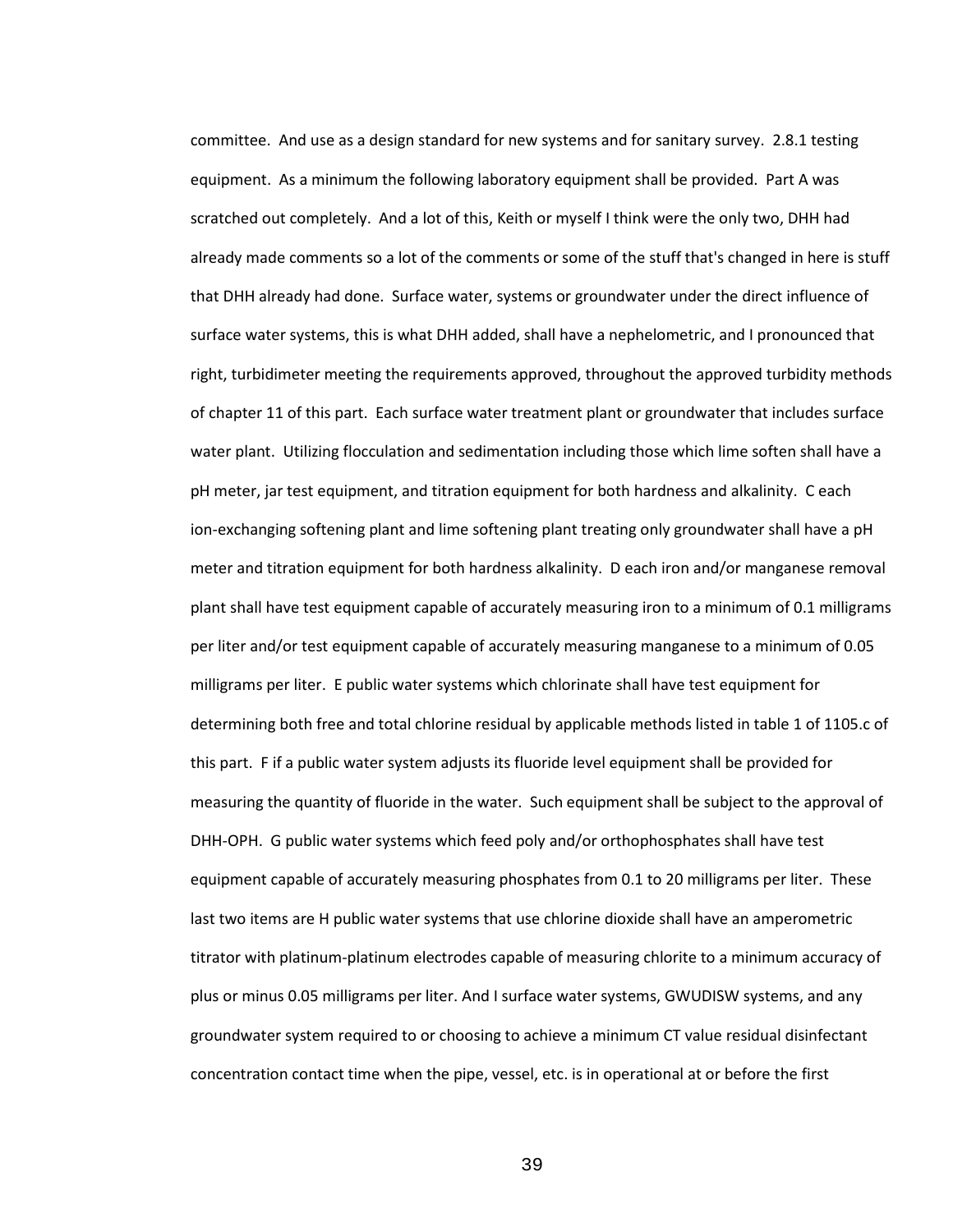committee. And use as a design standard for new systems and for sanitary survey. 2.8.1 testing equipment. As a minimum the following laboratory equipment shall be provided. Part A was scratched out completely. And a lot of this, Keith or myself I think were the only two, DHH had already made comments so a lot of the comments or some of the stuff that's changed in here is stuff that DHH already had done. Surface water, systems or groundwater under the direct influence of surface water systems, this is what DHH added, shall have a nephelometric, and I pronounced that right, turbidimeter meeting the requirements approved, throughout the approved turbidity methods of chapter 11 of this part. Each surface water treatment plant or groundwater that includes surface water plant. Utilizing flocculation and sedimentation including those which lime soften shall have a pH meter, jar test equipment, and titration equipment for both hardness and alkalinity. C each ion-exchanging softening plant and lime softening plant treating only groundwater shall have a pH meter and titration equipment for both hardness alkalinity. D each iron and/or manganese removal plant shall have test equipment capable of accurately measuring iron to a minimum of 0.1 milligrams per liter and/or test equipment capable of accurately measuring manganese to a minimum of 0.05 milligrams per liter. E public water systems which chlorinate shall have test equipment for determining both free and total chlorine residual by applicable methods listed in table 1 of 1105.c of this part. F if a public water system adjusts its fluoride level equipment shall be provided for measuring the quantity of fluoride in the water. Such equipment shall be subject to the approval of DHH-OPH. G public water systems which feed poly and/or orthophosphates shall have test equipment capable of accurately measuring phosphates from 0.1 to 20 milligrams per liter. These last two items are H public water systems that use chlorine dioxide shall have an amperometric titrator with platinum-platinum electrodes capable of measuring chlorite to a minimum accuracy of plus or minus 0.05 milligrams per liter. And I surface water systems, GWUDISW systems, and any groundwater system required to or choosing to achieve a minimum CT value residual disinfectant concentration contact time when the pipe, vessel, etc. is in operational at or before the first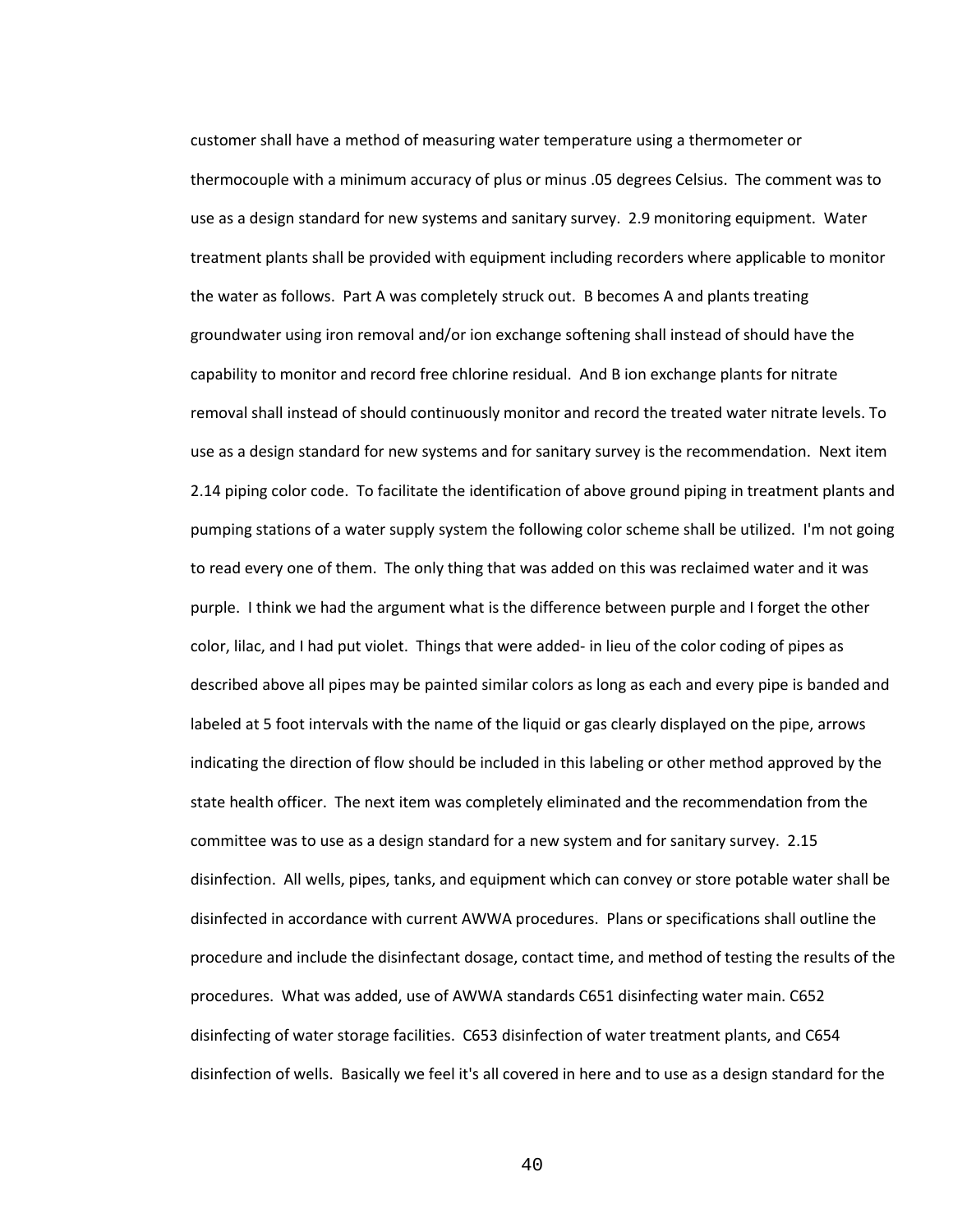customer shall have a method of measuring water temperature using a thermometer or thermocouple with a minimum accuracy of plus or minus .05 degrees Celsius. The comment was to use as a design standard for new systems and sanitary survey. 2.9 monitoring equipment. Water treatment plants shall be provided with equipment including recorders where applicable to monitor the water as follows. Part A was completely struck out. B becomes A and plants treating groundwater using iron removal and/or ion exchange softening shall instead of should have the capability to monitor and record free chlorine residual. And B ion exchange plants for nitrate removal shall instead of should continuously monitor and record the treated water nitrate levels. To use as a design standard for new systems and for sanitary survey is the recommendation. Next item 2.14 piping color code. To facilitate the identification of above ground piping in treatment plants and pumping stations of a water supply system the following color scheme shall be utilized. I'm not going to read every one of them. The only thing that was added on this was reclaimed water and it was purple. I think we had the argument what is the difference between purple and I forget the other color, lilac, and I had put violet. Things that were added- in lieu of the color coding of pipes as described above all pipes may be painted similar colors as long as each and every pipe is banded and labeled at 5 foot intervals with the name of the liquid or gas clearly displayed on the pipe, arrows indicating the direction of flow should be included in this labeling or other method approved by the state health officer. The next item was completely eliminated and the recommendation from the committee was to use as a design standard for a new system and for sanitary survey. 2.15 disinfection. All wells, pipes, tanks, and equipment which can convey or store potable water shall be disinfected in accordance with current AWWA procedures. Plans or specifications shall outline the procedure and include the disinfectant dosage, contact time, and method of testing the results of the procedures. What was added, use of AWWA standards C651 disinfecting water main. C652 disinfecting of water storage facilities. C653 disinfection of water treatment plants, and C654 disinfection of wells. Basically we feel it's all covered in here and to use as a design standard for the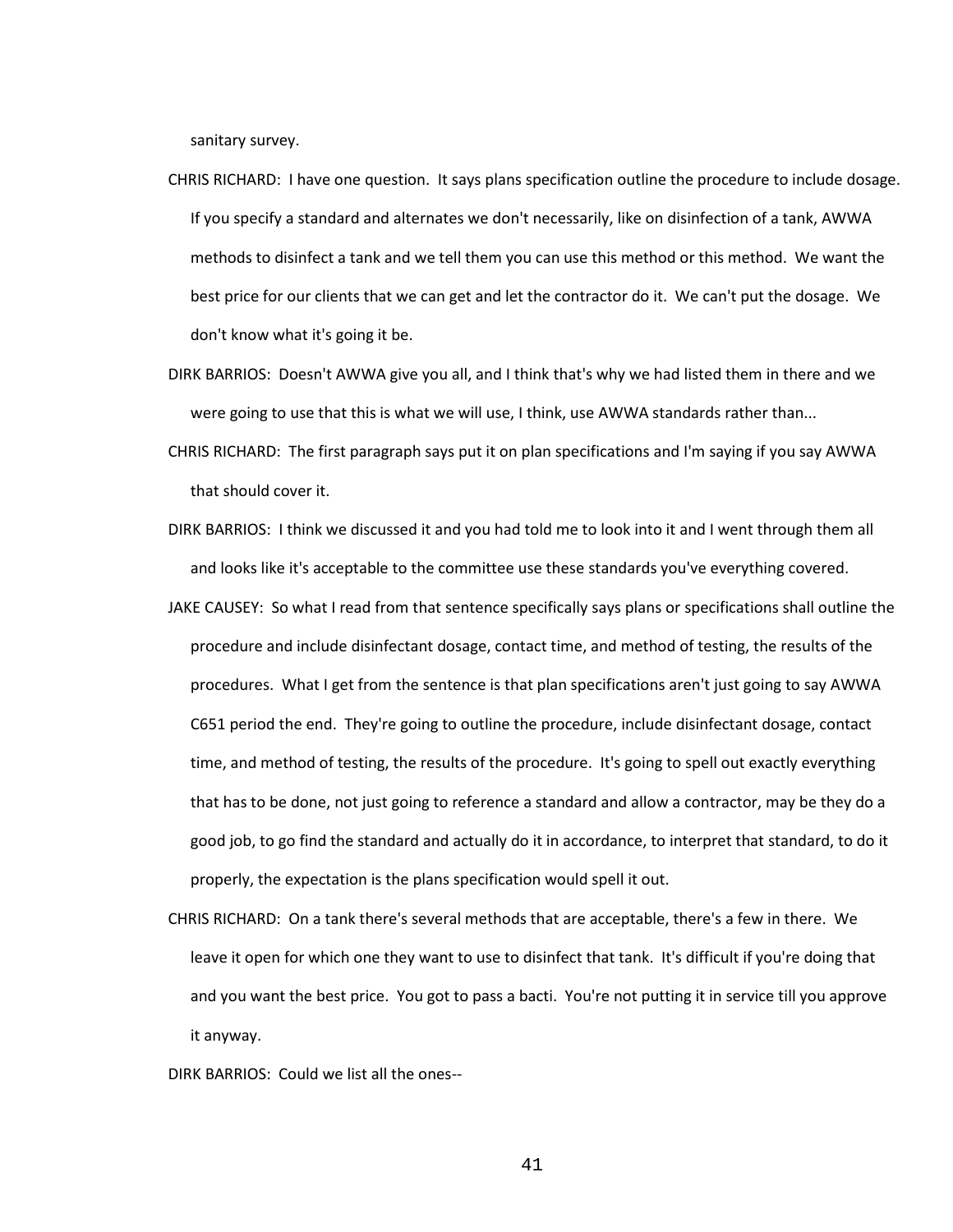sanitary survey.

- CHRIS RICHARD: I have one question. It says plans specification outline the procedure to include dosage. If you specify a standard and alternates we don't necessarily, like on disinfection of a tank, AWWA methods to disinfect a tank and we tell them you can use this method or this method. We want the best price for our clients that we can get and let the contractor do it. We can't put the dosage. We don't know what it's going it be.
- DIRK BARRIOS: Doesn't AWWA give you all, and I think that's why we had listed them in there and we were going to use that this is what we will use, I think, use AWWA standards rather than...
- CHRIS RICHARD: The first paragraph says put it on plan specifications and I'm saying if you say AWWA that should cover it.
- DIRK BARRIOS: I think we discussed it and you had told me to look into it and I went through them all and looks like it's acceptable to the committee use these standards you've everything covered.
- JAKE CAUSEY: So what I read from that sentence specifically says plans or specifications shall outline the procedure and include disinfectant dosage, contact time, and method of testing, the results of the procedures. What I get from the sentence is that plan specifications aren't just going to say AWWA C651 period the end. They're going to outline the procedure, include disinfectant dosage, contact time, and method of testing, the results of the procedure. It's going to spell out exactly everything that has to be done, not just going to reference a standard and allow a contractor, may be they do a good job, to go find the standard and actually do it in accordance, to interpret that standard, to do it properly, the expectation is the plans specification would spell it out.
- CHRIS RICHARD: On a tank there's several methods that are acceptable, there's a few in there. We leave it open for which one they want to use to disinfect that tank. It's difficult if you're doing that and you want the best price. You got to pass a bacti. You're not putting it in service till you approve it anyway.
- DIRK BARRIOS: Could we list all the ones--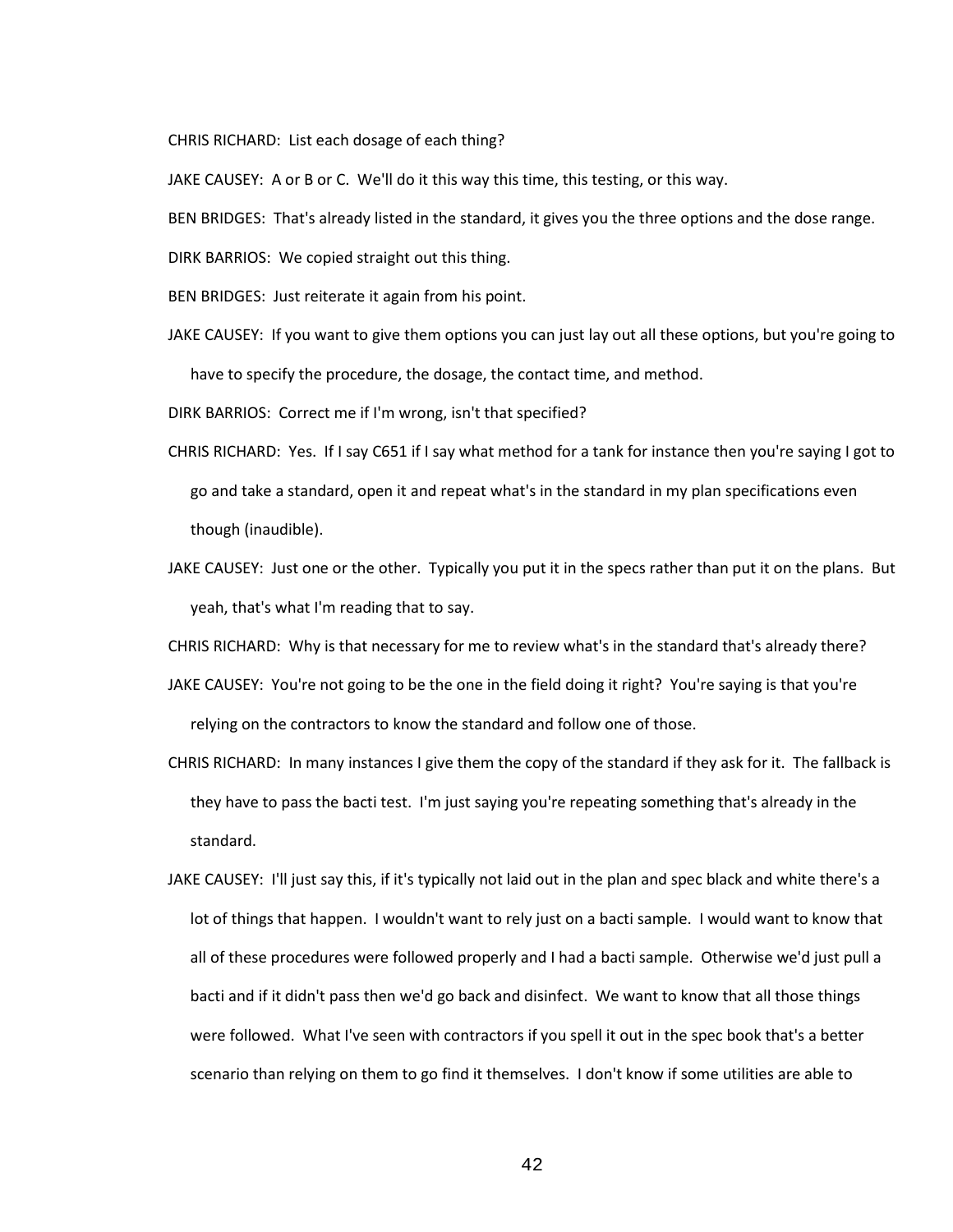CHRIS RICHARD: List each dosage of each thing?

JAKE CAUSEY: A or B or C. We'll do it this way this time, this testing, or this way.

BEN BRIDGES: That's already listed in the standard, it gives you the three options and the dose range.

DIRK BARRIOS: We copied straight out this thing.

BEN BRIDGES: Just reiterate it again from his point.

JAKE CAUSEY: If you want to give them options you can just lay out all these options, but you're going to have to specify the procedure, the dosage, the contact time, and method.

DIRK BARRIOS: Correct me if I'm wrong, isn't that specified?

- CHRIS RICHARD: Yes. If I say C651 if I say what method for a tank for instance then you're saying I got to go and take a standard, open it and repeat what's in the standard in my plan specifications even though (inaudible).
- JAKE CAUSEY: Just one or the other. Typically you put it in the specs rather than put it on the plans. But yeah, that's what I'm reading that to say.

CHRIS RICHARD: Why is that necessary for me to review what's in the standard that's already there?

- JAKE CAUSEY: You're not going to be the one in the field doing it right? You're saying is that you're relying on the contractors to know the standard and follow one of those.
- CHRIS RICHARD: In many instances I give them the copy of the standard if they ask for it. The fallback is they have to pass the bacti test. I'm just saying you're repeating something that's already in the standard.
- JAKE CAUSEY: I'll just say this, if it's typically not laid out in the plan and spec black and white there's a lot of things that happen. I wouldn't want to rely just on a bacti sample. I would want to know that all of these procedures were followed properly and I had a bacti sample. Otherwise we'd just pull a bacti and if it didn't pass then we'd go back and disinfect. We want to know that all those things were followed. What I've seen with contractors if you spell it out in the spec book that's a better scenario than relying on them to go find it themselves. I don't know if some utilities are able to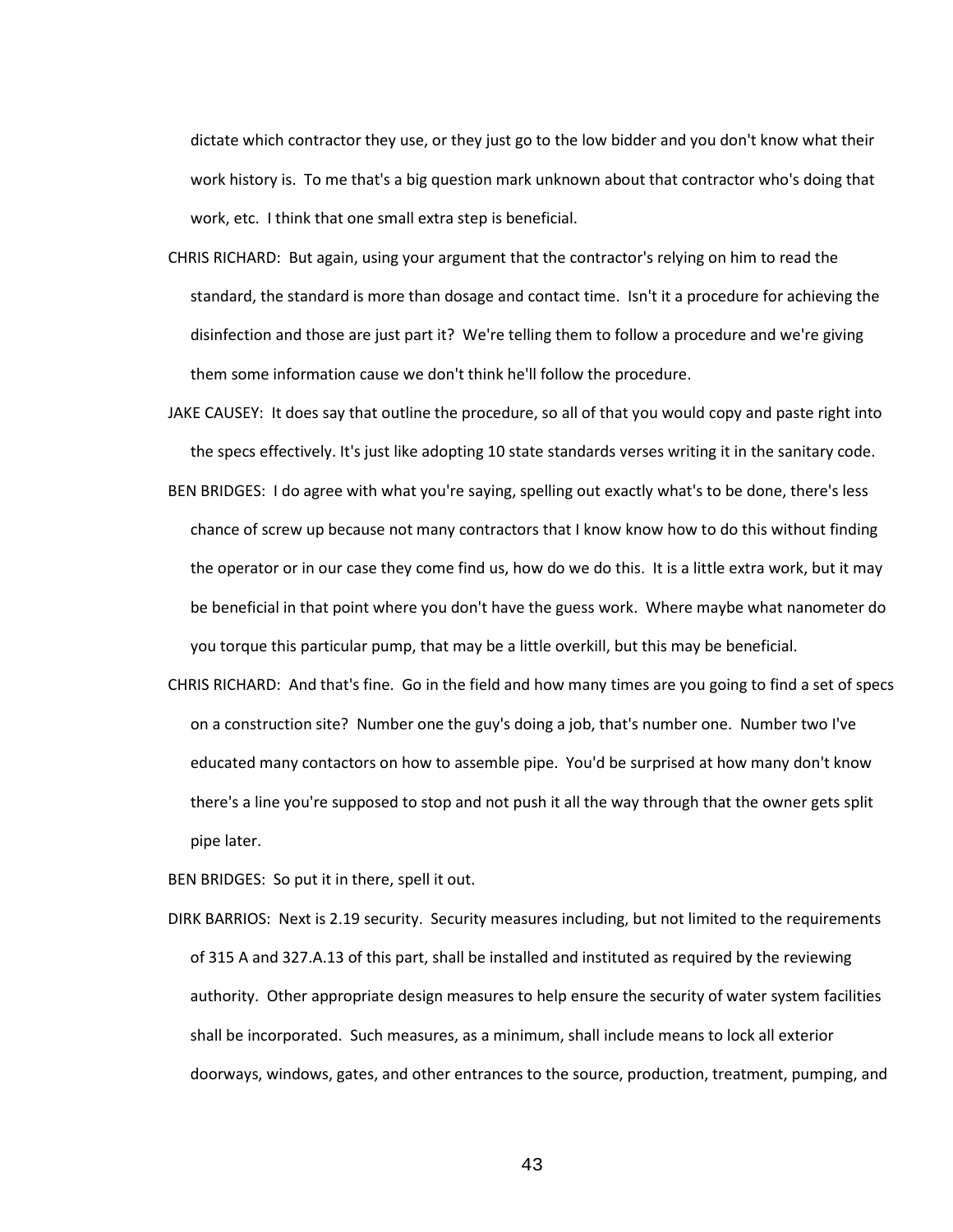dictate which contractor they use, or they just go to the low bidder and you don't know what their work history is. To me that's a big question mark unknown about that contractor who's doing that work, etc. I think that one small extra step is beneficial.

- CHRIS RICHARD: But again, using your argument that the contractor's relying on him to read the standard, the standard is more than dosage and contact time. Isn't it a procedure for achieving the disinfection and those are just part it? We're telling them to follow a procedure and we're giving them some information cause we don't think he'll follow the procedure.
- JAKE CAUSEY: It does say that outline the procedure, so all of that you would copy and paste right into the specs effectively. It's just like adopting 10 state standards verses writing it in the sanitary code.
- BEN BRIDGES: I do agree with what you're saying, spelling out exactly what's to be done, there's less chance of screw up because not many contractors that I know know how to do this without finding the operator or in our case they come find us, how do we do this. It is a little extra work, but it may be beneficial in that point where you don't have the guess work. Where maybe what nanometer do you torque this particular pump, that may be a little overkill, but this may be beneficial.
- CHRIS RICHARD: And that's fine. Go in the field and how many times are you going to find a set of specs on a construction site? Number one the guy's doing a job, that's number one. Number two I've educated many contactors on how to assemble pipe. You'd be surprised at how many don't know there's a line you're supposed to stop and not push it all the way through that the owner gets split pipe later.

BEN BRIDGES: So put it in there, spell it out.

DIRK BARRIOS: Next is 2.19 security. Security measures including, but not limited to the requirements of 315 A and 327.A.13 of this part, shall be installed and instituted as required by the reviewing authority. Other appropriate design measures to help ensure the security of water system facilities shall be incorporated. Such measures, as a minimum, shall include means to lock all exterior doorways, windows, gates, and other entrances to the source, production, treatment, pumping, and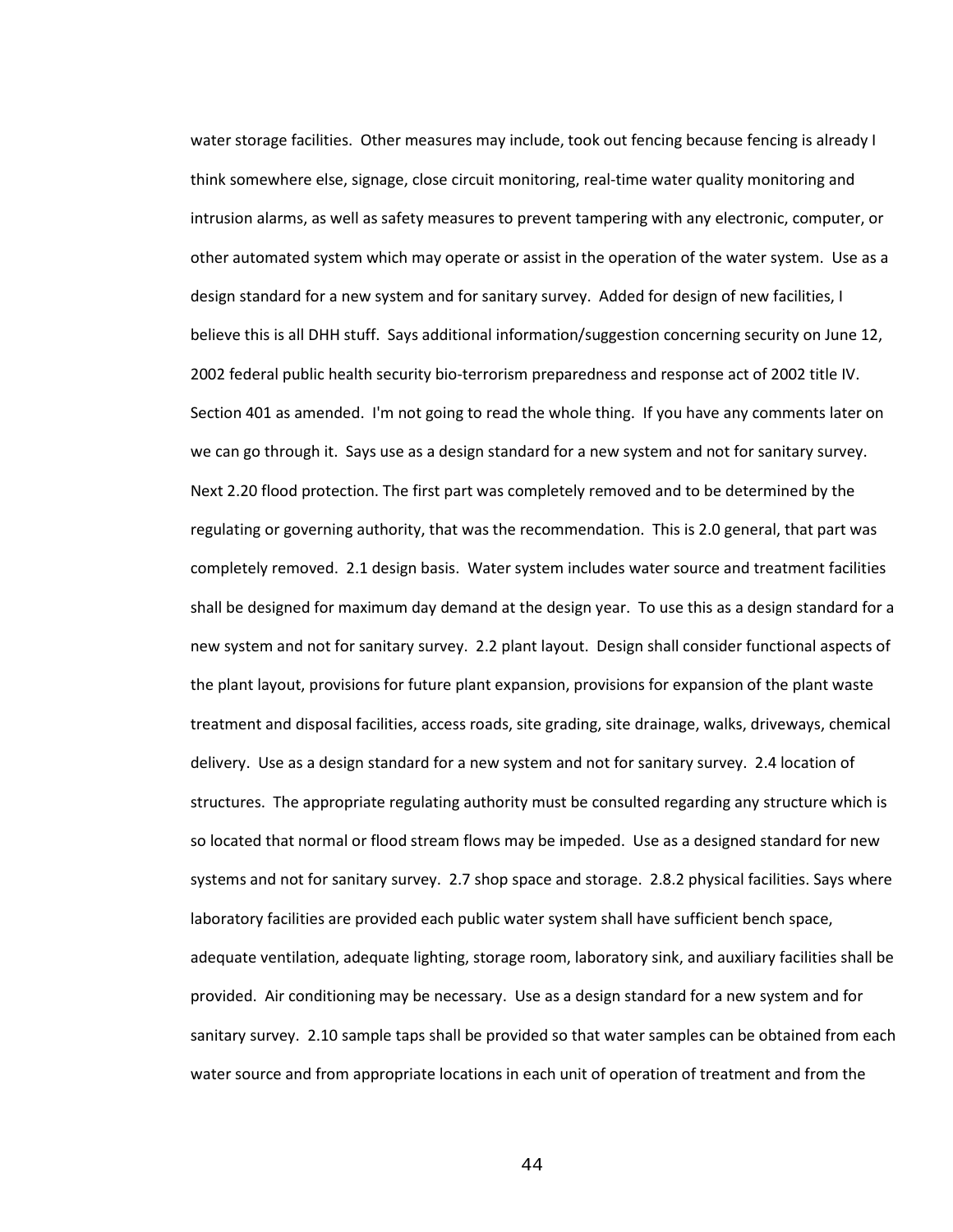water storage facilities. Other measures may include, took out fencing because fencing is already I think somewhere else, signage, close circuit monitoring, real-time water quality monitoring and intrusion alarms, as well as safety measures to prevent tampering with any electronic, computer, or other automated system which may operate or assist in the operation of the water system. Use as a design standard for a new system and for sanitary survey. Added for design of new facilities, I believe this is all DHH stuff. Says additional information/suggestion concerning security on June 12, 2002 federal public health security bio-terrorism preparedness and response act of 2002 title IV. Section 401 as amended. I'm not going to read the whole thing. If you have any comments later on we can go through it. Says use as a design standard for a new system and not for sanitary survey. Next 2.20 flood protection. The first part was completely removed and to be determined by the regulating or governing authority, that was the recommendation. This is 2.0 general, that part was completely removed. 2.1 design basis. Water system includes water source and treatment facilities shall be designed for maximum day demand at the design year. To use this as a design standard for a new system and not for sanitary survey. 2.2 plant layout. Design shall consider functional aspects of the plant layout, provisions for future plant expansion, provisions for expansion of the plant waste treatment and disposal facilities, access roads, site grading, site drainage, walks, driveways, chemical delivery. Use as a design standard for a new system and not for sanitary survey. 2.4 location of structures. The appropriate regulating authority must be consulted regarding any structure which is so located that normal or flood stream flows may be impeded. Use as a designed standard for new systems and not for sanitary survey. 2.7 shop space and storage. 2.8.2 physical facilities. Says where laboratory facilities are provided each public water system shall have sufficient bench space, adequate ventilation, adequate lighting, storage room, laboratory sink, and auxiliary facilities shall be provided. Air conditioning may be necessary. Use as a design standard for a new system and for sanitary survey. 2.10 sample taps shall be provided so that water samples can be obtained from each water source and from appropriate locations in each unit of operation of treatment and from the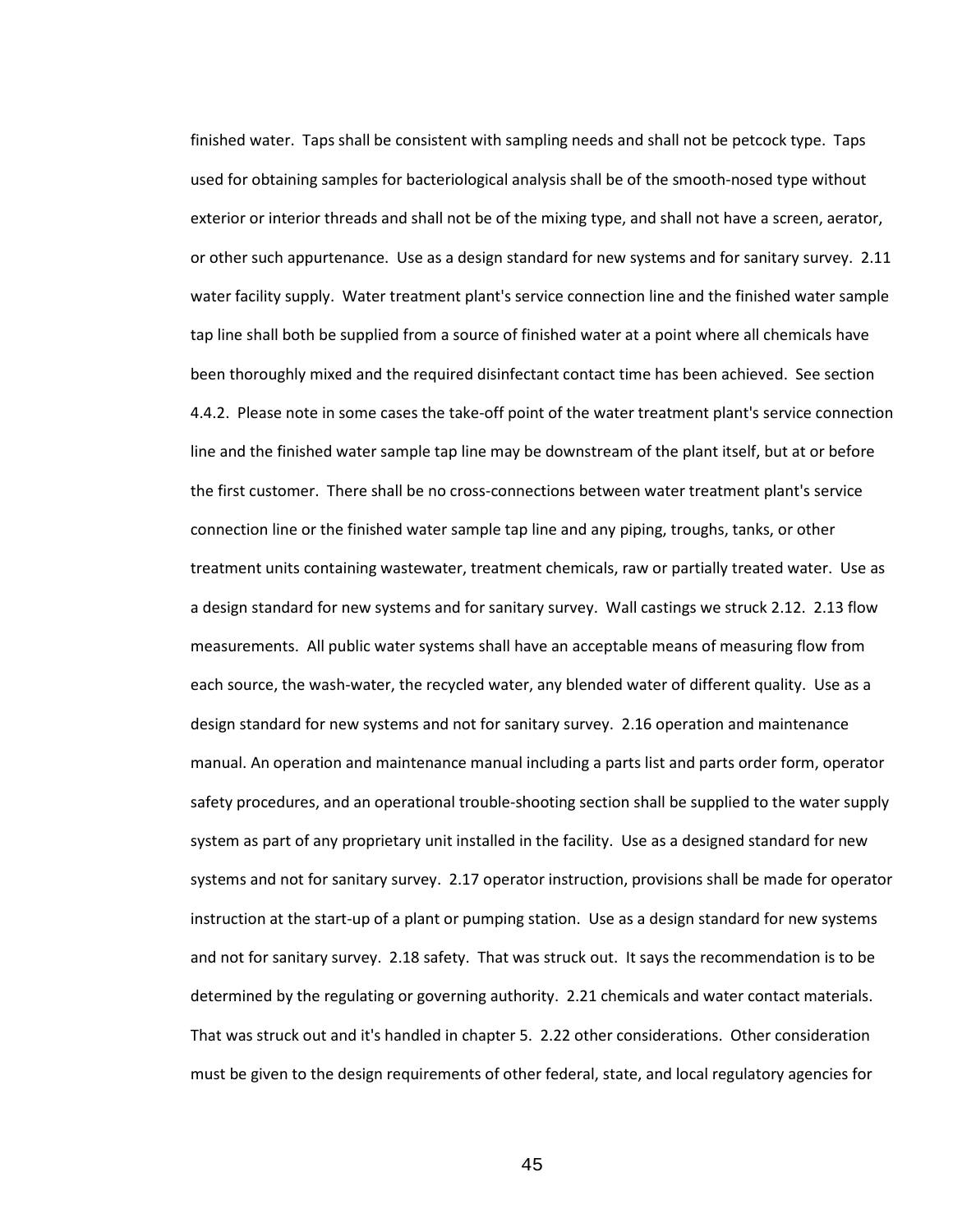finished water. Taps shall be consistent with sampling needs and shall not be petcock type. Taps used for obtaining samples for bacteriological analysis shall be of the smooth-nosed type without exterior or interior threads and shall not be of the mixing type, and shall not have a screen, aerator, or other such appurtenance. Use as a design standard for new systems and for sanitary survey. 2.11 water facility supply. Water treatment plant's service connection line and the finished water sample tap line shall both be supplied from a source of finished water at a point where all chemicals have been thoroughly mixed and the required disinfectant contact time has been achieved. See section 4.4.2. Please note in some cases the take-off point of the water treatment plant's service connection line and the finished water sample tap line may be downstream of the plant itself, but at or before the first customer. There shall be no cross-connections between water treatment plant's service connection line or the finished water sample tap line and any piping, troughs, tanks, or other treatment units containing wastewater, treatment chemicals, raw or partially treated water. Use as a design standard for new systems and for sanitary survey. Wall castings we struck 2.12. 2.13 flow measurements. All public water systems shall have an acceptable means of measuring flow from each source, the wash-water, the recycled water, any blended water of different quality. Use as a design standard for new systems and not for sanitary survey. 2.16 operation and maintenance manual. An operation and maintenance manual including a parts list and parts order form, operator safety procedures, and an operational trouble-shooting section shall be supplied to the water supply system as part of any proprietary unit installed in the facility. Use as a designed standard for new systems and not for sanitary survey. 2.17 operator instruction, provisions shall be made for operator instruction at the start-up of a plant or pumping station. Use as a design standard for new systems and not for sanitary survey. 2.18 safety. That was struck out. It says the recommendation is to be determined by the regulating or governing authority. 2.21 chemicals and water contact materials. That was struck out and it's handled in chapter 5. 2.22 other considerations. Other consideration must be given to the design requirements of other federal, state, and local regulatory agencies for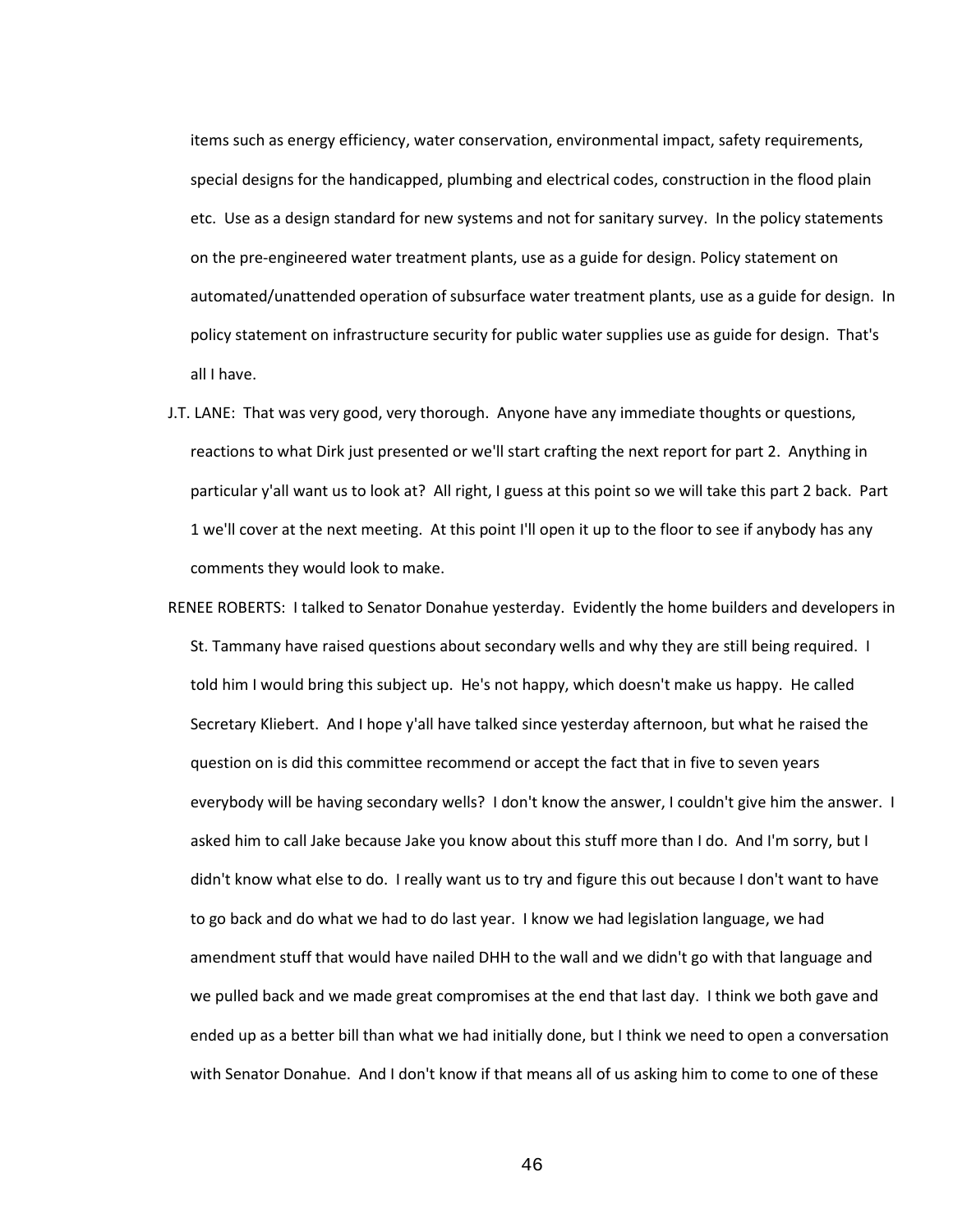items such as energy efficiency, water conservation, environmental impact, safety requirements, special designs for the handicapped, plumbing and electrical codes, construction in the flood plain etc. Use as a design standard for new systems and not for sanitary survey. In the policy statements on the pre-engineered water treatment plants, use as a guide for design. Policy statement on automated/unattended operation of subsurface water treatment plants, use as a guide for design. In policy statement on infrastructure security for public water supplies use as guide for design. That's all I have.

- J.T. LANE: That was very good, very thorough. Anyone have any immediate thoughts or questions, reactions to what Dirk just presented or we'll start crafting the next report for part 2. Anything in particular y'all want us to look at? All right, I guess at this point so we will take this part 2 back. Part 1 we'll cover at the next meeting. At this point I'll open it up to the floor to see if anybody has any comments they would look to make.
- RENEE ROBERTS: I talked to Senator Donahue yesterday. Evidently the home builders and developers in St. Tammany have raised questions about secondary wells and why they are still being required. I told him I would bring this subject up. He's not happy, which doesn't make us happy. He called Secretary Kliebert. And I hope y'all have talked since yesterday afternoon, but what he raised the question on is did this committee recommend or accept the fact that in five to seven years everybody will be having secondary wells? I don't know the answer, I couldn't give him the answer. I asked him to call Jake because Jake you know about this stuff more than I do. And I'm sorry, but I didn't know what else to do. I really want us to try and figure this out because I don't want to have to go back and do what we had to do last year. I know we had legislation language, we had amendment stuff that would have nailed DHH to the wall and we didn't go with that language and we pulled back and we made great compromises at the end that last day. I think we both gave and ended up as a better bill than what we had initially done, but I think we need to open a conversation with Senator Donahue. And I don't know if that means all of us asking him to come to one of these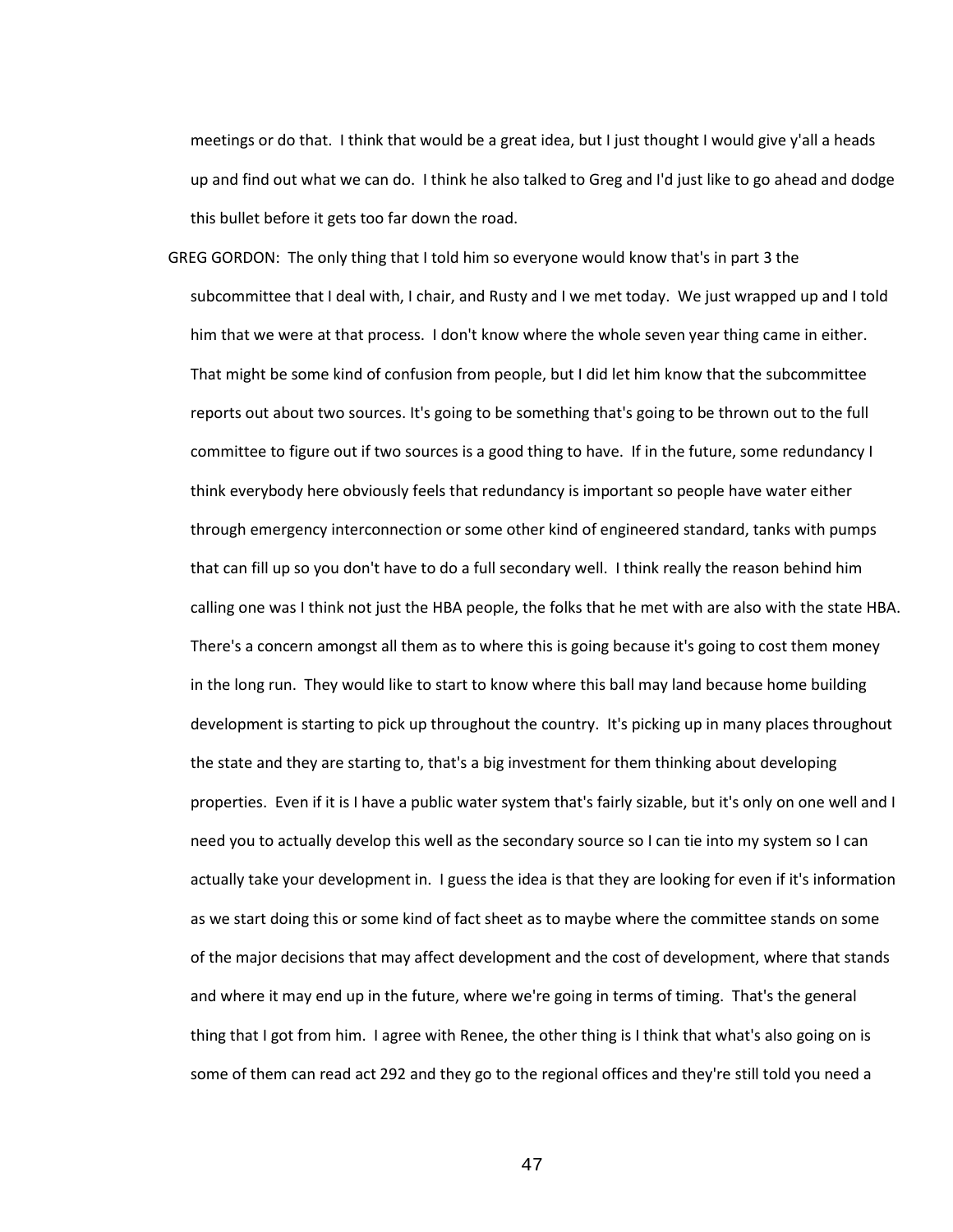meetings or do that. I think that would be a great idea, but I just thought I would give y'all a heads up and find out what we can do. I think he also talked to Greg and I'd just like to go ahead and dodge this bullet before it gets too far down the road.

GREG GORDON: The only thing that I told him so everyone would know that's in part 3 the subcommittee that I deal with, I chair, and Rusty and I we met today. We just wrapped up and I told him that we were at that process. I don't know where the whole seven year thing came in either. That might be some kind of confusion from people, but I did let him know that the subcommittee reports out about two sources. It's going to be something that's going to be thrown out to the full committee to figure out if two sources is a good thing to have. If in the future, some redundancy I think everybody here obviously feels that redundancy is important so people have water either through emergency interconnection or some other kind of engineered standard, tanks with pumps that can fill up so you don't have to do a full secondary well. I think really the reason behind him calling one was I think not just the HBA people, the folks that he met with are also with the state HBA. There's a concern amongst all them as to where this is going because it's going to cost them money in the long run. They would like to start to know where this ball may land because home building development is starting to pick up throughout the country. It's picking up in many places throughout the state and they are starting to, that's a big investment for them thinking about developing properties. Even if it is I have a public water system that's fairly sizable, but it's only on one well and I need you to actually develop this well as the secondary source so I can tie into my system so I can actually take your development in. I guess the idea is that they are looking for even if it's information as we start doing this or some kind of fact sheet as to maybe where the committee stands on some of the major decisions that may affect development and the cost of development, where that stands and where it may end up in the future, where we're going in terms of timing. That's the general thing that I got from him. I agree with Renee, the other thing is I think that what's also going on is some of them can read act 292 and they go to the regional offices and they're still told you need a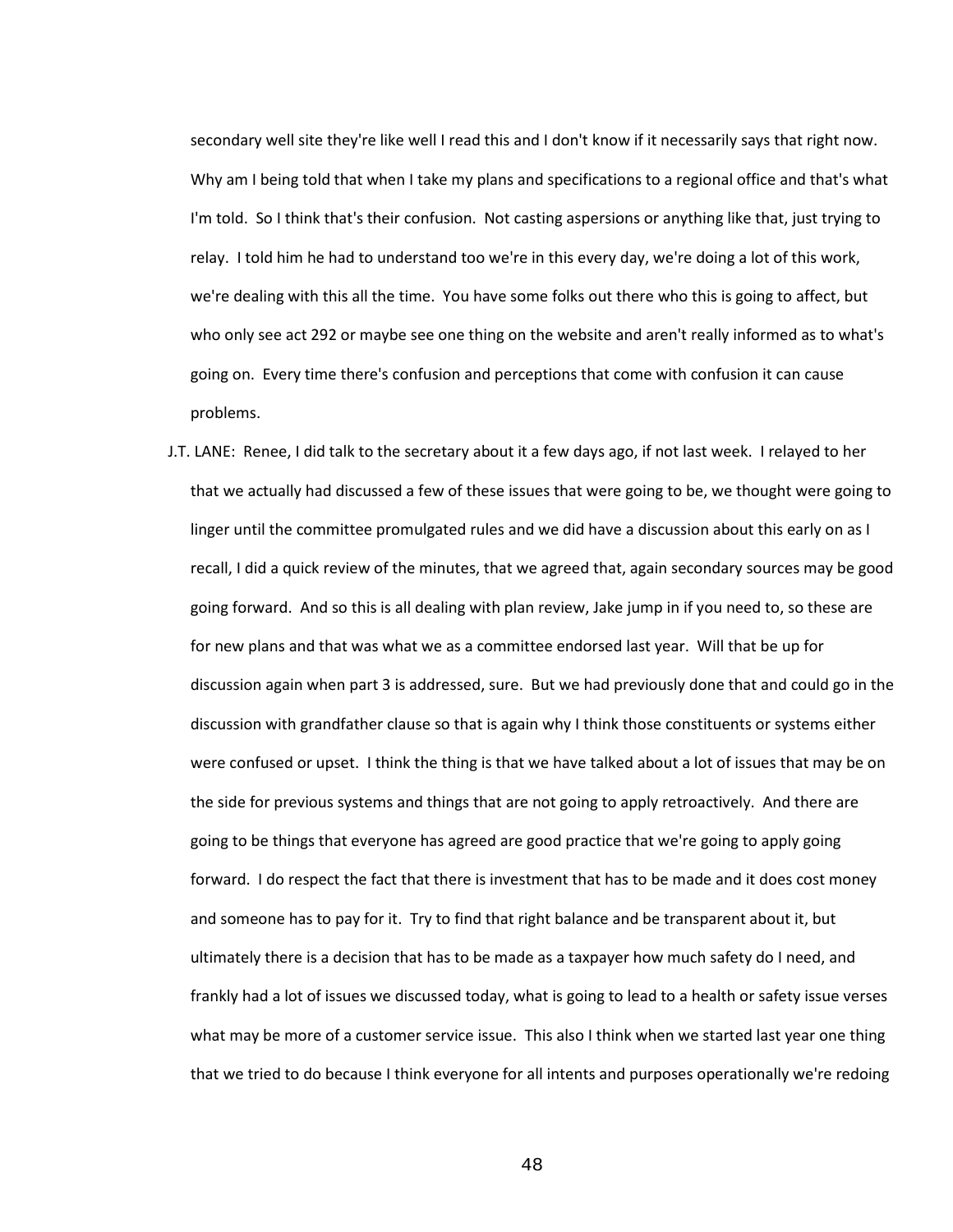secondary well site they're like well I read this and I don't know if it necessarily says that right now. Why am I being told that when I take my plans and specifications to a regional office and that's what I'm told. So I think that's their confusion. Not casting aspersions or anything like that, just trying to relay. I told him he had to understand too we're in this every day, we're doing a lot of this work, we're dealing with this all the time. You have some folks out there who this is going to affect, but who only see act 292 or maybe see one thing on the website and aren't really informed as to what's going on. Every time there's confusion and perceptions that come with confusion it can cause problems.

J.T. LANE: Renee, I did talk to the secretary about it a few days ago, if not last week. I relayed to her that we actually had discussed a few of these issues that were going to be, we thought were going to linger until the committee promulgated rules and we did have a discussion about this early on as I recall, I did a quick review of the minutes, that we agreed that, again secondary sources may be good going forward. And so this is all dealing with plan review, Jake jump in if you need to, so these are for new plans and that was what we as a committee endorsed last year. Will that be up for discussion again when part 3 is addressed, sure. But we had previously done that and could go in the discussion with grandfather clause so that is again why I think those constituents or systems either were confused or upset. I think the thing is that we have talked about a lot of issues that may be on the side for previous systems and things that are not going to apply retroactively. And there are going to be things that everyone has agreed are good practice that we're going to apply going forward. I do respect the fact that there is investment that has to be made and it does cost money and someone has to pay for it. Try to find that right balance and be transparent about it, but ultimately there is a decision that has to be made as a taxpayer how much safety do I need, and frankly had a lot of issues we discussed today, what is going to lead to a health or safety issue verses what may be more of a customer service issue. This also I think when we started last year one thing that we tried to do because I think everyone for all intents and purposes operationally we're redoing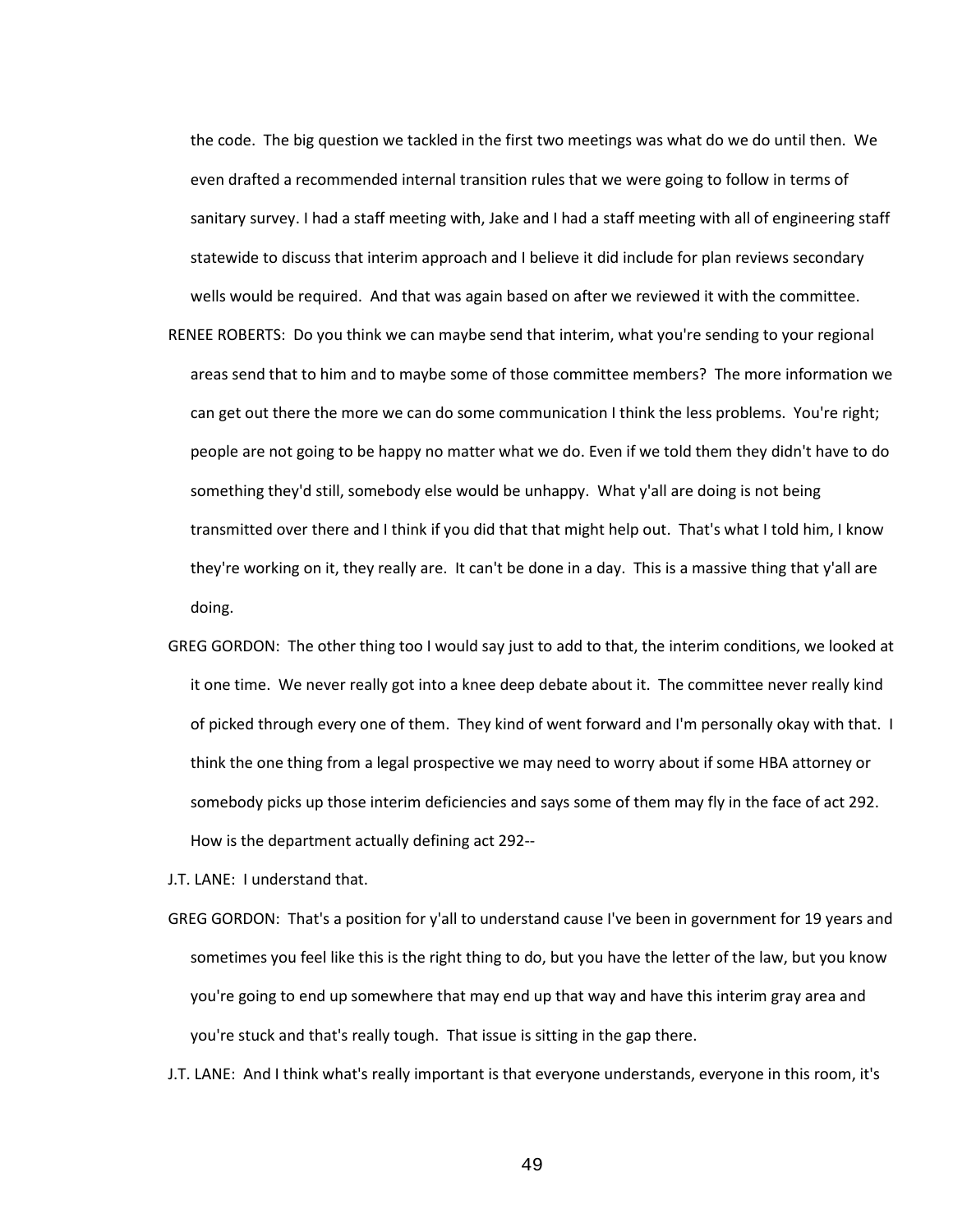the code. The big question we tackled in the first two meetings was what do we do until then. We even drafted a recommended internal transition rules that we were going to follow in terms of sanitary survey. I had a staff meeting with, Jake and I had a staff meeting with all of engineering staff statewide to discuss that interim approach and I believe it did include for plan reviews secondary wells would be required. And that was again based on after we reviewed it with the committee.

- RENEE ROBERTS: Do you think we can maybe send that interim, what you're sending to your regional areas send that to him and to maybe some of those committee members? The more information we can get out there the more we can do some communication I think the less problems. You're right; people are not going to be happy no matter what we do. Even if we told them they didn't have to do something they'd still, somebody else would be unhappy. What y'all are doing is not being transmitted over there and I think if you did that that might help out. That's what I told him, I know they're working on it, they really are. It can't be done in a day. This is a massive thing that y'all are doing.
- GREG GORDON: The other thing too I would say just to add to that, the interim conditions, we looked at it one time. We never really got into a knee deep debate about it. The committee never really kind of picked through every one of them. They kind of went forward and I'm personally okay with that. I think the one thing from a legal prospective we may need to worry about if some HBA attorney or somebody picks up those interim deficiencies and says some of them may fly in the face of act 292. How is the department actually defining act 292--

J.T. LANE: I understand that.

GREG GORDON: That's a position for y'all to understand cause I've been in government for 19 years and sometimes you feel like this is the right thing to do, but you have the letter of the law, but you know you're going to end up somewhere that may end up that way and have this interim gray area and you're stuck and that's really tough. That issue is sitting in the gap there.

J.T. LANE: And I think what's really important is that everyone understands, everyone in this room, it's